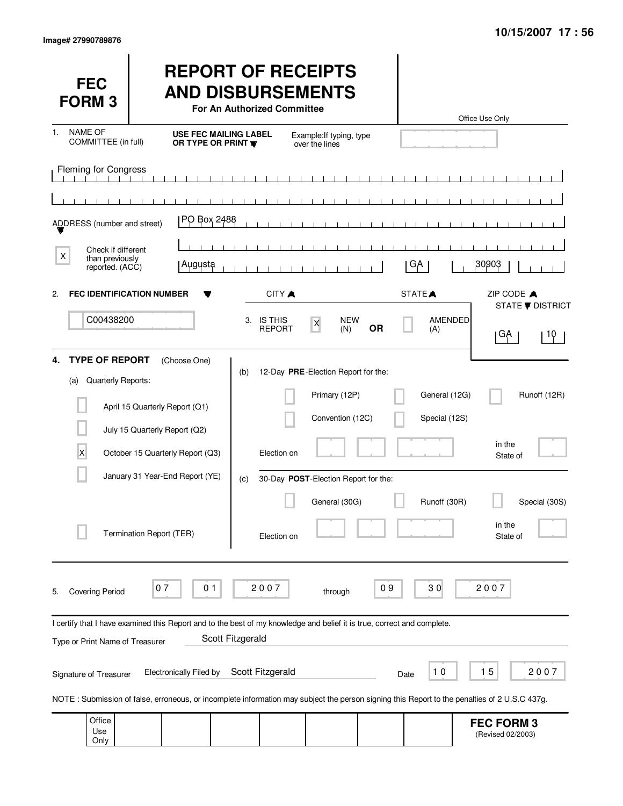Only

(Revised 02/2003)

| <b>FEC</b><br><b>FORM3</b>                                                                                                                   |                          |                                                                   |                                                  | For An Authorized Committee | <b>REPORT OF RECEIPTS</b><br><b>AND DISBURSEMENTS</b> |           |                    |                                | Office Use Only                        |                               |
|----------------------------------------------------------------------------------------------------------------------------------------------|--------------------------|-------------------------------------------------------------------|--------------------------------------------------|-----------------------------|-------------------------------------------------------|-----------|--------------------|--------------------------------|----------------------------------------|-------------------------------|
| <b>NAME OF</b><br>1.<br>COMMITTEE (in full)                                                                                                  |                          |                                                                   | <b>USE FEC MAILING LABEL</b><br>OR TYPE OR PRINT |                             | Example: If typing, type<br>over the lines            |           |                    |                                |                                        |                               |
| <b>Fleming for Congress</b>                                                                                                                  |                          |                                                                   |                                                  |                             |                                                       |           |                    |                                |                                        |                               |
| ADDRESS (number and street)                                                                                                                  |                          | PO Box 2488                                                       |                                                  |                             |                                                       |           |                    |                                |                                        |                               |
| Check if different<br>X<br>than previously<br>reported. (ACC)                                                                                |                          | Augusta                                                           |                                                  |                             |                                                       |           | GA                 |                                | 30903                                  |                               |
| <b>FEC IDENTIFICATION NUMBER</b><br>$\mathbf{2}$                                                                                             |                          |                                                                   |                                                  | CITY A                      |                                                       |           | STATE <sup>A</sup> |                                | ZIP CODE A                             |                               |
| C00438200                                                                                                                                    |                          |                                                                   |                                                  | 3. IS THIS<br><b>REPORT</b> | <b>NEW</b><br>$\pmb{\mathsf{X}}$<br>(N)               | <b>OR</b> |                    | AMENDED<br>(A)                 | ∣GA                                    | <b>STATE ▼ DISTRICT</b><br>10 |
| <b>TYPE OF REPORT</b><br>4.                                                                                                                  |                          | (Choose One)                                                      | (b)                                              |                             | 12-Day PRE-Election Report for the:                   |           |                    |                                |                                        |                               |
| Quarterly Reports:<br>(a)                                                                                                                    |                          | April 15 Quarterly Report (Q1)                                    |                                                  |                             | Primary (12P)<br>Convention (12C)                     |           |                    | General (12G)<br>Special (12S) |                                        | Runoff (12R)                  |
| X                                                                                                                                            |                          | July 15 Quarterly Report (Q2)<br>October 15 Quarterly Report (Q3) |                                                  | Election on                 |                                                       |           |                    |                                | in the<br>State of                     |                               |
|                                                                                                                                              |                          | January 31 Year-End Report (YE)                                   | (c)                                              |                             | 30-Day POST-Election Report for the:                  |           |                    |                                |                                        |                               |
|                                                                                                                                              | Termination Report (TER) |                                                                   |                                                  | Election on                 | General (30G)                                         |           |                    | Runoff (30R)                   | in the<br>State of                     | Special (30S)                 |
| <b>Covering Period</b><br>5.                                                                                                                 | 07                       | 0 <sub>1</sub>                                                    |                                                  | 2007                        | through                                               | 09        |                    | 30                             | 2007                                   |                               |
| I certify that I have examined this Report and to the best of my knowledge and belief it is true, correct and complete.                      |                          |                                                                   |                                                  |                             |                                                       |           |                    |                                |                                        |                               |
| Type or Print Name of Treasurer                                                                                                              |                          |                                                                   | Scott Fitzgerald                                 |                             |                                                       |           |                    |                                |                                        |                               |
| Signature of Treasurer                                                                                                                       |                          | <b>Electronically Filed by</b>                                    |                                                  | Scott Fitzgerald            |                                                       |           | Date               | 10                             | 15                                     | 2007                          |
| NOTE: Submission of false, erroneous, or incomplete information may subject the person signing this Report to the penalties of 2 U.S.C 437g. |                          |                                                                   |                                                  |                             |                                                       |           |                    |                                |                                        |                               |
| Office<br>Use                                                                                                                                |                          |                                                                   |                                                  |                             |                                                       |           |                    |                                | <b>FEC FORM 3</b><br>(Revised 02/2003) |                               |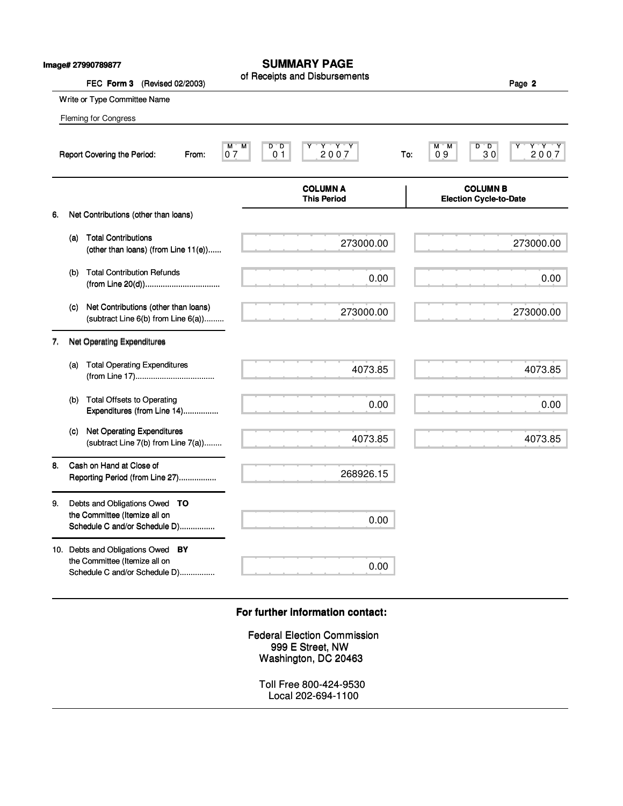|    |     | Image# 27990789877<br>FEC Form 3<br>(Revised 02/2003)                                               | <b>SUMMARY PAGE</b><br>of Receipts and Disbursements                           |     |                                                  | Page 2            |
|----|-----|-----------------------------------------------------------------------------------------------------|--------------------------------------------------------------------------------|-----|--------------------------------------------------|-------------------|
|    |     | Write or Type Committee Name                                                                        |                                                                                |     |                                                  |                   |
|    |     | Fleming for Congress                                                                                |                                                                                |     |                                                  |                   |
|    |     | Report Covering the Period:<br>From:                                                                | $Y - Y - Y$<br>M<br>$D^{\ast}D$<br>м<br>2007<br>07<br>0 <sub>1</sub>           | To: | D<br>м<br>'М<br>™D.<br>30<br>09                  | $Y^+Y^-Y$<br>2007 |
|    |     |                                                                                                     | <b>COLUMN A</b><br><b>This Period</b>                                          |     | <b>COLUMN B</b><br><b>Election Cycle-to-Date</b> |                   |
| 6. |     | Net Contributions (other than loans)                                                                |                                                                                |     |                                                  |                   |
|    | (a) | <b>Total Contributions</b><br>(other than loans) (from Line 11(e))                                  | 273000.00                                                                      |     |                                                  | 273000.00         |
|    | (b) | <b>Total Contribution Refunds</b>                                                                   | 0.00                                                                           |     |                                                  | 0.00              |
|    | (c) | Net Contributions (other than loans)<br>(subtract Line 6(b) from Line 6(a))                         | 273000.00                                                                      |     |                                                  | 273000.00         |
| 7. |     | Net Operating Expenditures                                                                          |                                                                                |     |                                                  |                   |
|    | (a) | <b>Total Operating Expenditures</b>                                                                 | 4073.85                                                                        |     |                                                  | 4073.85           |
|    | (b) | <b>Total Offsets to Operating</b><br>Expenditures (from Line 14)                                    | 0.00                                                                           |     |                                                  | 0.00              |
|    | (c) | <b>Net Operating Expenditures</b><br>(subtract Line 7(b) from Line 7(a))                            | 4073.85                                                                        |     |                                                  | 4073.85           |
| 8. |     | Cash on Hand at Close of<br>Reporting Period (from Line 27)                                         | 268926.15                                                                      |     |                                                  |                   |
| 9. |     | Debts and Obligations Owed TO<br>the Committee (Itemize all on<br>Schedule C and/or Schedule D)     | 0.00                                                                           |     |                                                  |                   |
|    |     | 10. Debts and Obligations Owed BY<br>the Committee (Itemize all on<br>Schedule C and/or Schedule D) | 0.00                                                                           |     |                                                  |                   |
|    |     |                                                                                                     | For further information contact:                                               |     |                                                  |                   |
|    |     |                                                                                                     | <b>Federal Election Commission</b><br>999 E Street, NW<br>Washington, DC 20463 |     |                                                  |                   |
|    |     |                                                                                                     | Toll Free 800-424-9530<br>Local 202-694-1100                                   |     |                                                  |                   |

# **For further information contact: For further information contact:**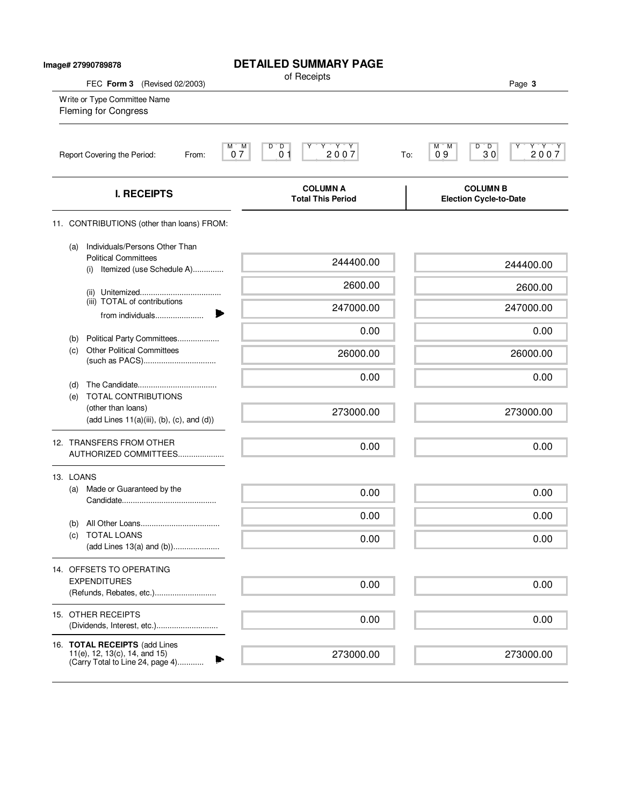| Image# 27990789878                                                                                           | <b>DETAILED SUMMARY PAGE</b>                                                                                            |                                                                |
|--------------------------------------------------------------------------------------------------------------|-------------------------------------------------------------------------------------------------------------------------|----------------------------------------------------------------|
| FEC Form 3 (Revised 02/2003)                                                                                 | of Receipts                                                                                                             | Page 3                                                         |
| Write or Type Committee Name<br><b>Fleming for Congress</b>                                                  |                                                                                                                         |                                                                |
| Report Covering the Period:<br>From:                                                                         | $\begin{array}{c}\nY & Y & Y \\ 2 & 0 & 0 & 7\n\end{array}$<br>M)<br>M<br>$D^{\prime}$ $D$<br>Υ<br>07<br>0 <sub>1</sub> | Y'Y'Y<br>$D^{\prime}$ $D$<br>М<br>M<br>2007<br>09<br>30<br>To: |
| <b>I. RECEIPTS</b>                                                                                           | <b>COLUMN A</b><br><b>Total This Period</b>                                                                             | <b>COLUMN B</b><br>Election Cycle-to-Date                      |
| 11. CONTRIBUTIONS (other than loans) FROM:                                                                   |                                                                                                                         |                                                                |
| Individuals/Persons Other Than<br>(a)<br><b>Political Committees</b><br>Itemized (use Schedule A)<br>(i)     | 244400.00                                                                                                               | 244400.00                                                      |
|                                                                                                              | 2600.00                                                                                                                 | 2600.00                                                        |
| (iii) TOTAL of contributions<br>from individuals                                                             | 247000.00                                                                                                               | 247000.00                                                      |
| Political Party Committees                                                                                   | 0.00                                                                                                                    | 0.00                                                           |
| (b)<br><b>Other Political Committees</b><br>(c)                                                              | 26000.00                                                                                                                | 26000.00                                                       |
| (d)                                                                                                          | 0.00                                                                                                                    | 0.00                                                           |
| (e) TOTAL CONTRIBUTIONS<br>(other than loans)<br>$(\text{add Lines } 11(a)(iii), (b), (c), \text{and } (d))$ | 273000.00                                                                                                               | 273000.00                                                      |
| 12. TRANSFERS FROM OTHER<br>AUTHORIZED COMMITTEES                                                            | 0.00                                                                                                                    | 0.00                                                           |
| 13. LOANS                                                                                                    |                                                                                                                         |                                                                |
| Made or Guaranteed by the<br>(a)                                                                             | 0.00                                                                                                                    | 0.00                                                           |
| (b)                                                                                                          | 0.00                                                                                                                    | 0.00                                                           |
| <b>TOTAL LOANS</b><br>(C)<br>(add Lines 13(a) and (b))                                                       | 0.00                                                                                                                    | 0.00                                                           |
| 14. OFFSETS TO OPERATING                                                                                     |                                                                                                                         |                                                                |
| <b>EXPENDITURES</b>                                                                                          | 0.00                                                                                                                    | 0.00                                                           |
| 15. OTHER RECEIPTS                                                                                           | 0.00                                                                                                                    | 0.00                                                           |
| 16. TOTAL RECEIPTS (add Lines<br>11(e), 12, 13(c), 14, and 15)<br>(Carry Total to Line 24, page 4)           | 273000.00                                                                                                               | 273000.00                                                      |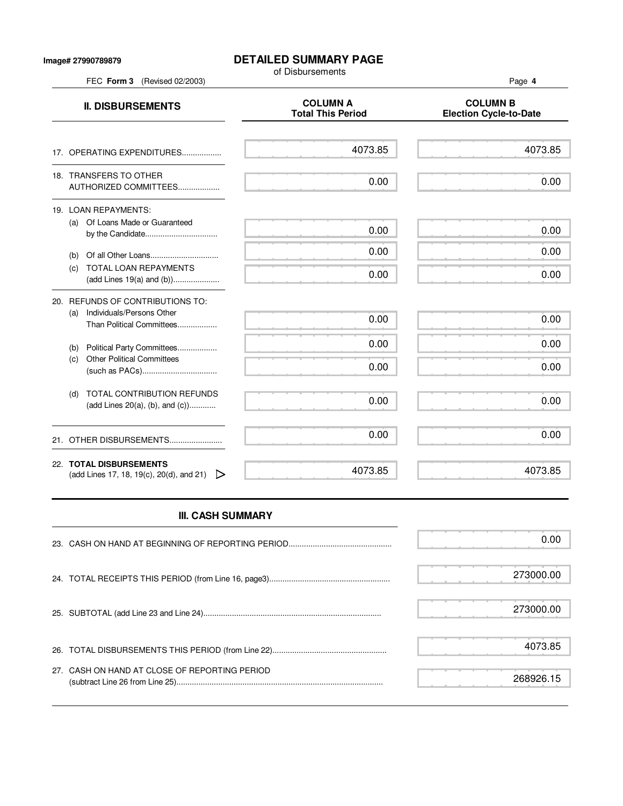#### **Image# 27990789879**

## **DETAILED SUMMARY PAGE**

of Disbursements

FEC **Form 3** (Revised 02/2003) Page **4**

**II. DISBURSEMENTS**<br>Total This Period Figures and COLUMN B<br>Total This Period Figures and Column B **Election Cycle-to-Date** 17. OPERATING EXPENDITURES.................. 18. TRANSFERS TO OTHER AUTHORIZED COMMITTEES................... 19. LOAN REPAYMENTS: (a) Of Loans Made or Guaranteed by the Candidate................................. (b) Of all Other Loans............................... (c) TOTAL LOAN REPAYMENTS (add Lines 19(a) and (b))..................... 20. REFUNDS OF CONTRIBUTIONS TO: (a) Individuals/Persons Other Than Political Committees.................. (b) Political Party Committees.................. (c) Other Political Committees (such as PACs).................................. (d) TOTAL CONTRIBUTION REFUNDS (add Lines 20(a), (b), and (c))............ 21. OTHER DISBURSEMENTS......................... 22. **TOTAL DISBURSEMENTS** (add Lines 17, 18, 19(c), 20(d), and 21)  $\triangleright$ 4073.85 0.00 0.00 0.00 0.00 0.00 0.00 0.00 0.00 0.00 4073.85 4073.85 0.00 0.00 0.00 0.00 0.00 0.00 0.00 0.00 0.00 4073.85

# **III. CASH SUMMARY**

|                                               | 0.00      |
|-----------------------------------------------|-----------|
|                                               | 273000.00 |
|                                               | 273000.00 |
|                                               | 4073.85   |
| 27. CASH ON HAND AT CLOSE OF REPORTING PERIOD | 268926 15 |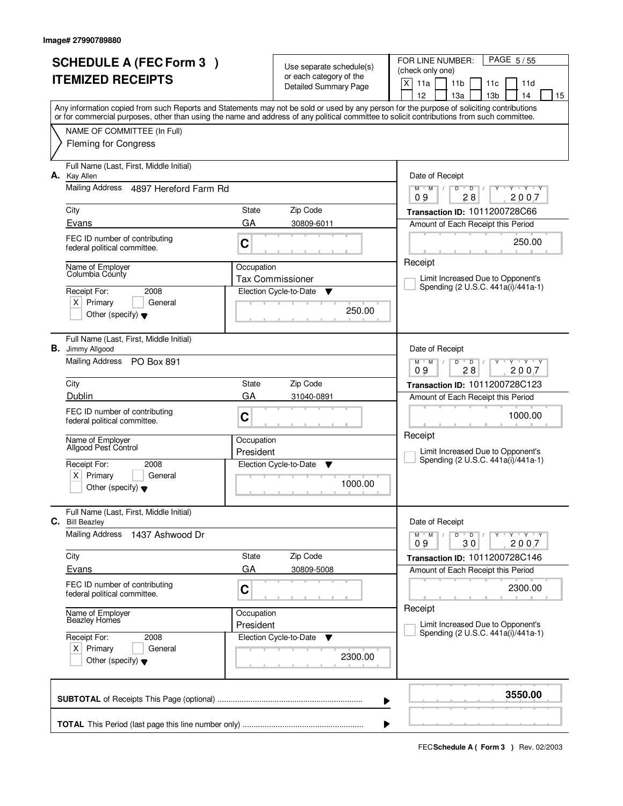|    | <b>SCHEDULE A (FEC Form 3)</b><br><b>ITEMIZED RECEIPTS</b>         | Use separate schedule(s)<br>or each category of the |                             | PAGE 5/55<br>FOR LINE NUMBER:<br>(check only one)                                                                                                                                                                                                                                       |  |
|----|--------------------------------------------------------------------|-----------------------------------------------------|-----------------------------|-----------------------------------------------------------------------------------------------------------------------------------------------------------------------------------------------------------------------------------------------------------------------------------------|--|
|    |                                                                    |                                                     | Detailed Summary Page       | $\times$<br>11a<br>11 <sub>b</sub><br>11d<br>11c<br>12<br>13a<br>13 <sub>b</sub><br>14<br>15                                                                                                                                                                                            |  |
|    |                                                                    |                                                     |                             | Any information copied from such Reports and Statements may not be sold or used by any person for the purpose of soliciting contributions<br>or for commercial purposes, other than using the name and address of any political committee to solicit contributions from such committee. |  |
|    | NAME OF COMMITTEE (In Full)                                        |                                                     |                             |                                                                                                                                                                                                                                                                                         |  |
|    | <b>Fleming for Congress</b>                                        |                                                     |                             |                                                                                                                                                                                                                                                                                         |  |
| А. | Full Name (Last, First, Middle Initial)<br><b>Kay Allen</b>        |                                                     |                             | Date of Receipt                                                                                                                                                                                                                                                                         |  |
|    | Mailing Address 4897 Hereford Farm Rd                              |                                                     |                             | $Y$ $Y$ $Y$<br>$M$ $M$ /<br>D<br>$\overline{D}$<br>Ÿ<br>28<br>2007<br>09                                                                                                                                                                                                                |  |
|    | City                                                               | State                                               | Zip Code                    | Transaction ID: 1011200728C66                                                                                                                                                                                                                                                           |  |
|    | Evans                                                              | GA                                                  | 30809-6011                  | Amount of Each Receipt this Period                                                                                                                                                                                                                                                      |  |
|    | FEC ID number of contributing<br>federal political committee.      | C                                                   |                             | 250.00<br>Receipt                                                                                                                                                                                                                                                                       |  |
|    | Name of Employer<br>Columbia County                                | Occupation                                          | <b>Tax Commissioner</b>     | Limit Increased Due to Opponent's                                                                                                                                                                                                                                                       |  |
|    | Receipt For:<br>2008                                               |                                                     | Election Cycle-to-Date<br>▼ | Spending (2 U.S.C. 441a(i)/441a-1)                                                                                                                                                                                                                                                      |  |
|    | $X$ Primary<br>General                                             |                                                     | 250.00                      |                                                                                                                                                                                                                                                                                         |  |
|    | Other (specify) $\blacktriangledown$                               |                                                     |                             |                                                                                                                                                                                                                                                                                         |  |
|    | Full Name (Last, First, Middle Initial)<br><b>B.</b> Jimmy Allgood |                                                     |                             | Date of Receipt                                                                                                                                                                                                                                                                         |  |
|    | Mailing Address PO Box 891                                         |                                                     |                             | $M$ $M$ /<br>$Y - Y - Y$<br>D<br>$\overline{D}$<br>28<br>2007<br>09                                                                                                                                                                                                                     |  |
|    | City                                                               | State                                               | Zip Code                    | Transaction ID: 1011200728C123                                                                                                                                                                                                                                                          |  |
|    | Dublin                                                             | GA                                                  | 31040-0891                  | Amount of Each Receipt this Period                                                                                                                                                                                                                                                      |  |
|    | FEC ID number of contributing<br>federal political committee.      | C                                                   |                             | 1000.00<br>Receipt                                                                                                                                                                                                                                                                      |  |
|    | Name of Employer<br>Allgood Pest Control                           | Occupation                                          |                             | Limit Increased Due to Opponent's                                                                                                                                                                                                                                                       |  |
|    | Receipt For:<br>2008                                               | President                                           | Election Cycle-to-Date<br>▼ | Spending (2 U.S.C. 441a(i)/441a-1)                                                                                                                                                                                                                                                      |  |
|    | Primary<br>X∣<br>General                                           |                                                     |                             |                                                                                                                                                                                                                                                                                         |  |
|    | Other (specify) $\blacktriangledown$                               |                                                     | 1000.00                     |                                                                                                                                                                                                                                                                                         |  |
| С. | Full Name (Last, First, Middle Initial)<br><b>Bill Beazley</b>     |                                                     |                             | Date of Receipt                                                                                                                                                                                                                                                                         |  |
|    | <b>Mailing Address</b><br>1437 Ashwood Dr                          |                                                     |                             | $D$ $D$<br>$Y - Y - Y - Y$<br>$M$ $M$ /<br>$\prime$<br>2007<br>09<br>30                                                                                                                                                                                                                 |  |
|    | City                                                               | State                                               | Zip Code                    | Transaction ID: 1011200728C146                                                                                                                                                                                                                                                          |  |
|    | Evans                                                              | GA                                                  | 30809-5008                  | Amount of Each Receipt this Period                                                                                                                                                                                                                                                      |  |
|    | FEC ID number of contributing<br>federal political committee.      | C                                                   |                             | 2300.00                                                                                                                                                                                                                                                                                 |  |
|    | Name of Employer<br>Beazley Homes                                  | Occupation<br>President                             |                             | Receipt<br>Limit Increased Due to Opponent's                                                                                                                                                                                                                                            |  |
|    | Receipt For:<br>2008                                               |                                                     | Election Cycle-to-Date<br>v | Spending (2 U.S.C. 441a(i)/441a-1)                                                                                                                                                                                                                                                      |  |
|    | $X$ Primary<br>General<br>Other (specify) $\blacktriangledown$     |                                                     | 2300.00                     |                                                                                                                                                                                                                                                                                         |  |
|    |                                                                    |                                                     | ▶                           | 3550.00                                                                                                                                                                                                                                                                                 |  |
|    |                                                                    |                                                     |                             |                                                                                                                                                                                                                                                                                         |  |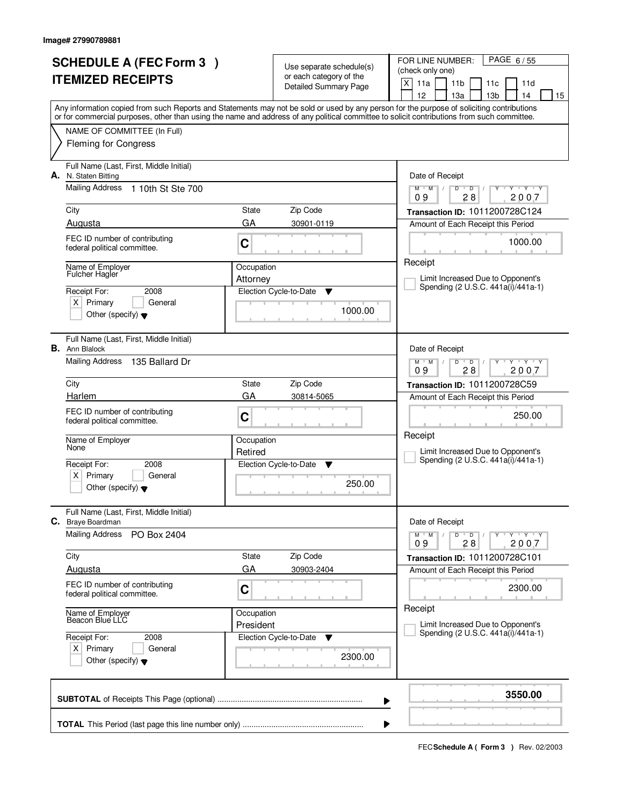| <b>SCHEDULE A (FEC Form 3)</b><br><b>ITEMIZED RECEIPTS</b>                                                                                                                                                                                                                              |            | Use separate schedule(s)<br>or each category of the<br>Detailed Summary Page | PAGE 6/55<br>FOR LINE NUMBER:<br>(check only one)<br>X<br>11a<br>11 <sub>b</sub><br>11c<br>11d            |
|-----------------------------------------------------------------------------------------------------------------------------------------------------------------------------------------------------------------------------------------------------------------------------------------|------------|------------------------------------------------------------------------------|-----------------------------------------------------------------------------------------------------------|
|                                                                                                                                                                                                                                                                                         |            |                                                                              | 12<br>13a<br>13 <sub>b</sub><br>14<br>15                                                                  |
| Any information copied from such Reports and Statements may not be sold or used by any person for the purpose of soliciting contributions<br>or for commercial purposes, other than using the name and address of any political committee to solicit contributions from such committee. |            |                                                                              |                                                                                                           |
| NAME OF COMMITTEE (In Full)                                                                                                                                                                                                                                                             |            |                                                                              |                                                                                                           |
| <b>Fleming for Congress</b>                                                                                                                                                                                                                                                             |            |                                                                              |                                                                                                           |
| Full Name (Last, First, Middle Initial)<br>A. N. Staten Bitting                                                                                                                                                                                                                         |            |                                                                              | Date of Receipt                                                                                           |
| <b>Mailing Address</b><br>1 10th St Ste 700                                                                                                                                                                                                                                             |            |                                                                              | $\overline{D}$<br>Y Y Y Y<br>$M$ $M$ /<br>D<br>28<br>2007<br>09                                           |
| City                                                                                                                                                                                                                                                                                    | State      | Zip Code                                                                     | Transaction ID: 1011200728C124                                                                            |
| Augusta                                                                                                                                                                                                                                                                                 | GA         | 30901-0119                                                                   | Amount of Each Receipt this Period                                                                        |
| FEC ID number of contributing<br>federal political committee.                                                                                                                                                                                                                           | C          |                                                                              | 1000.00                                                                                                   |
| Name of Employer<br><b>Fulcher Hagler</b>                                                                                                                                                                                                                                               | Occupation |                                                                              | Receipt                                                                                                   |
| Receipt For:<br>2008                                                                                                                                                                                                                                                                    | Attorney   | Election Cycle-to-Date<br>v                                                  | Limit Increased Due to Opponent's<br>Spending (2 U.S.C. 441a(i)/441a-1)                                   |
| $X$ Primary<br>General                                                                                                                                                                                                                                                                  |            |                                                                              |                                                                                                           |
| Other (specify) $\blacktriangledown$                                                                                                                                                                                                                                                    |            | 1000.00                                                                      |                                                                                                           |
| Full Name (Last, First, Middle Initial)<br><b>B.</b> Ann Blalock                                                                                                                                                                                                                        |            |                                                                              | Date of Receipt                                                                                           |
| Mailing Address<br>135 Ballard Dr                                                                                                                                                                                                                                                       |            |                                                                              | $\mathbf{y} + \mathbf{y} + \mathbf{y}$<br>$M$ $M$ /<br>$\mathsf{D}$<br>$\overline{D}$<br>09<br>28<br>2007 |
| City                                                                                                                                                                                                                                                                                    | State      | Zip Code                                                                     | Transaction ID: 1011200728C59                                                                             |
| Harlem                                                                                                                                                                                                                                                                                  | GA         | 30814-5065                                                                   | Amount of Each Receipt this Period                                                                        |
| FEC ID number of contributing<br>federal political committee.                                                                                                                                                                                                                           | C          |                                                                              | 250.00                                                                                                    |
| Name of Employer<br>None                                                                                                                                                                                                                                                                | Occupation |                                                                              | Receipt                                                                                                   |
| Receipt For:<br>2008                                                                                                                                                                                                                                                                    | Retired    | Election Cycle-to-Date<br><b>V</b>                                           | Limit Increased Due to Opponent's<br>Spending (2 U.S.C. 441a(i)/441a-1)                                   |
| ΧI<br>Primary<br>General                                                                                                                                                                                                                                                                |            |                                                                              |                                                                                                           |
| Other (specify) $\blacktriangledown$                                                                                                                                                                                                                                                    |            | 250.00                                                                       |                                                                                                           |
| Full Name (Last, First, Middle Initial)<br><b>C.</b> Braye Boardman                                                                                                                                                                                                                     |            |                                                                              | Date of Receipt                                                                                           |
| <b>Mailing Address</b><br>PO Box 2404                                                                                                                                                                                                                                                   |            |                                                                              | D<br>$Y - Y - Y - Y$<br>$M$ $M$ $/$<br>$\overline{D}$ /<br>2007<br>09<br>28                               |
| City                                                                                                                                                                                                                                                                                    | State      | Zip Code                                                                     | Transaction ID: 1011200728C101                                                                            |
| Augusta                                                                                                                                                                                                                                                                                 | GA         | 30903-2404                                                                   | Amount of Each Receipt this Period                                                                        |
| FEC ID number of contributing<br>federal political committee.                                                                                                                                                                                                                           | C          |                                                                              | 2300.00                                                                                                   |
| Name of Employer<br>Beacon Blue LLC                                                                                                                                                                                                                                                     | Occupation |                                                                              | Receipt<br>Limit Increased Due to Opponent's                                                              |
| Receipt For:<br>2008                                                                                                                                                                                                                                                                    | President  | Election Cycle-to-Date<br>v                                                  | Spending (2 U.S.C. 441a(i)/441a-1)                                                                        |
| $X$ Primary<br>General<br>Other (specify) $\blacktriangledown$                                                                                                                                                                                                                          |            | 2300.00                                                                      |                                                                                                           |
|                                                                                                                                                                                                                                                                                         |            | ▶                                                                            | 3550.00                                                                                                   |
|                                                                                                                                                                                                                                                                                         |            | ▶                                                                            |                                                                                                           |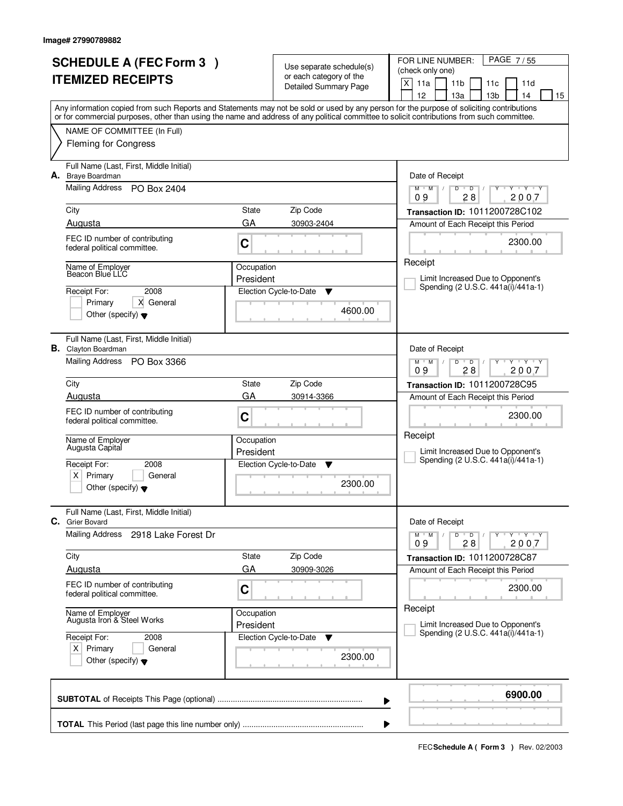|    | <b>SCHEDULE A (FEC Form 3)</b>                                 |            | Use separate schedule(s)    | PAGE 7/55<br>FOR LINE NUMBER:                                                                                                              |  |  |
|----|----------------------------------------------------------------|------------|-----------------------------|--------------------------------------------------------------------------------------------------------------------------------------------|--|--|
|    | <b>ITEMIZED RECEIPTS</b>                                       |            | or each category of the     | (check only one)<br>$\times$<br>11a                                                                                                        |  |  |
|    |                                                                |            | Detailed Summary Page       | 11 <sub>b</sub><br>11d<br>11c<br>12<br>13a<br>13 <sub>b</sub><br>14<br>15                                                                  |  |  |
|    |                                                                |            |                             | Any information copied from such Reports and Statements may not be sold or used by any person for the purpose of soliciting contributions  |  |  |
|    |                                                                |            |                             | or for commercial purposes, other than using the name and address of any political committee to solicit contributions from such committee. |  |  |
|    | NAME OF COMMITTEE (In Full)                                    |            |                             |                                                                                                                                            |  |  |
|    | <b>Fleming for Congress</b>                                    |            |                             |                                                                                                                                            |  |  |
| А. | Full Name (Last, First, Middle Initial)<br>Braye Boardman      |            |                             | Date of Receipt                                                                                                                            |  |  |
|    | <b>Mailing Address</b><br>PO Box 2404                          |            |                             | $Y - Y - Y$<br>$M$ $M$ $/$<br>D<br>$\overline{D}$<br>Ÿ<br>28<br>2007<br>09                                                                 |  |  |
|    | City                                                           | State      | Zip Code                    | Transaction ID: 1011200728C102                                                                                                             |  |  |
|    | Augusta                                                        | GA         | 30903-2404                  | Amount of Each Receipt this Period                                                                                                         |  |  |
|    | FEC ID number of contributing                                  |            |                             | 2300.00                                                                                                                                    |  |  |
|    | federal political committee.                                   | C          |                             |                                                                                                                                            |  |  |
|    | Name of Employer<br>Beacon Blue LLC                            | Occupation |                             | Receipt                                                                                                                                    |  |  |
|    |                                                                | President  |                             | Limit Increased Due to Opponent's<br>Spending (2 U.S.C. 441a(i)/441a-1)                                                                    |  |  |
|    | 2008<br>Receipt For:                                           |            | Election Cycle-to-Date<br>▼ |                                                                                                                                            |  |  |
|    | Primary<br>X General<br>Other (specify) $\blacktriangledown$   |            | 4600.00                     |                                                                                                                                            |  |  |
|    |                                                                |            |                             |                                                                                                                                            |  |  |
|    | Full Name (Last, First, Middle Initial)                        |            |                             |                                                                                                                                            |  |  |
|    | <b>B.</b> Clayton Boardman<br>Mailing Address PO Box 3366      |            |                             | Date of Receipt<br>$M$ $M$ /<br>$Y \vdash Y \vdash Y$<br>D<br>$\overline{D}$                                                               |  |  |
|    |                                                                |            |                             | 28<br>2007<br>09                                                                                                                           |  |  |
|    | City                                                           | State      | Zip Code                    | Transaction ID: 1011200728C95                                                                                                              |  |  |
|    | Augusta                                                        | GA         | 30914-3366                  | Amount of Each Receipt this Period                                                                                                         |  |  |
|    | FEC ID number of contributing<br>federal political committee.  | C          |                             | 2300.00                                                                                                                                    |  |  |
|    |                                                                |            |                             | Receipt                                                                                                                                    |  |  |
|    | Name of Employer<br>Augusta Capital                            | Occupation |                             |                                                                                                                                            |  |  |
|    | 2008                                                           | President  |                             | Limit Increased Due to Opponent's<br>Spending (2 U.S.C. 441a(i)/441a-1)                                                                    |  |  |
|    | Receipt For:<br>Primary<br>ΧI<br>General                       |            | Election Cycle-to-Date<br>▼ |                                                                                                                                            |  |  |
|    | Other (specify) $\blacktriangledown$                           |            | 2300.00                     |                                                                                                                                            |  |  |
|    |                                                                |            |                             |                                                                                                                                            |  |  |
| С. | Full Name (Last, First, Middle Initial)<br><b>Grier Bovard</b> |            |                             | Date of Receipt                                                                                                                            |  |  |
|    | Mailing Address<br>2918 Lake Forest Dr                         |            |                             | $M$ $M$ /<br>$D$ $D$<br>$Y - Y - Y$                                                                                                        |  |  |
|    | City                                                           | State      | Zip Code                    | 09<br>28<br>2007<br>Transaction ID: 1011200728C87                                                                                          |  |  |
|    | Augusta                                                        | GA         | 30909-3026                  | Amount of Each Receipt this Period                                                                                                         |  |  |
|    | FEC ID number of contributing                                  |            |                             | 2300.00                                                                                                                                    |  |  |
|    | federal political committee.                                   | C          |                             |                                                                                                                                            |  |  |
|    | Name of Employer                                               | Occupation |                             | Receipt                                                                                                                                    |  |  |
|    | Augusta Iron & Steel Works                                     | President  |                             | Limit Increased Due to Opponent's<br>Spending (2 U.S.C. 441a(i)/441a-1)                                                                    |  |  |
|    | Receipt For:<br>2008                                           |            | Election Cycle-to-Date<br>v |                                                                                                                                            |  |  |
|    | $X$ Primary<br>General<br>Other (specify) $\blacktriangledown$ |            | 2300.00                     |                                                                                                                                            |  |  |
|    |                                                                |            |                             |                                                                                                                                            |  |  |
|    |                                                                |            |                             | 6900.00                                                                                                                                    |  |  |
|    |                                                                |            |                             | ▶                                                                                                                                          |  |  |
|    |                                                                |            |                             |                                                                                                                                            |  |  |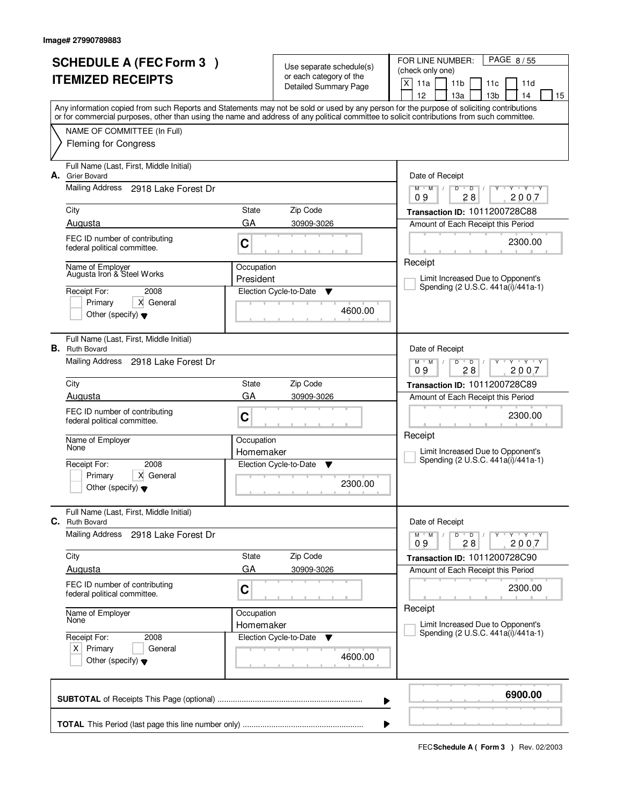| <b>SCHEDULE A (FEC Form 3)</b><br><b>ITEMIZED RECEIPTS</b> |                                                                                        |                         | Use separate schedule(s)<br>or each category of the<br><b>Detailed Summary Page</b> | PAGE 8/55<br>FOR LINE NUMBER:<br>(check only one)<br>X<br>11a<br>11 <sub>b</sub><br>11d<br>11c<br>12<br>13a<br>13 <sub>b</sub><br>14<br>15                                                                                                                                              |
|------------------------------------------------------------|----------------------------------------------------------------------------------------|-------------------------|-------------------------------------------------------------------------------------|-----------------------------------------------------------------------------------------------------------------------------------------------------------------------------------------------------------------------------------------------------------------------------------------|
|                                                            |                                                                                        |                         |                                                                                     | Any information copied from such Reports and Statements may not be sold or used by any person for the purpose of soliciting contributions<br>or for commercial purposes, other than using the name and address of any political committee to solicit contributions from such committee. |
|                                                            | NAME OF COMMITTEE (In Full)<br><b>Fleming for Congress</b>                             |                         |                                                                                     |                                                                                                                                                                                                                                                                                         |
| А.                                                         | Full Name (Last, First, Middle Initial)<br><b>Grier Bovard</b>                         |                         |                                                                                     | Date of Receipt                                                                                                                                                                                                                                                                         |
|                                                            | Mailing Address 2918 Lake Forest Dr                                                    |                         |                                                                                     | $Y$ $Y$ $Y$<br>$D$ $D$<br>$M$ $M$ /<br>Y<br>$\mathbb{L}$<br>28<br>2007<br>09                                                                                                                                                                                                            |
|                                                            | City<br>Augusta                                                                        | State<br>GA             | Zip Code                                                                            | Transaction ID: 1011200728C88                                                                                                                                                                                                                                                           |
|                                                            | FEC ID number of contributing<br>federal political committee.                          | C                       | 30909-3026                                                                          | Amount of Each Receipt this Period<br>2300.00                                                                                                                                                                                                                                           |
|                                                            | Name of Employer<br>Augusta Iron & Steel Works                                         | Occupation<br>President |                                                                                     | Receipt<br>Limit Increased Due to Opponent's                                                                                                                                                                                                                                            |
|                                                            | Receipt For:<br>2008<br>Primary<br>X General<br>Other (specify) $\blacktriangledown$   |                         | Election Cycle-to-Date<br>▼<br>4600.00                                              | Spending (2 U.S.C. 441a(i)/441a-1)                                                                                                                                                                                                                                                      |
|                                                            | Full Name (Last, First, Middle Initial)<br><b>B.</b> Ruth Bovard                       |                         |                                                                                     | Date of Receipt                                                                                                                                                                                                                                                                         |
|                                                            | Mailing Address 2918 Lake Forest Dr                                                    |                         |                                                                                     | $Y - Y - Y$<br>$M$ $M$ /<br>D<br>$\overline{D}$<br>28<br>2007<br>09                                                                                                                                                                                                                     |
|                                                            | City<br>Augusta                                                                        | State<br>GA             | Zip Code                                                                            | Transaction ID: 1011200728C89                                                                                                                                                                                                                                                           |
|                                                            | FEC ID number of contributing<br>federal political committee.                          | C                       | 30909-3026                                                                          | Amount of Each Receipt this Period<br>2300.00                                                                                                                                                                                                                                           |
|                                                            | Name of Employer<br>None                                                               | Occupation<br>Homemaker |                                                                                     | Receipt<br>Limit Increased Due to Opponent's                                                                                                                                                                                                                                            |
|                                                            | 2008<br>Receipt For:<br>X General<br>Primary<br>Other (specify) $\blacktriangledown$   |                         | Election Cycle-to-Date<br>▼<br>2300.00                                              | Spending (2 U.S.C. 441a(i)/441a-1)                                                                                                                                                                                                                                                      |
| С.                                                         | Full Name (Last, First, Middle Initial)<br><b>Ruth Bovard</b>                          |                         |                                                                                     | Date of Receipt                                                                                                                                                                                                                                                                         |
|                                                            | <b>Mailing Address</b><br>2918 Lake Forest Dr                                          |                         |                                                                                     | $D$ $D$ $I$<br>$M$ $M$ /<br>$Y - Y - Y$<br>Υ<br>09<br>28<br>2007                                                                                                                                                                                                                        |
|                                                            | City<br>Augusta                                                                        | State<br>GA             | Zip Code<br>30909-3026                                                              | Transaction ID: 1011200728C90<br>Amount of Each Receipt this Period                                                                                                                                                                                                                     |
|                                                            | FEC ID number of contributing<br>federal political committee.                          | C                       |                                                                                     | 2300.00                                                                                                                                                                                                                                                                                 |
|                                                            | Name of Employer<br>None                                                               | Occupation<br>Homemaker |                                                                                     | Receipt<br>Limit Increased Due to Opponent's                                                                                                                                                                                                                                            |
|                                                            | Receipt For:<br>2008<br>$X$ Primary<br>General<br>Other (specify) $\blacktriangledown$ |                         | Election Cycle-to-Date<br>v<br>4600.00                                              | Spending (2 U.S.C. 441a(i)/441a-1)                                                                                                                                                                                                                                                      |
|                                                            |                                                                                        |                         |                                                                                     | 6900.00<br>▶                                                                                                                                                                                                                                                                            |
|                                                            |                                                                                        |                         |                                                                                     |                                                                                                                                                                                                                                                                                         |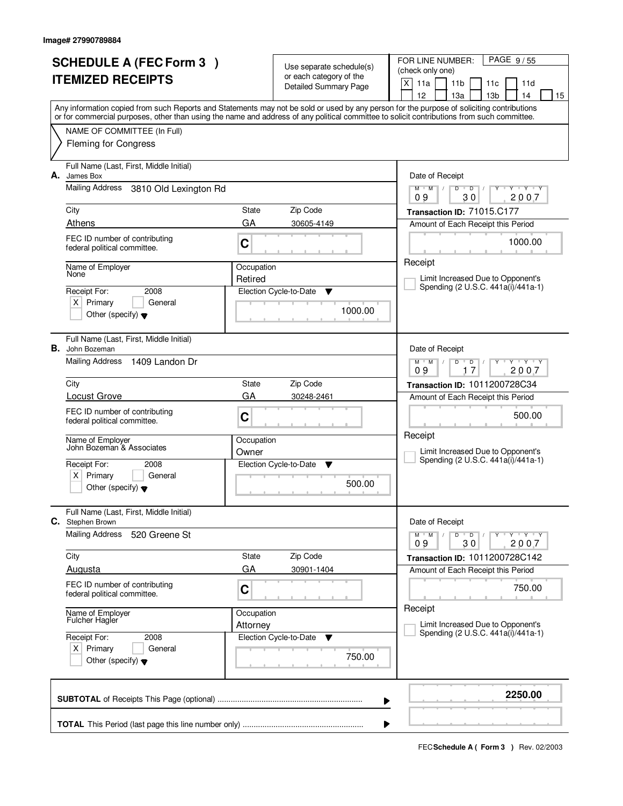| <b>SCHEDULE A (FEC Form 3)</b><br><b>ITEMIZED RECEIPTS</b><br>Any information copied from such Reports and Statements may not be sold or used by any person for the purpose of soliciting contributions                                                                                                                                             |                                            | Use separate schedule(s)<br>or each category of the<br>Detailed Summary Page | PAGE 9/55<br>FOR LINE NUMBER:<br>(check only one)<br>$\times$<br>11a<br>11 <sub>b</sub><br>11d<br>11c<br>12<br>13a<br>13 <sub>b</sub><br>14<br>15                                                                                                                                                                                             |
|-----------------------------------------------------------------------------------------------------------------------------------------------------------------------------------------------------------------------------------------------------------------------------------------------------------------------------------------------------|--------------------------------------------|------------------------------------------------------------------------------|-----------------------------------------------------------------------------------------------------------------------------------------------------------------------------------------------------------------------------------------------------------------------------------------------------------------------------------------------|
| or for commercial purposes, other than using the name and address of any political committee to solicit contributions from such committee.<br>NAME OF COMMITTEE (In Full)<br><b>Fleming for Congress</b>                                                                                                                                            |                                            |                                                                              |                                                                                                                                                                                                                                                                                                                                               |
| Full Name (Last, First, Middle Initial)<br>А.<br>James Box<br>Mailing Address<br>3810 Old Lexington Rd<br>City<br>Athens<br>FEC ID number of contributing<br>federal political committee.<br>Name of Employer<br>None<br>Receipt For:<br>2008<br>$X$ Primary<br>General<br>Other (specify) $\blacktriangledown$                                     | State<br>GA<br>C<br>Occupation<br>Retired  | Zip Code<br>30605-4149<br>Election Cycle-to-Date<br>▼<br>1000.00             | Date of Receipt<br>$Y$ $Y$ $Y$<br>$M$ $M$ $/$<br>D<br>$\blacksquare$ $\blacksquare$ $\blacksquare$ $\blacksquare$ $\blacksquare$<br>$Y$ <sup>U</sup><br>09<br>30<br>2007<br>Transaction ID: 71015.C177<br>Amount of Each Receipt this Period<br>1000.00<br>Receipt<br>Limit Increased Due to Opponent's<br>Spending (2 U.S.C. 441a(i)/441a-1) |
| Full Name (Last, First, Middle Initial)<br><b>B.</b> John Bozeman<br>Mailing Address<br>1409 Landon Dr<br>City<br><b>Locust Grove</b><br>FEC ID number of contributing<br>federal political committee.<br>Name of Employer<br>John Bozeman & Associates<br>Receipt For:<br>2008<br>Primary<br>ΧI<br>General<br>Other (specify) $\blacktriangledown$ | State<br>GA<br>C<br>Occupation<br>Owner    | Zip Code<br>30248-2461<br>Election Cycle-to-Date<br><b>V</b><br>500.00       | Date of Receipt<br>$M$ $M$ /<br>$Y \vdash Y \vdash Y$<br>D<br>D<br>17<br>2007<br>09<br>Transaction ID: 1011200728C34<br>Amount of Each Receipt this Period<br>500.00<br>Receipt<br>Limit Increased Due to Opponent's<br>Spending (2 U.S.C. 441a(i)/441a-1)                                                                                    |
| Full Name (Last, First, Middle Initial)<br>С.<br>Stephen Brown<br><b>Mailing Address</b><br>520 Greene St<br>City<br>Augusta<br>FEC ID number of contributing<br>federal political committee.<br>Name of Employer<br><b>Fulcher Hagler</b><br>Receipt For:<br>2008<br>$X$ Primary<br>General<br>Other (specify) $\blacktriangledown$                | State<br>GA<br>C<br>Occupation<br>Attorney | Zip Code<br>30901-1404<br>Election Cycle-to-Date<br>v<br>750.00              | Date of Receipt<br>$D$ $D$<br>$Y - Y - Y - Y$<br>$M$ $M$ /<br>$\prime$<br>09<br>30<br>2007<br>Transaction ID: 1011200728C142<br>Amount of Each Receipt this Period<br>750.00<br>Receipt<br>Limit Increased Due to Opponent's<br>Spending (2 U.S.C. 441a(i)/441a-1)                                                                            |
|                                                                                                                                                                                                                                                                                                                                                     |                                            |                                                                              | 2250.00<br>▶<br>▶                                                                                                                                                                                                                                                                                                                             |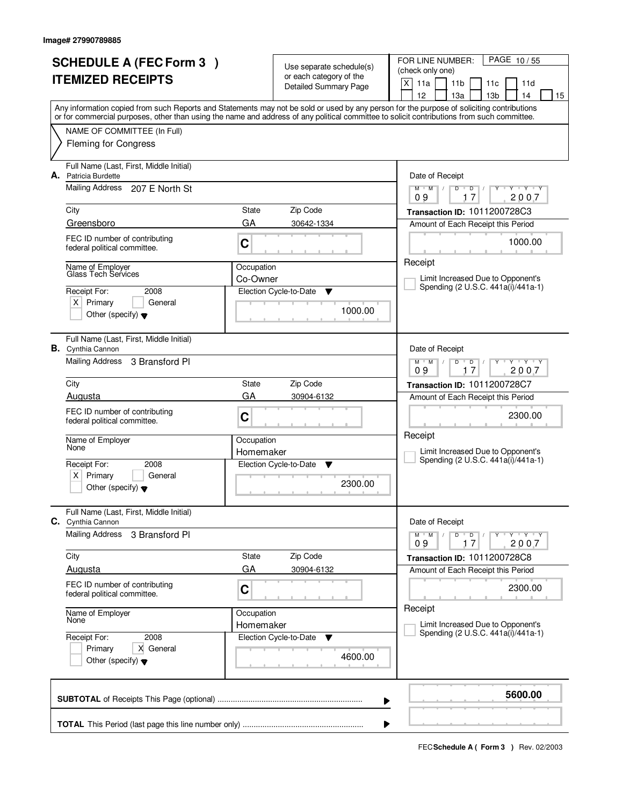|    | <b>SCHEDULE A (FEC Form 3)</b>                                |             |                                                     | PAGE 10/55<br>FOR LINE NUMBER:                                                                                                                                                                                                                                                          |  |  |
|----|---------------------------------------------------------------|-------------|-----------------------------------------------------|-----------------------------------------------------------------------------------------------------------------------------------------------------------------------------------------------------------------------------------------------------------------------------------------|--|--|
|    | <b>ITEMIZED RECEIPTS</b>                                      |             | Use separate schedule(s)<br>or each category of the | (check only one)                                                                                                                                                                                                                                                                        |  |  |
|    |                                                               |             | <b>Detailed Summary Page</b>                        | $\times$<br>11a<br>11 <sub>b</sub><br>11d<br>11c                                                                                                                                                                                                                                        |  |  |
|    |                                                               |             |                                                     | 13 <sub>b</sub><br>12<br>13a<br>14<br>15                                                                                                                                                                                                                                                |  |  |
|    |                                                               |             |                                                     | Any information copied from such Reports and Statements may not be sold or used by any person for the purpose of soliciting contributions<br>or for commercial purposes, other than using the name and address of any political committee to solicit contributions from such committee. |  |  |
|    | NAME OF COMMITTEE (In Full)                                   |             |                                                     |                                                                                                                                                                                                                                                                                         |  |  |
|    | <b>Fleming for Congress</b>                                   |             |                                                     |                                                                                                                                                                                                                                                                                         |  |  |
|    |                                                               |             |                                                     |                                                                                                                                                                                                                                                                                         |  |  |
| А. | Full Name (Last, First, Middle Initial)<br>Patricia Burdette  |             |                                                     | Date of Receipt                                                                                                                                                                                                                                                                         |  |  |
|    | Mailing Address 207 E North St                                |             |                                                     | $Y$ $Y$ $Y$<br>$M$ $M$ /<br>$D$ <sup><math>\Box</math></sup><br>$D$ /<br>$Y$ <sup>U</sup>                                                                                                                                                                                               |  |  |
|    |                                                               |             |                                                     | 17<br>2007<br>09                                                                                                                                                                                                                                                                        |  |  |
|    | City                                                          | State       | Zip Code                                            | Transaction ID: 1011200728C3                                                                                                                                                                                                                                                            |  |  |
|    | Greensboro                                                    | GA          | 30642-1334                                          | Amount of Each Receipt this Period                                                                                                                                                                                                                                                      |  |  |
|    | FEC ID number of contributing                                 | C           |                                                     | 1000.00                                                                                                                                                                                                                                                                                 |  |  |
|    | federal political committee.                                  |             |                                                     |                                                                                                                                                                                                                                                                                         |  |  |
|    | Name of Employer                                              | Occupation  |                                                     | Receipt                                                                                                                                                                                                                                                                                 |  |  |
|    | Glass Tech Services                                           | Co-Owner    |                                                     | Limit Increased Due to Opponent's<br>Spending (2 U.S.C. 441a(i)/441a-1)                                                                                                                                                                                                                 |  |  |
|    | Receipt For:<br>2008                                          |             | Election Cycle-to-Date<br>▼                         |                                                                                                                                                                                                                                                                                         |  |  |
|    | $X$ Primary<br>General                                        |             | 1000.00                                             |                                                                                                                                                                                                                                                                                         |  |  |
|    | Other (specify) $\blacktriangledown$                          |             |                                                     |                                                                                                                                                                                                                                                                                         |  |  |
|    | Full Name (Last, First, Middle Initial)                       |             |                                                     |                                                                                                                                                                                                                                                                                         |  |  |
|    | <b>B.</b> Cynthia Cannon                                      |             |                                                     | Date of Receipt                                                                                                                                                                                                                                                                         |  |  |
|    | Mailing Address 3 Bransford PI                                |             |                                                     | $Y$ $Y$ $Y$<br>$M$ $M$ /<br>D<br>D                                                                                                                                                                                                                                                      |  |  |
|    |                                                               |             |                                                     | 17<br>2007<br>09                                                                                                                                                                                                                                                                        |  |  |
|    | City<br>Augusta                                               | State<br>GA | Zip Code                                            | <b>Transaction ID: 1011200728C7</b>                                                                                                                                                                                                                                                     |  |  |
|    |                                                               |             | 30904-6132                                          | Amount of Each Receipt this Period                                                                                                                                                                                                                                                      |  |  |
|    | FEC ID number of contributing<br>federal political committee. | C           |                                                     | 2300.00                                                                                                                                                                                                                                                                                 |  |  |
|    |                                                               |             |                                                     | Receipt                                                                                                                                                                                                                                                                                 |  |  |
|    | Name of Employer<br>None                                      | Occupation  |                                                     | Limit Increased Due to Opponent's                                                                                                                                                                                                                                                       |  |  |
|    | Receipt For:<br>2008                                          | Homemaker   | Election Cycle-to-Date<br><b>V</b>                  | Spending (2 U.S.C. 441a(i)/441a-1)                                                                                                                                                                                                                                                      |  |  |
|    | Primary<br>ΧI<br>General                                      |             |                                                     |                                                                                                                                                                                                                                                                                         |  |  |
|    | Other (specify) $\blacktriangledown$                          |             | 2300.00                                             |                                                                                                                                                                                                                                                                                         |  |  |
|    |                                                               |             |                                                     |                                                                                                                                                                                                                                                                                         |  |  |
|    | Full Name (Last, First, Middle Initial)                       |             |                                                     |                                                                                                                                                                                                                                                                                         |  |  |
|    | C. Cynthia Cannon<br><b>Mailing Address</b>                   |             |                                                     | Date of Receipt                                                                                                                                                                                                                                                                         |  |  |
|    | 3 Bransford PI                                                |             |                                                     | $D$ $D$<br>$M$ $M$ $/$<br>$Y \rightarrow Y \rightarrow Y$<br>2007<br>09<br>17                                                                                                                                                                                                           |  |  |
|    | City                                                          | State       | Zip Code                                            | Transaction ID: 1011200728C8                                                                                                                                                                                                                                                            |  |  |
|    | Augusta                                                       | GA          | 30904-6132                                          | Amount of Each Receipt this Period                                                                                                                                                                                                                                                      |  |  |
|    | FEC ID number of contributing                                 | C           |                                                     | 2300.00                                                                                                                                                                                                                                                                                 |  |  |
|    | federal political committee.                                  |             |                                                     |                                                                                                                                                                                                                                                                                         |  |  |
|    | Name of Employer                                              | Occupation  |                                                     | Receipt                                                                                                                                                                                                                                                                                 |  |  |
|    | None                                                          | Homemaker   |                                                     | Limit Increased Due to Opponent's                                                                                                                                                                                                                                                       |  |  |
|    | Receipt For:<br>2008                                          |             | Election Cycle-to-Date<br>v                         | Spending (2 U.S.C. 441a(i)/441a-1)                                                                                                                                                                                                                                                      |  |  |
|    | X General<br>Primary                                          |             | 4600.00                                             |                                                                                                                                                                                                                                                                                         |  |  |
|    | Other (specify) $\blacktriangledown$                          |             |                                                     |                                                                                                                                                                                                                                                                                         |  |  |
|    |                                                               |             |                                                     |                                                                                                                                                                                                                                                                                         |  |  |
|    |                                                               |             |                                                     | 5600.00                                                                                                                                                                                                                                                                                 |  |  |
|    |                                                               |             | ▶                                                   |                                                                                                                                                                                                                                                                                         |  |  |
|    |                                                               |             | ▶                                                   |                                                                                                                                                                                                                                                                                         |  |  |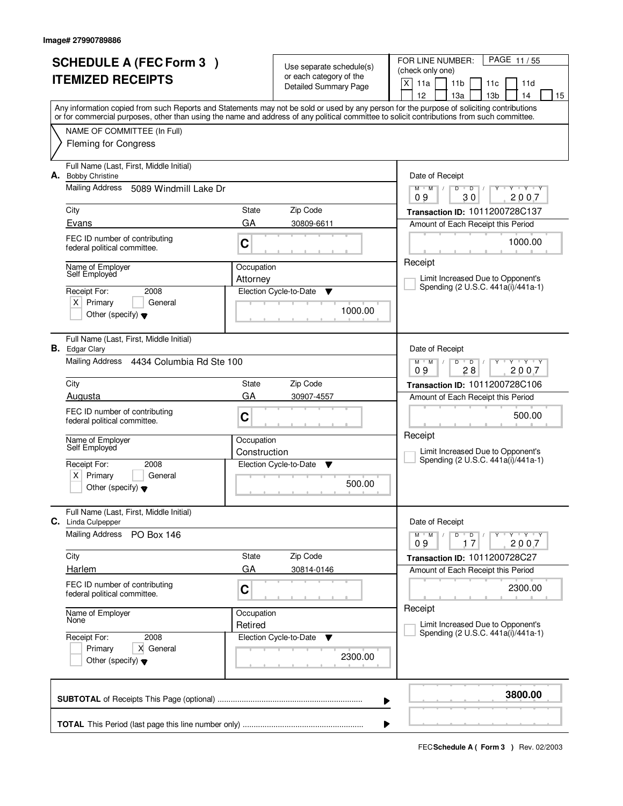|    | <b>SCHEDULE A (FEC Form 3)</b>                                                                                                             |              | Use separate schedule(s)                                | PAGE 11/55<br>FOR LINE NUMBER:<br>(check only one)                                                                                              |
|----|--------------------------------------------------------------------------------------------------------------------------------------------|--------------|---------------------------------------------------------|-------------------------------------------------------------------------------------------------------------------------------------------------|
|    | <b>ITEMIZED RECEIPTS</b>                                                                                                                   |              | or each category of the<br><b>Detailed Summary Page</b> | $\times$<br>11a<br>11 <sub>b</sub><br>11d<br>11c<br>12<br>13a<br>13 <sub>b</sub><br>14                                                          |
|    | or for commercial purposes, other than using the name and address of any political committee to solicit contributions from such committee. |              |                                                         | 15<br>Any information copied from such Reports and Statements may not be sold or used by any person for the purpose of soliciting contributions |
|    | NAME OF COMMITTEE (In Full)                                                                                                                |              |                                                         |                                                                                                                                                 |
|    | <b>Fleming for Congress</b>                                                                                                                |              |                                                         |                                                                                                                                                 |
| А. | Full Name (Last, First, Middle Initial)<br><b>Bobby Christine</b>                                                                          |              |                                                         | Date of Receipt                                                                                                                                 |
|    | Mailing Address<br>5089 Windmill Lake Dr                                                                                                   |              |                                                         | $Y - Y - Y$<br>$M$ $M$ $/$<br>D<br>$\blacksquare$ $\blacksquare$ $\blacksquare$ $\blacksquare$ $\blacksquare$<br>Ÿ<br>09<br>30<br>2007          |
|    | City                                                                                                                                       | State        | Zip Code                                                | Transaction ID: 1011200728C137                                                                                                                  |
|    | Evans                                                                                                                                      | GA           | 30809-6611                                              | Amount of Each Receipt this Period                                                                                                              |
|    | FEC ID number of contributing<br>federal political committee.                                                                              | C            |                                                         | 1000.00                                                                                                                                         |
|    | Name of Employer<br>Self Employed                                                                                                          | Occupation   |                                                         | Receipt                                                                                                                                         |
|    |                                                                                                                                            | Attorney     |                                                         | Limit Increased Due to Opponent's<br>Spending (2 U.S.C. 441a(i)/441a-1)                                                                         |
|    | Receipt For:<br>2008<br>$X$ Primary<br>General                                                                                             |              | Election Cycle-to-Date<br>▼                             |                                                                                                                                                 |
|    | Other (specify) $\blacktriangledown$                                                                                                       |              | 1000.00                                                 |                                                                                                                                                 |
|    | Full Name (Last, First, Middle Initial)<br><b>B.</b> Edgar Clary                                                                           |              |                                                         | Date of Receipt                                                                                                                                 |
|    | Mailing Address 4434 Columbia Rd Ste 100                                                                                                   |              |                                                         | $M$ $M$ /<br>$Y - Y - Y$<br>D<br>$\overline{D}$<br>28<br>2007<br>09                                                                             |
|    | City                                                                                                                                       | State        | Zip Code                                                | Transaction ID: 1011200728C106                                                                                                                  |
|    | Augusta                                                                                                                                    | GA           | 30907-4557                                              | Amount of Each Receipt this Period                                                                                                              |
|    | FEC ID number of contributing<br>federal political committee.                                                                              | C            |                                                         | 500.00                                                                                                                                          |
|    | Name of Employer<br>Self Employed                                                                                                          | Occupation   |                                                         | Receipt                                                                                                                                         |
|    |                                                                                                                                            | Construction |                                                         | Limit Increased Due to Opponent's<br>Spending (2 U.S.C. 441a(i)/441a-1)                                                                         |
|    | Receipt For:<br>2008<br>Primary<br>ΧI<br>General                                                                                           |              | Election Cycle-to-Date<br><b>V</b>                      |                                                                                                                                                 |
|    | Other (specify) $\blacktriangledown$                                                                                                       |              | 500.00                                                  |                                                                                                                                                 |
|    | Full Name (Last, First, Middle Initial)<br>C. Linda Culpepper                                                                              |              |                                                         | Date of Receipt                                                                                                                                 |
|    | <b>Mailing Address</b><br><b>PO Box 146</b>                                                                                                |              |                                                         | $D$ $D$<br>$M$ $M$ $/$<br>Y Y Y Y<br>09<br>2007<br>17                                                                                           |
|    | City                                                                                                                                       | State        | Zip Code                                                | Transaction ID: 1011200728C27                                                                                                                   |
|    | <b>Harlem</b>                                                                                                                              | GA           | 30814-0146                                              | Amount of Each Receipt this Period                                                                                                              |
|    | FEC ID number of contributing<br>federal political committee.                                                                              | C            |                                                         | 2300.00                                                                                                                                         |
|    | Name of Employer<br>None                                                                                                                   | Occupation   |                                                         | Receipt                                                                                                                                         |
|    |                                                                                                                                            | Retired      |                                                         | Limit Increased Due to Opponent's<br>Spending (2 U.S.C. 441a(i)/441a-1)                                                                         |
|    | Receipt For:<br>2008<br>Primary<br>X General                                                                                               |              | Election Cycle-to-Date<br>v                             |                                                                                                                                                 |
|    | Other (specify) $\blacktriangledown$                                                                                                       |              | 2300.00                                                 |                                                                                                                                                 |
|    |                                                                                                                                            |              | ▶                                                       | 3800.00                                                                                                                                         |
|    |                                                                                                                                            |              | ▶                                                       |                                                                                                                                                 |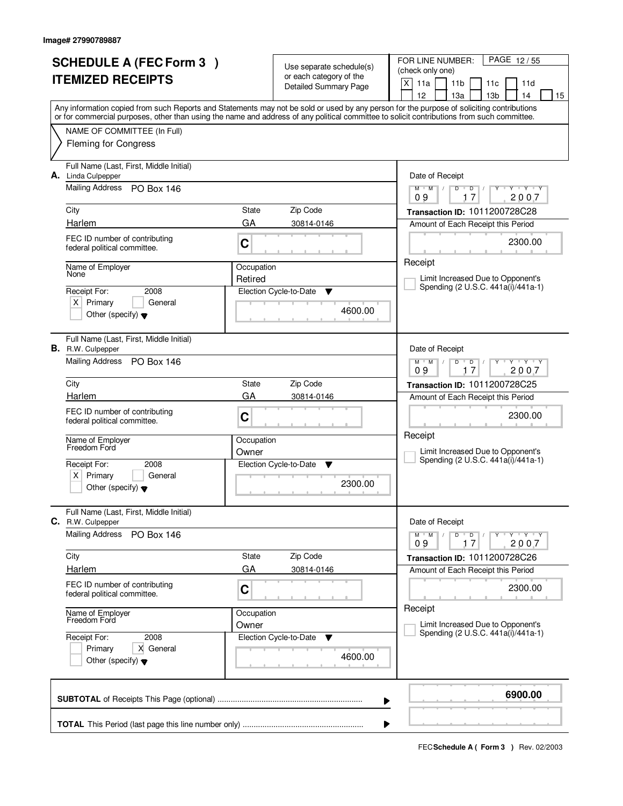| <b>SCHEDULE A (FEC Form 3)</b>                                                                                                                                                                                                                                                          |            | Use separate schedule(s)                                | PAGE 12/55<br>FOR LINE NUMBER:<br>(check only one)                                    |  |  |
|-----------------------------------------------------------------------------------------------------------------------------------------------------------------------------------------------------------------------------------------------------------------------------------------|------------|---------------------------------------------------------|---------------------------------------------------------------------------------------|--|--|
| <b>ITEMIZED RECEIPTS</b>                                                                                                                                                                                                                                                                |            | or each category of the<br><b>Detailed Summary Page</b> | X<br>11a<br>11 <sub>b</sub><br>11d<br>11c<br>12<br>13a<br>13 <sub>b</sub><br>14<br>15 |  |  |
| Any information copied from such Reports and Statements may not be sold or used by any person for the purpose of soliciting contributions<br>or for commercial purposes, other than using the name and address of any political committee to solicit contributions from such committee. |            |                                                         |                                                                                       |  |  |
| NAME OF COMMITTEE (In Full)<br><b>Fleming for Congress</b>                                                                                                                                                                                                                              |            |                                                         |                                                                                       |  |  |
| Full Name (Last, First, Middle Initial)                                                                                                                                                                                                                                                 |            |                                                         |                                                                                       |  |  |
| Linda Culpepper<br>А.                                                                                                                                                                                                                                                                   |            |                                                         | Date of Receipt                                                                       |  |  |
| Mailing Address<br><b>PO Box 146</b>                                                                                                                                                                                                                                                    |            |                                                         | $Y$ $Y$ $Y$<br>$M$ $M$ $/$<br>$\overline{D}$<br>D<br>Ÿ<br>17<br>2007<br>09            |  |  |
| City                                                                                                                                                                                                                                                                                    | State      | Zip Code                                                | Transaction ID: 1011200728C28                                                         |  |  |
| Harlem                                                                                                                                                                                                                                                                                  | GA         | 30814-0146                                              | Amount of Each Receipt this Period                                                    |  |  |
| FEC ID number of contributing<br>federal political committee.                                                                                                                                                                                                                           | C          |                                                         | 2300.00                                                                               |  |  |
| Name of Employer<br>None                                                                                                                                                                                                                                                                | Occupation |                                                         | Receipt                                                                               |  |  |
| 2008<br>Receipt For:                                                                                                                                                                                                                                                                    | Retired    | Election Cycle-to-Date<br>Y                             | Limit Increased Due to Opponent's<br>Spending (2 U.S.C. 441a(i)/441a-1)               |  |  |
| $X$ Primary<br>General                                                                                                                                                                                                                                                                  |            |                                                         |                                                                                       |  |  |
| Other (specify) $\blacktriangledown$                                                                                                                                                                                                                                                    |            | 4600.00                                                 |                                                                                       |  |  |
| Full Name (Last, First, Middle Initial)<br><b>B.</b> R.W. Culpepper                                                                                                                                                                                                                     |            |                                                         | Date of Receipt                                                                       |  |  |
| Mailing Address<br><b>PO Box 146</b>                                                                                                                                                                                                                                                    |            |                                                         | $Y - Y - Y$<br>$M$ $M$ /<br>D<br>D<br>2007<br>09<br>17                                |  |  |
| City                                                                                                                                                                                                                                                                                    | State      | Zip Code                                                | Transaction ID: 1011200728C25                                                         |  |  |
| Harlem                                                                                                                                                                                                                                                                                  | GA         | 30814-0146                                              | Amount of Each Receipt this Period                                                    |  |  |
| FEC ID number of contributing<br>federal political committee.                                                                                                                                                                                                                           | C          |                                                         | 2300.00                                                                               |  |  |
| Name of Employer<br>Freedom Ford                                                                                                                                                                                                                                                        | Occupation |                                                         | Receipt                                                                               |  |  |
| Receipt For:<br>2008                                                                                                                                                                                                                                                                    | Owner      | Election Cycle-to-Date<br>v                             | Limit Increased Due to Opponent's<br>Spending (2 U.S.C. 441a(i)/441a-1)               |  |  |
| $x \mid$<br>Primary<br>General                                                                                                                                                                                                                                                          |            |                                                         |                                                                                       |  |  |
| Other (specify) $\blacktriangledown$                                                                                                                                                                                                                                                    |            | 2300.00                                                 |                                                                                       |  |  |
| Full Name (Last, First, Middle Initial)<br><b>C.</b> R.W. Culpepper                                                                                                                                                                                                                     |            |                                                         | Date of Receipt                                                                       |  |  |
| <b>Mailing Address</b><br><b>PO Box 146</b>                                                                                                                                                                                                                                             |            |                                                         | $M$ $M$<br>$D$ $D$ $/$<br>YULYULYULY<br>09<br>17<br>2007                              |  |  |
| City                                                                                                                                                                                                                                                                                    | State      | Zip Code                                                | Transaction ID: 1011200728C26                                                         |  |  |
| <b>Harlem</b>                                                                                                                                                                                                                                                                           | GA         | 30814-0146                                              | Amount of Each Receipt this Period                                                    |  |  |
| FEC ID number of contributing<br>federal political committee.                                                                                                                                                                                                                           | C          |                                                         | 2300.00                                                                               |  |  |
| Name of Employer<br>Freedom Ford                                                                                                                                                                                                                                                        | Occupation |                                                         | Receipt<br>Limit Increased Due to Opponent's                                          |  |  |
| Receipt For:<br>2008                                                                                                                                                                                                                                                                    | Owner      | Election Cycle-to-Date<br>$\mathbf v$                   | Spending (2 U.S.C. 441a(i)/441a-1)                                                    |  |  |
| Primary<br>X General<br>Other (specify) $\blacktriangledown$                                                                                                                                                                                                                            |            | 4600.00                                                 |                                                                                       |  |  |
|                                                                                                                                                                                                                                                                                         |            |                                                         | 6900.00<br>▶                                                                          |  |  |
|                                                                                                                                                                                                                                                                                         |            |                                                         | ▶                                                                                     |  |  |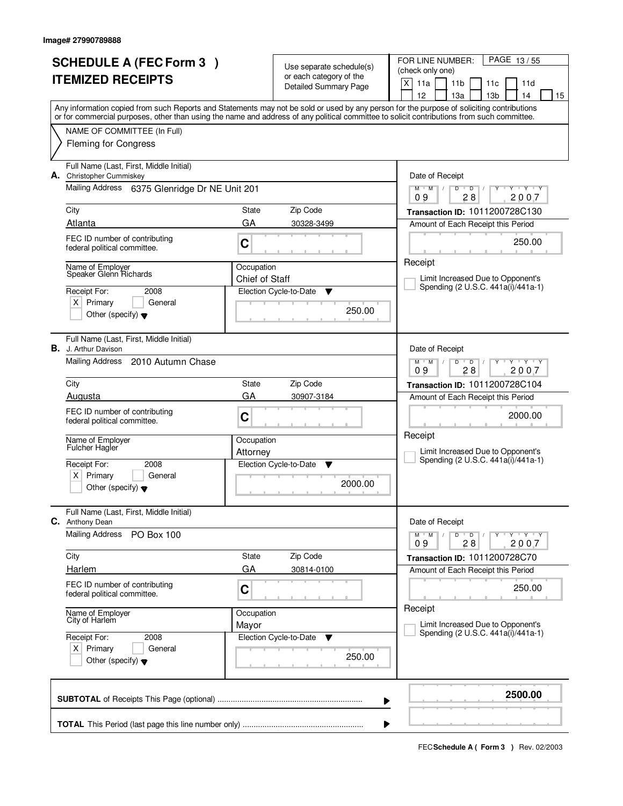| <b>SCHEDULE A (FEC Form 3)</b> |                                                                                        |                        | Use separate schedule(s)                                | PAGE 13/55<br>FOR LINE NUMBER:<br>(check only one)                                                                                                                                                                                                                                      |
|--------------------------------|----------------------------------------------------------------------------------------|------------------------|---------------------------------------------------------|-----------------------------------------------------------------------------------------------------------------------------------------------------------------------------------------------------------------------------------------------------------------------------------------|
| <b>ITEMIZED RECEIPTS</b>       |                                                                                        |                        | or each category of the<br><b>Detailed Summary Page</b> | X<br>11a<br>11 <sub>b</sub><br>11d<br>11c<br>12<br>13a<br>13 <sub>b</sub><br>14<br>15                                                                                                                                                                                                   |
|                                |                                                                                        |                        |                                                         | Any information copied from such Reports and Statements may not be sold or used by any person for the purpose of soliciting contributions<br>or for commercial purposes, other than using the name and address of any political committee to solicit contributions from such committee. |
|                                | NAME OF COMMITTEE (In Full)                                                            |                        |                                                         |                                                                                                                                                                                                                                                                                         |
|                                | <b>Fleming for Congress</b>                                                            |                        |                                                         |                                                                                                                                                                                                                                                                                         |
|                                | Full Name (Last, First, Middle Initial)<br>A. Christopher Cummiskey                    |                        |                                                         | Date of Receipt                                                                                                                                                                                                                                                                         |
|                                | Mailing Address 6375 Glenridge Dr NE Unit 201                                          |                        |                                                         | $Y$ $Y$ $Y$<br>$\mathsf D$<br>$M$ $M$ /<br>D<br>τ<br>28<br>2007<br>09                                                                                                                                                                                                                   |
|                                | City                                                                                   | State                  | Zip Code                                                | Transaction ID: 1011200728C130                                                                                                                                                                                                                                                          |
|                                | Atlanta                                                                                | GA                     | 30328-3499                                              | Amount of Each Receipt this Period                                                                                                                                                                                                                                                      |
|                                | FEC ID number of contributing<br>federal political committee.                          | C                      |                                                         | 250.00                                                                                                                                                                                                                                                                                  |
|                                | Name of Employer                                                                       | Occupation             |                                                         | Receipt                                                                                                                                                                                                                                                                                 |
|                                | Speaker Glenn Richards                                                                 | Chief of Staff         |                                                         | Limit Increased Due to Opponent's<br>Spending (2 U.S.C. 441a(i)/441a-1)                                                                                                                                                                                                                 |
|                                | Receipt For:<br>2008                                                                   |                        | Election Cycle-to-Date<br>Y                             |                                                                                                                                                                                                                                                                                         |
|                                | $X$ Primary<br>General<br>Other (specify) $\blacktriangledown$                         |                        | 250.00                                                  |                                                                                                                                                                                                                                                                                         |
|                                | Full Name (Last, First, Middle Initial)<br><b>B.</b> J. Arthur Davison                 |                        |                                                         | Date of Receipt                                                                                                                                                                                                                                                                         |
|                                | <b>Mailing Address</b><br>2010 Autumn Chase                                            |                        |                                                         | $Y - Y - Y$<br>$M$ $M$ /<br>D<br>$\overline{D}$<br>28<br>09<br>2007                                                                                                                                                                                                                     |
|                                | City                                                                                   | State                  | Zip Code                                                | Transaction ID: 1011200728C104                                                                                                                                                                                                                                                          |
|                                | Augusta                                                                                | GA                     | 30907-3184                                              | Amount of Each Receipt this Period                                                                                                                                                                                                                                                      |
|                                | FEC ID number of contributing<br>federal political committee.                          | C                      |                                                         | 2000.00                                                                                                                                                                                                                                                                                 |
|                                | Name of Employer<br><b>Fulcher Hagler</b>                                              | Occupation<br>Attorney |                                                         | Receipt<br>Limit Increased Due to Opponent's                                                                                                                                                                                                                                            |
|                                | Receipt For:<br>2008                                                                   |                        | Election Cycle-to-Date<br>▼                             | Spending (2 U.S.C. 441a(i)/441a-1)                                                                                                                                                                                                                                                      |
|                                | $x \mid$<br>Primary<br>General<br>Other (specify) $\blacktriangledown$                 |                        | 2000.00                                                 |                                                                                                                                                                                                                                                                                         |
| C.                             | Full Name (Last, First, Middle Initial)<br>Anthony Dean                                |                        |                                                         | Date of Receipt                                                                                                                                                                                                                                                                         |
|                                | <b>Mailing Address</b><br><b>PO Box 100</b>                                            |                        |                                                         | $M^{\prime}$ M $\rightarrow$ M<br>$D$ $D$ $/$<br>Y Y Y Y Y Y<br>09<br>28<br>2007                                                                                                                                                                                                        |
|                                | City                                                                                   | State                  | Zip Code                                                | Transaction ID: 1011200728C70                                                                                                                                                                                                                                                           |
|                                | <b>Harlem</b>                                                                          | GA                     | 30814-0100                                              | Amount of Each Receipt this Period                                                                                                                                                                                                                                                      |
|                                | FEC ID number of contributing<br>federal political committee.                          | C                      |                                                         | 250.00                                                                                                                                                                                                                                                                                  |
|                                | Name of Employer<br>City of Harlem                                                     | Occupation<br>Mayor    |                                                         | Receipt<br>Limit Increased Due to Opponent's                                                                                                                                                                                                                                            |
|                                | Receipt For:<br>2008<br>$X$ Primary<br>General<br>Other (specify) $\blacktriangledown$ |                        | Election Cycle-to-Date<br>$\mathbf v$<br>250.00         | Spending (2 U.S.C. 441a(i)/441a-1)                                                                                                                                                                                                                                                      |
|                                |                                                                                        |                        | ▶                                                       | 2500.00                                                                                                                                                                                                                                                                                 |
|                                |                                                                                        |                        |                                                         |                                                                                                                                                                                                                                                                                         |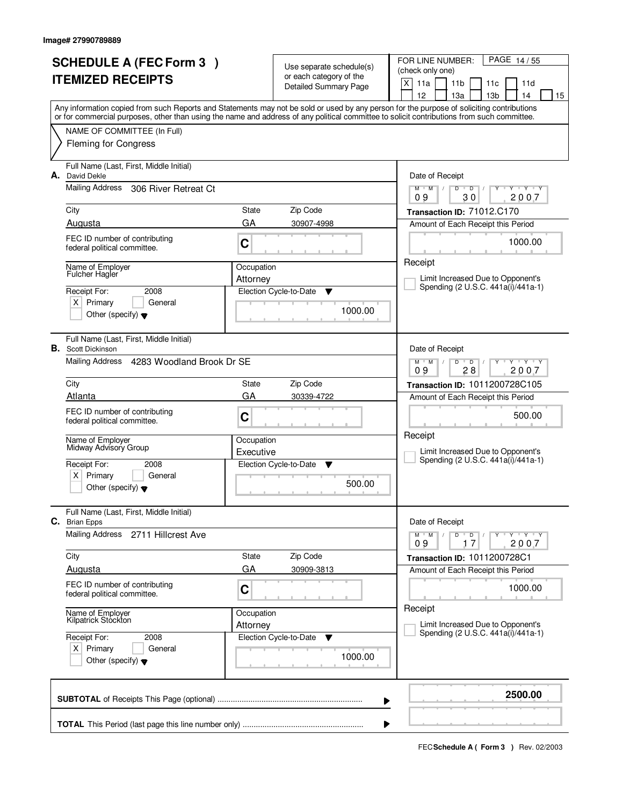|                          | <b>SCHEDULE A (FEC Form 3)</b>                                                                                                             | Use separate schedule(s)            |                                                         | FOR LINE NUMBER:<br>PAGE 14/55<br>(check only one)                                                                                                       |  |  |  |
|--------------------------|--------------------------------------------------------------------------------------------------------------------------------------------|-------------------------------------|---------------------------------------------------------|----------------------------------------------------------------------------------------------------------------------------------------------------------|--|--|--|
| <b>ITEMIZED RECEIPTS</b> |                                                                                                                                            |                                     | or each category of the<br><b>Detailed Summary Page</b> | X<br>11a<br>11 <sub>b</sub><br>11d<br>11c                                                                                                                |  |  |  |
|                          | Any information copied from such Reports and Statements may not be sold or used by any person for the purpose of soliciting contributions  |                                     |                                                         | 12<br>13 <sub>b</sub><br>13a<br>14<br>15                                                                                                                 |  |  |  |
|                          | or for commercial purposes, other than using the name and address of any political committee to solicit contributions from such committee. |                                     |                                                         |                                                                                                                                                          |  |  |  |
|                          | NAME OF COMMITTEE (In Full)<br><b>Fleming for Congress</b>                                                                                 |                                     |                                                         |                                                                                                                                                          |  |  |  |
| А.                       | Full Name (Last, First, Middle Initial)<br>David Dekle                                                                                     |                                     |                                                         | Date of Receipt                                                                                                                                          |  |  |  |
|                          | Mailing Address<br>306 River Retreat Ct                                                                                                    |                                     |                                                         | $Y - Y - Y$<br>$M$ $M$<br>$\sqrt{ }$<br>D<br>$\mathsf D$<br>30<br>2007<br>09                                                                             |  |  |  |
|                          | City                                                                                                                                       | State                               | Zip Code                                                | Transaction ID: 71012.C170                                                                                                                               |  |  |  |
|                          | Augusta                                                                                                                                    | GA                                  | 30907-4998                                              | Amount of Each Receipt this Period                                                                                                                       |  |  |  |
|                          | FEC ID number of contributing<br>federal political committee.                                                                              | C                                   |                                                         | 1000.00                                                                                                                                                  |  |  |  |
|                          | Name of Employer<br><b>Fulcher Hagler</b>                                                                                                  | Occupation                          |                                                         | Receipt                                                                                                                                                  |  |  |  |
|                          | Receipt For:<br>2008                                                                                                                       | Attorney                            | Election Cycle-to-Date<br>v                             | Limit Increased Due to Opponent's<br>Spending (2 U.S.C. 441a(i)/441a-1)                                                                                  |  |  |  |
|                          | $X$ Primary<br>General                                                                                                                     |                                     |                                                         |                                                                                                                                                          |  |  |  |
|                          | Other (specify) $\blacktriangledown$                                                                                                       |                                     | 1000.00                                                 |                                                                                                                                                          |  |  |  |
|                          | Full Name (Last, First, Middle Initial)<br><b>B.</b> Scott Dickinson                                                                       |                                     |                                                         | Date of Receipt                                                                                                                                          |  |  |  |
|                          | Mailing Address<br>4283 Woodland Brook Dr SE                                                                                               |                                     |                                                         | $\begin{array}{c} \Vdash \mathsf{Y} \quad \Vdash \mathsf{Y} \quad \Vdash \mathsf{Y} \end{array}$<br>$M$ $M$ /<br>D<br>$\overline{D}$<br>28<br>09<br>2007 |  |  |  |
|                          | City                                                                                                                                       | State                               | Zip Code                                                | Transaction ID: 1011200728C105                                                                                                                           |  |  |  |
|                          | Atlanta                                                                                                                                    | GA                                  | 30339-4722                                              | Amount of Each Receipt this Period                                                                                                                       |  |  |  |
|                          | FEC ID number of contributing<br>federal political committee.                                                                              | C                                   |                                                         | 500.00                                                                                                                                                   |  |  |  |
|                          | Name of Employer<br>Midway Advisory Group                                                                                                  | Occupation                          |                                                         | Receipt                                                                                                                                                  |  |  |  |
|                          | Receipt For:<br>2008                                                                                                                       | Executive<br>Election Cycle-to-Date |                                                         | Limit Increased Due to Opponent's<br>Spending (2 U.S.C. 441a(i)/441a-1)                                                                                  |  |  |  |
|                          | Primary<br>ΧI<br>General                                                                                                                   |                                     | v                                                       |                                                                                                                                                          |  |  |  |
|                          | Other (specify) $\blacktriangledown$                                                                                                       |                                     | 500.00                                                  |                                                                                                                                                          |  |  |  |
| С.                       | Full Name (Last, First, Middle Initial)<br><b>Brian Epps</b>                                                                               |                                     |                                                         | Date of Receipt                                                                                                                                          |  |  |  |
|                          | Mailing Address<br>2711 Hillcrest Ave                                                                                                      |                                     |                                                         | $M$ $M$ /<br>D<br>$\overline{D}$<br>$Y + Y + Y$<br>2007<br>09<br>17                                                                                      |  |  |  |
|                          | City                                                                                                                                       | State                               | Zip Code                                                | <b>Transaction ID: 1011200728C1</b>                                                                                                                      |  |  |  |
|                          | Augusta                                                                                                                                    | GA                                  | 30909-3813                                              | Amount of Each Receipt this Period                                                                                                                       |  |  |  |
|                          | FEC ID number of contributing<br>federal political committee.                                                                              | C                                   |                                                         | 1000.00                                                                                                                                                  |  |  |  |
|                          | Name of Employer<br>Kilpatrick Stockton                                                                                                    | Occupation                          |                                                         | Receipt                                                                                                                                                  |  |  |  |
|                          | Receipt For:<br>2008                                                                                                                       | Attorney                            | Election Cycle-to-Date<br>v                             | Limit Increased Due to Opponent's<br>Spending (2 U.S.C. 441a(i)/441a-1)                                                                                  |  |  |  |
|                          | $X$ Primary<br>General<br>Other (specify) $\blacktriangledown$                                                                             |                                     | 1000.00                                                 |                                                                                                                                                          |  |  |  |
|                          |                                                                                                                                            |                                     |                                                         |                                                                                                                                                          |  |  |  |
|                          |                                                                                                                                            |                                     |                                                         | 2500.00<br>▶                                                                                                                                             |  |  |  |
|                          |                                                                                                                                            |                                     |                                                         |                                                                                                                                                          |  |  |  |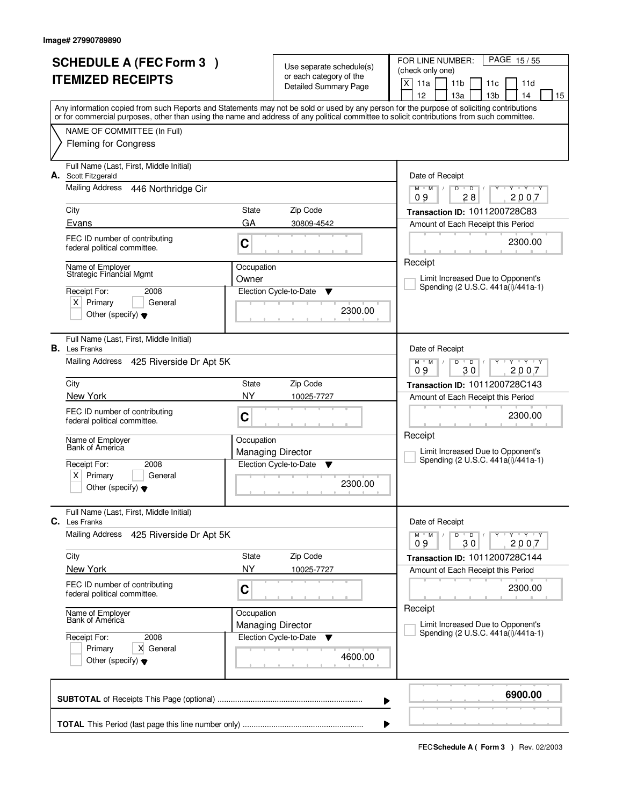|                                                              | <b>SCHEDULE A (FEC Form 3)</b>                                  |            | Use separate schedule(s)                           | PAGE 15/55<br>FOR LINE NUMBER:                                                                                                                                                        |
|--------------------------------------------------------------|-----------------------------------------------------------------|------------|----------------------------------------------------|---------------------------------------------------------------------------------------------------------------------------------------------------------------------------------------|
| <b>ITEMIZED RECEIPTS</b>                                     |                                                                 |            | or each category of the                            | (check only one)                                                                                                                                                                      |
|                                                              |                                                                 |            | <b>Detailed Summary Page</b>                       | $\times$<br>11a<br>11 <sub>b</sub><br>11d<br>11c                                                                                                                                      |
|                                                              |                                                                 |            |                                                    | 12<br>13a<br>13 <sub>b</sub><br>14<br>15<br>Any information copied from such Reports and Statements may not be sold or used by any person for the purpose of soliciting contributions |
|                                                              |                                                                 |            |                                                    | or for commercial purposes, other than using the name and address of any political committee to solicit contributions from such committee.                                            |
|                                                              | NAME OF COMMITTEE (In Full)                                     |            |                                                    |                                                                                                                                                                                       |
|                                                              | <b>Fleming for Congress</b>                                     |            |                                                    |                                                                                                                                                                                       |
| А.                                                           | Full Name (Last, First, Middle Initial)<br>Scott Fitzgerald     |            |                                                    | Date of Receipt                                                                                                                                                                       |
|                                                              | Mailing Address 446 Northridge Cir                              |            |                                                    | $Y - Y - Y$<br>D<br>$\overline{D}$<br>$M$ $M$ /<br>Ÿ<br>28<br>2007<br>09                                                                                                              |
|                                                              | City                                                            | State      | Zip Code                                           | Transaction ID: 1011200728C83                                                                                                                                                         |
|                                                              | Evans                                                           | GA         | 30809-4542                                         | Amount of Each Receipt this Period                                                                                                                                                    |
|                                                              | FEC ID number of contributing<br>federal political committee.   | C          |                                                    | 2300.00                                                                                                                                                                               |
|                                                              | Name of Employer                                                | Occupation |                                                    | Receipt                                                                                                                                                                               |
|                                                              | Strategic Financial Mgmt                                        | Owner      |                                                    | Limit Increased Due to Opponent's                                                                                                                                                     |
|                                                              | Receipt For:<br>2008                                            |            | Election Cycle-to-Date<br>▼                        | Spending (2 U.S.C. 441a(i)/441a-1)                                                                                                                                                    |
|                                                              | $X$ Primary<br>General                                          |            | 2300.00                                            |                                                                                                                                                                                       |
|                                                              | Other (specify) $\blacktriangledown$                            |            |                                                    |                                                                                                                                                                                       |
|                                                              | Full Name (Last, First, Middle Initial)<br><b>B.</b> Les Franks |            |                                                    | Date of Receipt                                                                                                                                                                       |
|                                                              | Mailing Address 425 Riverside Dr Apt 5K                         |            |                                                    | $Y - Y - Y$<br>$M$ $M$ /<br>D<br>$\overline{D}$                                                                                                                                       |
|                                                              |                                                                 |            |                                                    | 30<br>2007<br>09                                                                                                                                                                      |
|                                                              | City                                                            | State      | Zip Code                                           | Transaction ID: 1011200728C143                                                                                                                                                        |
|                                                              | New York                                                        | <b>NY</b>  | 10025-7727                                         | Amount of Each Receipt this Period                                                                                                                                                    |
|                                                              | FEC ID number of contributing<br>federal political committee.   | C          |                                                    | 2300.00                                                                                                                                                                               |
|                                                              |                                                                 |            |                                                    | Receipt                                                                                                                                                                               |
|                                                              | Name of Employer<br>Bank of America                             | Occupation |                                                    |                                                                                                                                                                                       |
|                                                              | Receipt For:                                                    |            | <b>Managing Director</b><br>Election Cycle-to-Date | Limit Increased Due to Opponent's<br>Spending (2 U.S.C. 441a(i)/441a-1)                                                                                                               |
|                                                              | 2008<br>Primary<br>ΧI<br>General                                |            | ▼                                                  |                                                                                                                                                                                       |
|                                                              | Other (specify) $\blacktriangledown$                            |            | 2300.00                                            |                                                                                                                                                                                       |
|                                                              |                                                                 |            |                                                    |                                                                                                                                                                                       |
|                                                              | Full Name (Last, First, Middle Initial)<br><b>C.</b> Les Franks |            |                                                    | Date of Receipt                                                                                                                                                                       |
|                                                              | Mailing Address<br>425 Riverside Dr Apt 5K                      |            |                                                    | $M$ $M$ /<br>$D$ $D$<br>$Y - Y - Y$<br>09<br>30<br>2007                                                                                                                               |
|                                                              | City                                                            | State      | Zip Code                                           | Transaction ID: 1011200728C144                                                                                                                                                        |
|                                                              | New York                                                        | NY         | 10025-7727                                         | Amount of Each Receipt this Period                                                                                                                                                    |
|                                                              | FEC ID number of contributing                                   |            |                                                    | 2300.00                                                                                                                                                                               |
|                                                              | federal political committee.                                    | C          |                                                    |                                                                                                                                                                                       |
|                                                              | Name of Employer<br>Bank of America                             | Occupation |                                                    | Receipt                                                                                                                                                                               |
|                                                              |                                                                 |            | <b>Managing Director</b>                           | Limit Increased Due to Opponent's<br>Spending (2 U.S.C. 441a(i)/441a-1)                                                                                                               |
|                                                              | Receipt For:<br>2008                                            |            | Election Cycle-to-Date<br>v                        |                                                                                                                                                                                       |
| X General<br>Primary<br>Other (specify) $\blacktriangledown$ |                                                                 |            | 4600.00                                            |                                                                                                                                                                                       |
|                                                              |                                                                 |            |                                                    |                                                                                                                                                                                       |
|                                                              |                                                                 |            |                                                    | 6900.00<br>▶                                                                                                                                                                          |
|                                                              |                                                                 |            |                                                    |                                                                                                                                                                                       |
|                                                              |                                                                 |            |                                                    |                                                                                                                                                                                       |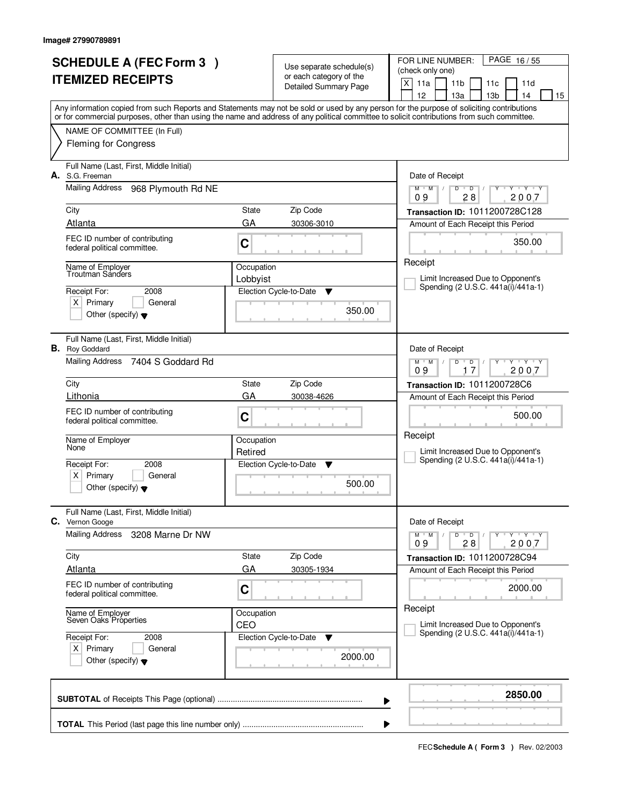| <b>SCHEDULE A (FEC Form 3)</b><br><b>ITEMIZED RECEIPTS</b> |                                                                                                                                            |                        | Use separate schedule(s)<br>or each category of the<br><b>Detailed Summary Page</b> | FOR LINE NUMBER:<br>PAGE 16/55<br>(check only one)<br>X<br>11a<br>11 <sub>b</sub><br>11c<br>11d<br>13 <sub>b</sub><br>12<br>13a<br>14<br>15 |  |  |  |
|------------------------------------------------------------|--------------------------------------------------------------------------------------------------------------------------------------------|------------------------|-------------------------------------------------------------------------------------|---------------------------------------------------------------------------------------------------------------------------------------------|--|--|--|
|                                                            | or for commercial purposes, other than using the name and address of any political committee to solicit contributions from such committee. |                        |                                                                                     | Any information copied from such Reports and Statements may not be sold or used by any person for the purpose of soliciting contributions   |  |  |  |
|                                                            | NAME OF COMMITTEE (In Full)<br><b>Fleming for Congress</b>                                                                                 |                        |                                                                                     |                                                                                                                                             |  |  |  |
| А.                                                         | Full Name (Last, First, Middle Initial)<br>S.G. Freeman<br><b>Mailing Address</b><br>968 Plymouth Rd NE                                    |                        |                                                                                     | Date of Receipt<br>Y Y Y Y<br>$M$ $M$ /<br>D<br>$\overline{D}$                                                                              |  |  |  |
|                                                            | City<br>Atlanta                                                                                                                            | State<br>GA            | Zip Code<br>30306-3010                                                              | 28<br>2007<br>09<br>Transaction ID: 1011200728C128<br>Amount of Each Receipt this Period                                                    |  |  |  |
|                                                            | FEC ID number of contributing<br>federal political committee.                                                                              | C                      |                                                                                     | 350.00<br>Receipt                                                                                                                           |  |  |  |
|                                                            | Name of Emplover<br>Troutman Sanders<br>Receipt For:<br>2008<br>$X$ Primary<br>General<br>Other (specify) $\blacktriangledown$             | Occupation<br>Lobbyist | Election Cycle-to-Date<br>v<br>350.00                                               | Limit Increased Due to Opponent's<br>Spending (2 U.S.C. 441a(i)/441a-1)                                                                     |  |  |  |
|                                                            | Full Name (Last, First, Middle Initial)<br><b>B.</b> Roy Goddard<br>Mailing Address 7404 S Goddard Rd                                      |                        |                                                                                     | Date of Receipt<br>$Y \cup Y \cup Y$<br>$M$ $M$ /<br>D<br>$\overline{D}$                                                                    |  |  |  |
|                                                            | City<br>Lithonia                                                                                                                           | State                  | Zip Code                                                                            | 17<br>09<br>2007<br>Transaction ID: 1011200728C6                                                                                            |  |  |  |
|                                                            | FEC ID number of contributing<br>federal political committee.                                                                              | GA<br>C                | 30038-4626                                                                          | Amount of Each Receipt this Period<br>500.00                                                                                                |  |  |  |
|                                                            | Name of Employer<br>None<br>Receipt For:<br>2008<br>$\times$<br>Primary<br>General<br>Other (specify) $\blacktriangledown$                 | Occupation<br>Retired  | Election Cycle-to-Date<br><b>V</b><br>500.00                                        | Receipt<br>Limit Increased Due to Opponent's<br>Spending (2 U.S.C. 441a(i)/441a-1)                                                          |  |  |  |
|                                                            | Full Name (Last, First, Middle Initial)<br>C. Vernon Googe                                                                                 |                        |                                                                                     | Date of Receipt                                                                                                                             |  |  |  |
|                                                            | Mailing Address<br>3208 Marne Dr NW                                                                                                        | State                  | Zip Code                                                                            | D<br>$Y - Y - Y - Y$<br>$M$ $M$ $/$<br>$\overline{D}$ /<br>2007<br>09<br>28                                                                 |  |  |  |
|                                                            | City<br><b>Atlanta</b>                                                                                                                     | GA                     | 30305-1934                                                                          | Transaction ID: 1011200728C94<br>Amount of Each Receipt this Period                                                                         |  |  |  |
|                                                            | FEC ID number of contributing<br>federal political committee.                                                                              | C                      |                                                                                     | 2000.00<br>Receipt                                                                                                                          |  |  |  |
|                                                            | Name of Employer<br>Seven Oaks Properties                                                                                                  | Occupation<br>CEO      |                                                                                     | Limit Increased Due to Opponent's<br>Spending (2 U.S.C. 441a(i)/441a-1)                                                                     |  |  |  |
|                                                            | Receipt For:<br>2008<br>$X$ Primary<br>General<br>Other (specify) $\blacktriangledown$                                                     |                        | Election Cycle-to-Date<br>v<br>2000.00                                              |                                                                                                                                             |  |  |  |
|                                                            |                                                                                                                                            |                        | ▶                                                                                   | 2850.00                                                                                                                                     |  |  |  |
|                                                            | ▶                                                                                                                                          |                        |                                                                                     |                                                                                                                                             |  |  |  |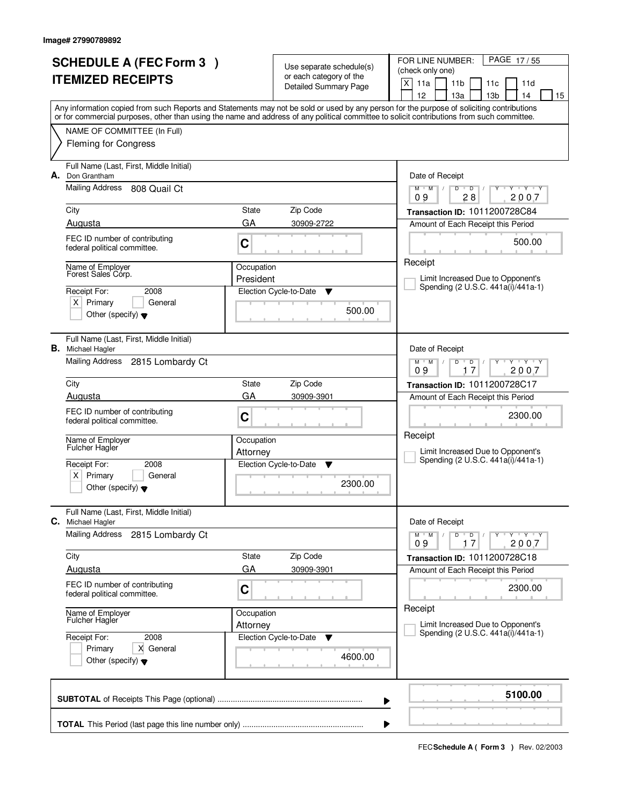|                          | <b>SCHEDULE A (FEC Form 3)</b>                                   |                         | Use separate schedule(s)     | FOR LINE NUMBER:<br>PAGE 17/55                                                                                                             |
|--------------------------|------------------------------------------------------------------|-------------------------|------------------------------|--------------------------------------------------------------------------------------------------------------------------------------------|
| <b>ITEMIZED RECEIPTS</b> |                                                                  |                         | or each category of the      | (check only one)<br>X<br>11 <sub>b</sub><br>11d                                                                                            |
|                          |                                                                  |                         | <b>Detailed Summary Page</b> | 11a<br>11c<br>12<br>13 <sub>b</sub><br>13a<br>14<br>15                                                                                     |
|                          |                                                                  |                         |                              | Any information copied from such Reports and Statements may not be sold or used by any person for the purpose of soliciting contributions  |
|                          |                                                                  |                         |                              | or for commercial purposes, other than using the name and address of any political committee to solicit contributions from such committee. |
|                          | NAME OF COMMITTEE (In Full)<br><b>Fleming for Congress</b>       |                         |                              |                                                                                                                                            |
|                          |                                                                  |                         |                              |                                                                                                                                            |
| А.                       | Full Name (Last, First, Middle Initial)<br>Don Grantham          |                         |                              |                                                                                                                                            |
|                          | Mailing Address<br>808 Quail Ct                                  |                         |                              | Date of Receipt<br>Y Y Y Y<br>$M$ $M$<br>$\sqrt{2}$<br>D<br>$\mathsf D$                                                                    |
|                          |                                                                  |                         |                              | 28<br>2007<br>09                                                                                                                           |
|                          | City                                                             | State                   | Zip Code                     | Transaction ID: 1011200728C84                                                                                                              |
|                          | Augusta                                                          | GA                      | 30909-2722                   | Amount of Each Receipt this Period                                                                                                         |
|                          | FEC ID number of contributing<br>federal political committee.    | C                       |                              | 500.00                                                                                                                                     |
|                          |                                                                  |                         |                              | Receipt                                                                                                                                    |
|                          | Name of Employer<br>Forest Sales Corp.                           | Occupation<br>President |                              | Limit Increased Due to Opponent's                                                                                                          |
|                          | Receipt For:<br>2008                                             |                         | Election Cycle-to-Date<br>Y  | Spending (2 U.S.C. 441a(i)/441a-1)                                                                                                         |
|                          | $X$ Primary<br>General                                           |                         |                              |                                                                                                                                            |
|                          | Other (specify) $\blacktriangledown$                             |                         | 500.00                       |                                                                                                                                            |
|                          | Full Name (Last, First, Middle Initial)                          |                         |                              |                                                                                                                                            |
|                          | <b>B.</b> Michael Hagler                                         |                         |                              | Date of Receipt                                                                                                                            |
|                          | Mailing Address<br>2815 Lombardy Ct                              |                         |                              | $Y$ $Y$ $Y$<br>$M$ $M$ /<br>D<br>D                                                                                                         |
|                          | City                                                             | State                   | Zip Code                     | 2007<br>09<br>17                                                                                                                           |
|                          | Augusta                                                          | GA                      | 30909-3901                   | Transaction ID: 1011200728C17<br>Amount of Each Receipt this Period                                                                        |
|                          | FEC ID number of contributing                                    |                         |                              |                                                                                                                                            |
|                          | federal political committee.                                     | C                       |                              | 2300.00                                                                                                                                    |
|                          | Name of Employer                                                 | Occupation              |                              | Receipt                                                                                                                                    |
|                          | <b>Fulcher Hagler</b>                                            | Attorney                |                              | Limit Increased Due to Opponent's                                                                                                          |
|                          | Receipt For:<br>2008                                             |                         | Election Cycle-to-Date<br>v  | Spending (2 U.S.C. 441a(i)/441a-1)                                                                                                         |
|                          | Primary<br>ΧI<br>General<br>Other (specify) $\blacktriangledown$ |                         | 2300.00                      |                                                                                                                                            |
|                          |                                                                  |                         |                              |                                                                                                                                            |
|                          | Full Name (Last, First, Middle Initial)                          |                         |                              |                                                                                                                                            |
| С.                       | Michael Hagler<br>Mailing Address                                |                         |                              | Date of Receipt<br>$Y - Y - Y - Y$<br>$M$ $M$ /<br>D                                                                                       |
|                          | 2815 Lombardy Ct                                                 |                         |                              | $\overline{D}$<br>09<br>2007<br>17                                                                                                         |
|                          | City                                                             | State                   | Zip Code                     | Transaction ID: 1011200728C18                                                                                                              |
|                          | Augusta                                                          | GA                      | 30909-3901                   | Amount of Each Receipt this Period                                                                                                         |
|                          | FEC ID number of contributing<br>federal political committee.    | C                       |                              | 2300.00                                                                                                                                    |
|                          |                                                                  |                         |                              | Receipt                                                                                                                                    |
|                          | Name of Employer<br>Fulcher Hagler                               | Occupation<br>Attorney  |                              | Limit Increased Due to Opponent's                                                                                                          |
|                          | Receipt For:<br>2008                                             |                         | Election Cycle-to-Date<br>v  | Spending (2 U.S.C. 441a(i)/441a-1)                                                                                                         |
|                          | Primary<br>X General                                             |                         |                              |                                                                                                                                            |
|                          | Other (specify) $\blacktriangledown$                             |                         | 4600.00                      |                                                                                                                                            |
|                          |                                                                  |                         |                              |                                                                                                                                            |
|                          |                                                                  |                         |                              | 5100.00<br>▶                                                                                                                               |
|                          |                                                                  |                         |                              |                                                                                                                                            |
|                          |                                                                  |                         |                              |                                                                                                                                            |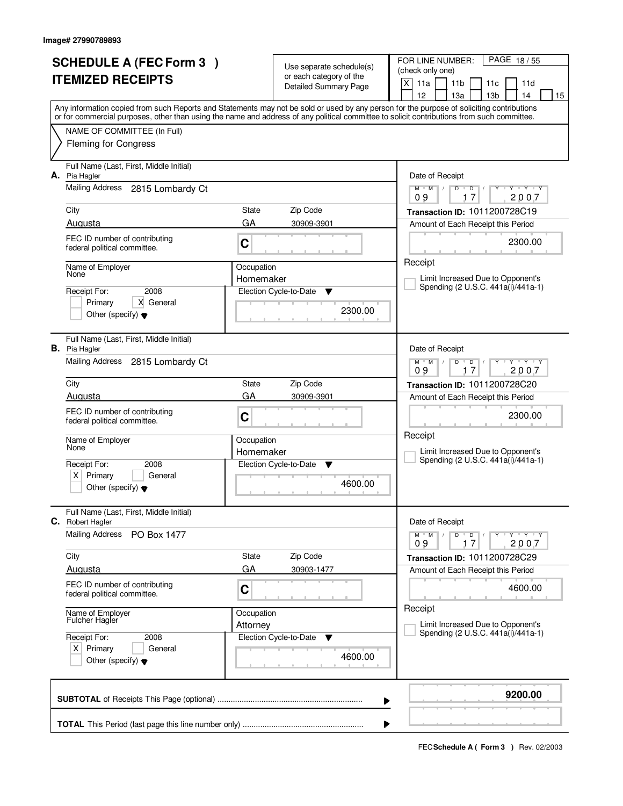|                          | <b>SCHEDULE A (FEC Form 3)</b>                                  |                         |                                                     | FOR LINE NUMBER:<br>PAGE 18/55                                                                                                                                                                                                                                                          |
|--------------------------|-----------------------------------------------------------------|-------------------------|-----------------------------------------------------|-----------------------------------------------------------------------------------------------------------------------------------------------------------------------------------------------------------------------------------------------------------------------------------------|
| <b>ITEMIZED RECEIPTS</b> |                                                                 |                         | Use separate schedule(s)<br>or each category of the | (check only one)                                                                                                                                                                                                                                                                        |
|                          |                                                                 |                         | <b>Detailed Summary Page</b>                        | X<br>11a<br>11 <sub>b</sub><br>11d<br>11c                                                                                                                                                                                                                                               |
|                          |                                                                 |                         |                                                     | 12<br>13 <sub>b</sub><br>13a<br>14<br>15                                                                                                                                                                                                                                                |
|                          |                                                                 |                         |                                                     | Any information copied from such Reports and Statements may not be sold or used by any person for the purpose of soliciting contributions<br>or for commercial purposes, other than using the name and address of any political committee to solicit contributions from such committee. |
|                          | NAME OF COMMITTEE (In Full)                                     |                         |                                                     |                                                                                                                                                                                                                                                                                         |
|                          | <b>Fleming for Congress</b>                                     |                         |                                                     |                                                                                                                                                                                                                                                                                         |
|                          |                                                                 |                         |                                                     |                                                                                                                                                                                                                                                                                         |
|                          | Full Name (Last, First, Middle Initial)                         |                         |                                                     |                                                                                                                                                                                                                                                                                         |
|                          | A. Pia Hagler                                                   |                         |                                                     | Date of Receipt                                                                                                                                                                                                                                                                         |
|                          | <b>Mailing Address</b><br>2815 Lombardy Ct                      |                         |                                                     | $Y$ $Y$ $Y$<br>$M$ $M$<br>$\sqrt{2}$<br>D<br>$\overline{D}$<br>17<br>2007<br>09                                                                                                                                                                                                         |
|                          | City                                                            | State                   | Zip Code                                            | Transaction ID: 1011200728C19                                                                                                                                                                                                                                                           |
|                          | Augusta                                                         | GA                      | 30909-3901                                          | Amount of Each Receipt this Period                                                                                                                                                                                                                                                      |
|                          | FEC ID number of contributing                                   |                         |                                                     |                                                                                                                                                                                                                                                                                         |
|                          | federal political committee.                                    | C                       |                                                     | 2300.00                                                                                                                                                                                                                                                                                 |
|                          |                                                                 |                         |                                                     | Receipt                                                                                                                                                                                                                                                                                 |
|                          | Name of Employer<br>None                                        | Occupation<br>Homemaker |                                                     | Limit Increased Due to Opponent's                                                                                                                                                                                                                                                       |
|                          | 2008<br>Receipt For:                                            |                         | Election Cycle-to-Date<br>▼                         | Spending (2 U.S.C. 441a(i)/441a-1)                                                                                                                                                                                                                                                      |
|                          | X General<br>Primary                                            |                         |                                                     |                                                                                                                                                                                                                                                                                         |
|                          | Other (specify) $\blacktriangledown$                            |                         | 2300.00                                             |                                                                                                                                                                                                                                                                                         |
|                          |                                                                 |                         |                                                     |                                                                                                                                                                                                                                                                                         |
|                          | Full Name (Last, First, Middle Initial)<br><b>B.</b> Pia Hagler |                         |                                                     | Date of Receipt                                                                                                                                                                                                                                                                         |
|                          | Mailing Address 2815 Lombardy Ct                                |                         |                                                     | $Y + Y + Y$<br>$M$ $M$ /<br>D<br>$\overline{D}$                                                                                                                                                                                                                                         |
|                          |                                                                 |                         |                                                     | 09<br>17<br>2007                                                                                                                                                                                                                                                                        |
|                          | City                                                            | State                   | Zip Code                                            | Transaction ID: 1011200728C20                                                                                                                                                                                                                                                           |
|                          | Augusta                                                         | GA                      | 30909-3901                                          | Amount of Each Receipt this Period                                                                                                                                                                                                                                                      |
|                          | FEC ID number of contributing                                   | C                       |                                                     | 2300.00                                                                                                                                                                                                                                                                                 |
|                          | federal political committee.                                    |                         |                                                     |                                                                                                                                                                                                                                                                                         |
|                          | Name of Employer                                                | Occupation              |                                                     | Receipt                                                                                                                                                                                                                                                                                 |
|                          | None                                                            | Homemaker               |                                                     | Limit Increased Due to Opponent's                                                                                                                                                                                                                                                       |
|                          | Receipt For:<br>2008                                            |                         | Election Cycle-to-Date<br>v                         | Spending (2 U.S.C. 441a(i)/441a-1)                                                                                                                                                                                                                                                      |
|                          | Primary<br>X  <br>General                                       |                         | 4600.00                                             |                                                                                                                                                                                                                                                                                         |
|                          | Other (specify) $\blacktriangledown$                            |                         |                                                     |                                                                                                                                                                                                                                                                                         |
|                          | Full Name (Last, First, Middle Initial)                         |                         |                                                     |                                                                                                                                                                                                                                                                                         |
| C.                       | <b>Robert Hagler</b>                                            |                         |                                                     | Date of Receipt                                                                                                                                                                                                                                                                         |
|                          | <b>Mailing Address</b><br>PO Box 1477                           |                         |                                                     | D<br>$Y - Y - Y - Y$<br>$M$ $M$ $/$<br>$\overline{D}$                                                                                                                                                                                                                                   |
|                          |                                                                 |                         |                                                     | 09<br>2007<br>17                                                                                                                                                                                                                                                                        |
|                          | City                                                            | State<br>GA             | Zip Code                                            | Transaction ID: 1011200728C29                                                                                                                                                                                                                                                           |
|                          | Augusta                                                         |                         | 30903-1477                                          | Amount of Each Receipt this Period                                                                                                                                                                                                                                                      |
|                          | FEC ID number of contributing<br>federal political committee.   | C                       |                                                     | 4600.00                                                                                                                                                                                                                                                                                 |
|                          |                                                                 |                         |                                                     | Receipt                                                                                                                                                                                                                                                                                 |
|                          | Name of Employer<br>Fulcher Hagler                              | Occupation              |                                                     |                                                                                                                                                                                                                                                                                         |
|                          | Receipt For:<br>2008                                            | Attorney                | Election Cycle-to-Date<br>v                         | Limit Increased Due to Opponent's<br>Spending (2 U.S.C. 441a(i)/441a-1)                                                                                                                                                                                                                 |
|                          | $X$ Primary<br>General                                          |                         |                                                     |                                                                                                                                                                                                                                                                                         |
|                          | Other (specify) $\blacktriangledown$                            |                         | 4600.00                                             |                                                                                                                                                                                                                                                                                         |
|                          |                                                                 |                         |                                                     |                                                                                                                                                                                                                                                                                         |
|                          |                                                                 |                         |                                                     |                                                                                                                                                                                                                                                                                         |
|                          |                                                                 |                         |                                                     | 9200.00<br>▶                                                                                                                                                                                                                                                                            |
|                          |                                                                 |                         |                                                     |                                                                                                                                                                                                                                                                                         |
|                          |                                                                 |                         |                                                     |                                                                                                                                                                                                                                                                                         |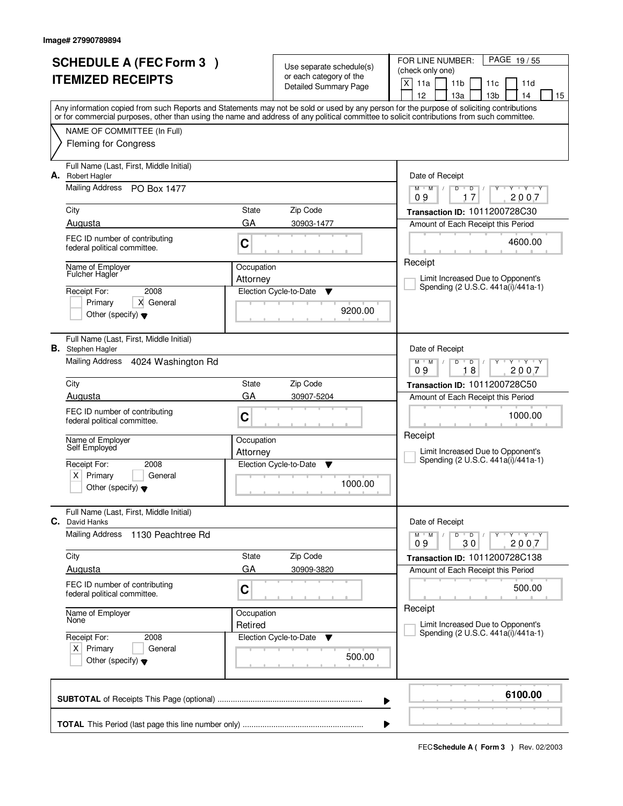|                          | <b>SCHEDULE A (FEC Form 3)</b>                                         |            |                                                     | FOR LINE NUMBER:<br>PAGE 19/55                                                                                                                                                        |  |  |  |
|--------------------------|------------------------------------------------------------------------|------------|-----------------------------------------------------|---------------------------------------------------------------------------------------------------------------------------------------------------------------------------------------|--|--|--|
| <b>ITEMIZED RECEIPTS</b> |                                                                        |            | Use separate schedule(s)<br>or each category of the | (check only one)                                                                                                                                                                      |  |  |  |
|                          |                                                                        |            | <b>Detailed Summary Page</b>                        | X<br>11a<br>11 <sub>b</sub><br>11d<br>11c                                                                                                                                             |  |  |  |
|                          |                                                                        |            |                                                     | 12<br>13 <sub>b</sub><br>13a<br>14<br>15<br>Any information copied from such Reports and Statements may not be sold or used by any person for the purpose of soliciting contributions |  |  |  |
|                          |                                                                        |            |                                                     | or for commercial purposes, other than using the name and address of any political committee to solicit contributions from such committee.                                            |  |  |  |
|                          | NAME OF COMMITTEE (In Full)                                            |            |                                                     |                                                                                                                                                                                       |  |  |  |
|                          | <b>Fleming for Congress</b>                                            |            |                                                     |                                                                                                                                                                                       |  |  |  |
| А.                       | Full Name (Last, First, Middle Initial)<br><b>Robert Hagler</b>        |            |                                                     | Date of Receipt                                                                                                                                                                       |  |  |  |
|                          | Mailing Address<br>PO Box 1477                                         |            |                                                     | $Y - Y - Y$<br>$M$ $M$<br>$\sqrt{2}$<br>D<br>$\overline{\mathsf{D}}$<br>17<br>2007<br>09                                                                                              |  |  |  |
|                          | City                                                                   | State      | Zip Code                                            | Transaction ID: 1011200728C30                                                                                                                                                         |  |  |  |
|                          | Augusta                                                                | GA         | 30903-1477                                          | Amount of Each Receipt this Period                                                                                                                                                    |  |  |  |
|                          | FEC ID number of contributing<br>federal political committee.          | C          |                                                     | 4600.00                                                                                                                                                                               |  |  |  |
|                          | Name of Employer                                                       | Occupation |                                                     | Receipt                                                                                                                                                                               |  |  |  |
|                          | <b>Fulcher Hagler</b>                                                  | Attorney   |                                                     | Limit Increased Due to Opponent's<br>Spending (2 U.S.C. 441a(i)/441a-1)                                                                                                               |  |  |  |
|                          | 2008<br>Receipt For:                                                   |            | Election Cycle-to-Date<br>▼                         |                                                                                                                                                                                       |  |  |  |
|                          | X General<br>Primary<br>Other (specify) $\blacktriangledown$           |            | 9200.00                                             |                                                                                                                                                                                       |  |  |  |
|                          | Full Name (Last, First, Middle Initial)<br><b>B.</b> Stephen Hagler    |            |                                                     | Date of Receipt                                                                                                                                                                       |  |  |  |
|                          | Mailing Address<br>4024 Washington Rd                                  |            |                                                     | $Y$ $Y$ $Y$<br>$M$ $M$ /<br>D<br>$\overline{D}$<br>18<br>2007<br>09                                                                                                                   |  |  |  |
|                          | City                                                                   | State      | Zip Code                                            | Transaction ID: 1011200728C50                                                                                                                                                         |  |  |  |
|                          | Augusta                                                                | GA         | 30907-5204                                          | Amount of Each Receipt this Period                                                                                                                                                    |  |  |  |
|                          | FEC ID number of contributing<br>federal political committee.          | C          |                                                     | 1000.00                                                                                                                                                                               |  |  |  |
|                          | Name of Employer                                                       | Occupation |                                                     | Receipt                                                                                                                                                                               |  |  |  |
|                          | Self Employed                                                          | Attorney   |                                                     | Limit Increased Due to Opponent's                                                                                                                                                     |  |  |  |
|                          | Receipt For:<br>2008                                                   |            | Election Cycle-to-Date<br>v                         | Spending (2 U.S.C. 441a(i)/441a-1)                                                                                                                                                    |  |  |  |
|                          | Primary<br>$\times$<br>General<br>Other (specify) $\blacktriangledown$ |            | 1000.00                                             |                                                                                                                                                                                       |  |  |  |
| С.                       | Full Name (Last, First, Middle Initial)<br>David Hanks                 |            |                                                     | Date of Receipt                                                                                                                                                                       |  |  |  |
|                          | <b>Mailing Address</b><br>1130 Peachtree Rd                            |            |                                                     | D<br>$Y - Y - Y - Y$<br>$M$ $M$ $/$<br>$\Box$ D $\Box$<br>09<br>30<br>2007                                                                                                            |  |  |  |
|                          | City                                                                   | State      | Zip Code                                            | Transaction ID: 1011200728C138                                                                                                                                                        |  |  |  |
|                          | Augusta                                                                | GA         | 30909-3820                                          | Amount of Each Receipt this Period                                                                                                                                                    |  |  |  |
|                          | FEC ID number of contributing<br>federal political committee.          | C          |                                                     | 500.00                                                                                                                                                                                |  |  |  |
|                          | Name of Employer<br>None                                               | Occupation |                                                     | Receipt                                                                                                                                                                               |  |  |  |
|                          |                                                                        | Retired    |                                                     | Limit Increased Due to Opponent's<br>Spending (2 U.S.C. 441a(i)/441a-1)                                                                                                               |  |  |  |
|                          | Receipt For:<br>2008                                                   |            | Election Cycle-to-Date<br>v                         |                                                                                                                                                                                       |  |  |  |
|                          | $X$ Primary<br>General<br>Other (specify) $\blacktriangledown$         |            | 500.00                                              |                                                                                                                                                                                       |  |  |  |
|                          |                                                                        |            |                                                     | 6100.00                                                                                                                                                                               |  |  |  |
|                          | ▶                                                                      |            |                                                     |                                                                                                                                                                                       |  |  |  |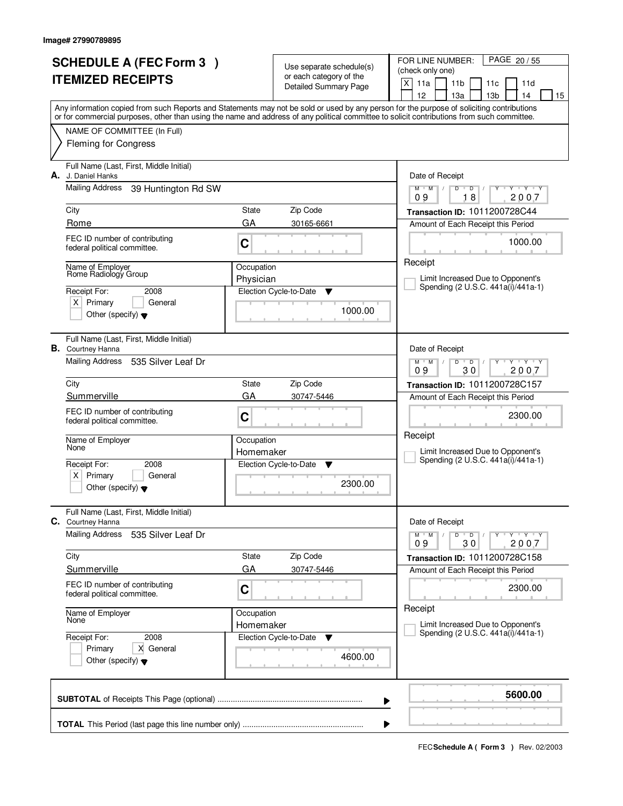| <b>SCHEDULE A (FEC Form 3)</b> |                                                                                                                                            |                         | Use separate schedule(s)                                | PAGE 20 / 55<br>FOR LINE NUMBER:<br>(check only one)                                                                                      |  |  |  |
|--------------------------------|--------------------------------------------------------------------------------------------------------------------------------------------|-------------------------|---------------------------------------------------------|-------------------------------------------------------------------------------------------------------------------------------------------|--|--|--|
|                                | <b>ITEMIZED RECEIPTS</b>                                                                                                                   |                         | or each category of the<br><b>Detailed Summary Page</b> | $\times$<br>11a<br>11 <sub>b</sub><br>11d<br>11c<br>13 <sub>b</sub><br>12<br>13a<br>14<br>15                                              |  |  |  |
|                                | or for commercial purposes, other than using the name and address of any political committee to solicit contributions from such committee. |                         |                                                         | Any information copied from such Reports and Statements may not be sold or used by any person for the purpose of soliciting contributions |  |  |  |
|                                | NAME OF COMMITTEE (In Full)<br><b>Fleming for Congress</b>                                                                                 |                         |                                                         |                                                                                                                                           |  |  |  |
| А.                             | Full Name (Last, First, Middle Initial)<br>J. Daniel Hanks                                                                                 |                         |                                                         | Date of Receipt                                                                                                                           |  |  |  |
|                                | <b>Mailing Address</b><br>39 Huntington Rd SW                                                                                              |                         |                                                         | $Y$ $Y$ $Y$<br>$M$ $M$ /<br>$D$ $D$ $I$<br>$Y$ <sup><math>\top</math></sup><br>18<br>2007<br>09                                           |  |  |  |
|                                | City<br>Rome                                                                                                                               | State<br>GA             | Zip Code<br>30165-6661                                  | Transaction ID: 1011200728C44<br>Amount of Each Receipt this Period                                                                       |  |  |  |
|                                | FEC ID number of contributing<br>federal political committee.                                                                              | C                       |                                                         | 1000.00                                                                                                                                   |  |  |  |
|                                | Name of Employer<br>Rome Radiology Group                                                                                                   | Occupation<br>Physician |                                                         | Receipt<br>Limit Increased Due to Opponent's                                                                                              |  |  |  |
|                                | Receipt For:<br>2008<br>$X$ Primary<br>General<br>Other (specify) $\blacktriangledown$                                                     |                         | Election Cycle-to-Date<br>▼<br>1000.00                  | Spending (2 U.S.C. 441a(i)/441a-1)                                                                                                        |  |  |  |
|                                | Full Name (Last, First, Middle Initial)<br><b>B.</b> Courtney Hanna                                                                        |                         |                                                         | Date of Receipt                                                                                                                           |  |  |  |
|                                | Mailing Address<br>535 Silver Leaf Dr                                                                                                      |                         |                                                         | $M$ $M$ /<br>$Y - Y - Y$<br>D<br>$\overline{D}$<br>30<br>2007<br>09                                                                       |  |  |  |
|                                | City                                                                                                                                       | State                   | Zip Code                                                | Transaction ID: 1011200728C157                                                                                                            |  |  |  |
|                                | Summerville<br>FEC ID number of contributing                                                                                               | GA                      | 30747-5446                                              | Amount of Each Receipt this Period                                                                                                        |  |  |  |
|                                | federal political committee.                                                                                                               | C                       |                                                         | 2300.00                                                                                                                                   |  |  |  |
|                                | Name of Employer<br>None                                                                                                                   | Occupation              |                                                         | Receipt<br>Limit Increased Due to Opponent's                                                                                              |  |  |  |
|                                | Receipt For:<br>2008                                                                                                                       | Homemaker               | Election Cycle-to-Date<br>▼                             | Spending (2 U.S.C. 441a(i)/441a-1)                                                                                                        |  |  |  |
|                                | Primary<br>General<br>ΧI<br>Other (specify) $\blacktriangledown$                                                                           |                         | 2300.00                                                 |                                                                                                                                           |  |  |  |
|                                | Full Name (Last, First, Middle Initial)<br>C. Courtney Hanna                                                                               |                         |                                                         | Date of Receipt                                                                                                                           |  |  |  |
|                                | <b>Mailing Address</b><br>535 Silver Leaf Dr                                                                                               |                         |                                                         | $D$ $D$<br>$Y - Y - Y - Y$<br>$M$ $M$ /<br>$\prime$<br>2007<br>09<br>30                                                                   |  |  |  |
|                                | City                                                                                                                                       | State                   | Zip Code                                                | Transaction ID: 1011200728C158                                                                                                            |  |  |  |
|                                | Summerville                                                                                                                                | GA                      | 30747-5446                                              | Amount of Each Receipt this Period                                                                                                        |  |  |  |
|                                | FEC ID number of contributing<br>federal political committee.                                                                              | C                       |                                                         | 2300.00<br>Receipt                                                                                                                        |  |  |  |
|                                | Name of Employer<br>None                                                                                                                   | Occupation<br>Homemaker |                                                         | Limit Increased Due to Opponent's                                                                                                         |  |  |  |
|                                | Receipt For:<br>2008                                                                                                                       |                         | Election Cycle-to-Date<br>v                             | Spending (2 U.S.C. 441a(i)/441a-1)                                                                                                        |  |  |  |
|                                | X General<br>Primary<br>Other (specify) $\blacktriangledown$                                                                               |                         | 4600.00                                                 |                                                                                                                                           |  |  |  |
|                                |                                                                                                                                            |                         |                                                         | 5600.00<br>▶                                                                                                                              |  |  |  |
|                                | ▶                                                                                                                                          |                         |                                                         |                                                                                                                                           |  |  |  |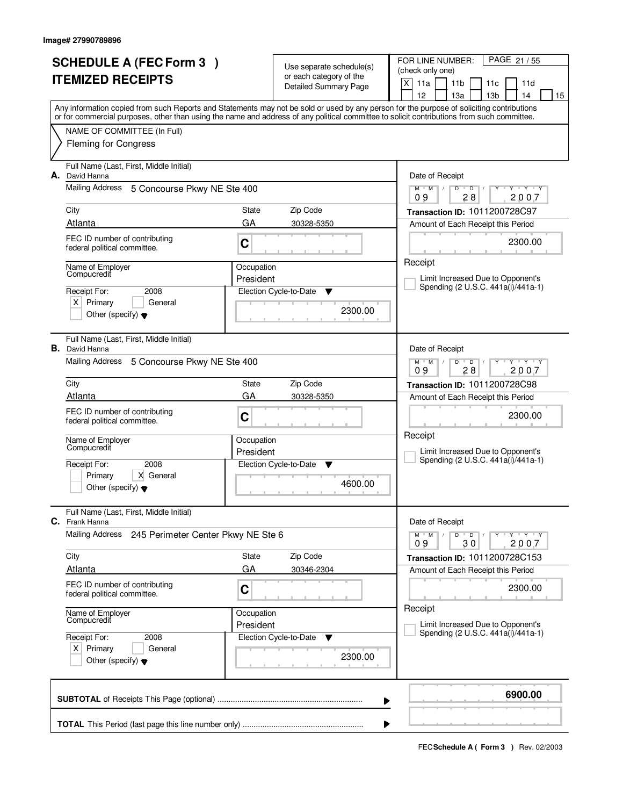|                          | <b>SCHEDULE A (FEC Form 3)</b>                                                                                                             |                         | Use separate schedule(s)                                | PAGE 21/55<br>FOR LINE NUMBER:<br>(check only one)                                                                                                                                    |
|--------------------------|--------------------------------------------------------------------------------------------------------------------------------------------|-------------------------|---------------------------------------------------------|---------------------------------------------------------------------------------------------------------------------------------------------------------------------------------------|
| <b>ITEMIZED RECEIPTS</b> |                                                                                                                                            |                         | or each category of the<br><b>Detailed Summary Page</b> | $\times$<br>11a<br>11 <sub>b</sub><br>11d<br>11c                                                                                                                                      |
|                          |                                                                                                                                            |                         |                                                         | 12<br>13a<br>13 <sub>b</sub><br>14<br>15<br>Any information copied from such Reports and Statements may not be sold or used by any person for the purpose of soliciting contributions |
|                          | or for commercial purposes, other than using the name and address of any political committee to solicit contributions from such committee. |                         |                                                         |                                                                                                                                                                                       |
|                          | NAME OF COMMITTEE (In Full)<br><b>Fleming for Congress</b>                                                                                 |                         |                                                         |                                                                                                                                                                                       |
|                          |                                                                                                                                            |                         |                                                         |                                                                                                                                                                                       |
| А.                       | Full Name (Last, First, Middle Initial)<br>David Hanna                                                                                     |                         |                                                         | Date of Receipt                                                                                                                                                                       |
|                          | Mailing Address 5 Concourse Pkwy NE Ste 400                                                                                                |                         |                                                         | $Y$ $Y$ $Y$<br>$M$ $M$ $/$<br>D<br>$\overline{D}$<br>Ÿ<br>28<br>2007<br>09                                                                                                            |
|                          | City                                                                                                                                       | State                   | Zip Code                                                | Transaction ID: 1011200728C97                                                                                                                                                         |
|                          | Atlanta                                                                                                                                    | GA                      | 30328-5350                                              | Amount of Each Receipt this Period                                                                                                                                                    |
|                          | FEC ID number of contributing<br>federal political committee.                                                                              | C                       |                                                         | 2300.00                                                                                                                                                                               |
|                          |                                                                                                                                            |                         |                                                         | Receipt                                                                                                                                                                               |
|                          | Name of Employer<br>Compucredit                                                                                                            | Occupation<br>President |                                                         | Limit Increased Due to Opponent's                                                                                                                                                     |
|                          | Receipt For:<br>2008                                                                                                                       |                         | Election Cycle-to-Date<br>▼                             | Spending (2 U.S.C. 441a(i)/441a-1)                                                                                                                                                    |
|                          | $X$ Primary<br>General<br>Other (specify) $\blacktriangledown$                                                                             |                         | 2300.00                                                 |                                                                                                                                                                                       |
|                          |                                                                                                                                            |                         |                                                         |                                                                                                                                                                                       |
|                          | Full Name (Last, First, Middle Initial)<br><b>B.</b> David Hanna                                                                           |                         |                                                         | Date of Receipt                                                                                                                                                                       |
|                          | Mailing Address<br>5 Concourse Pkwy NE Ste 400                                                                                             |                         |                                                         | $M$ $M$ /<br>$Y \vdash Y \vdash Y$<br>D<br>$\Box$                                                                                                                                     |
|                          | City                                                                                                                                       | State                   | Zip Code                                                | 28<br>2007<br>09<br>Transaction ID: 1011200728C98                                                                                                                                     |
|                          | Atlanta                                                                                                                                    | GA                      | 30328-5350                                              | Amount of Each Receipt this Period                                                                                                                                                    |
|                          | FEC ID number of contributing                                                                                                              | C                       |                                                         | 2300.00                                                                                                                                                                               |
|                          | federal political committee.                                                                                                               |                         |                                                         | Receipt                                                                                                                                                                               |
|                          | Name of Employer<br>Compucredit                                                                                                            | Occupation<br>President |                                                         | Limit Increased Due to Opponent's                                                                                                                                                     |
|                          | 2008<br>Receipt For:                                                                                                                       |                         | Election Cycle-to-Date<br>▼                             | Spending (2 U.S.C. 441a(i)/441a-1)                                                                                                                                                    |
|                          | Primary<br>X General<br>Other (specify) $\blacktriangledown$                                                                               | 4600.00                 |                                                         |                                                                                                                                                                                       |
|                          |                                                                                                                                            |                         |                                                         |                                                                                                                                                                                       |
| С.                       | Full Name (Last, First, Middle Initial)<br>Frank Hanna                                                                                     |                         |                                                         | Date of Receipt                                                                                                                                                                       |
|                          | Mailing Address 245 Perimeter Center Pkwy NE Ste 6                                                                                         |                         |                                                         | $M$ $M$ /<br>$D$ $D$<br>$Y \rightarrow Y \rightarrow Y$<br>$\prime$                                                                                                                   |
|                          | City                                                                                                                                       | State                   | Zip Code                                                | 09<br>30<br>2007<br>Transaction ID: 1011200728C153                                                                                                                                    |
|                          | <b>Atlanta</b>                                                                                                                             | GA                      | 30346-2304                                              | Amount of Each Receipt this Period                                                                                                                                                    |
|                          | FEC ID number of contributing                                                                                                              | C                       |                                                         | 2300.00                                                                                                                                                                               |
|                          | federal political committee.                                                                                                               |                         |                                                         | Receipt                                                                                                                                                                               |
|                          | Name of Employer<br>Compucredit                                                                                                            | Occupation<br>President |                                                         | Limit Increased Due to Opponent's                                                                                                                                                     |
|                          | Receipt For:<br>2008                                                                                                                       |                         | Election Cycle-to-Date<br>v                             | Spending (2 U.S.C. 441a(i)/441a-1)                                                                                                                                                    |
|                          | $X$ Primary<br>General<br>Other (specify) $\blacktriangledown$                                                                             |                         | 2300.00                                                 |                                                                                                                                                                                       |
|                          |                                                                                                                                            |                         |                                                         |                                                                                                                                                                                       |
|                          |                                                                                                                                            |                         |                                                         | 6900.00                                                                                                                                                                               |
|                          |                                                                                                                                            |                         |                                                         | ▶                                                                                                                                                                                     |
|                          |                                                                                                                                            |                         |                                                         |                                                                                                                                                                                       |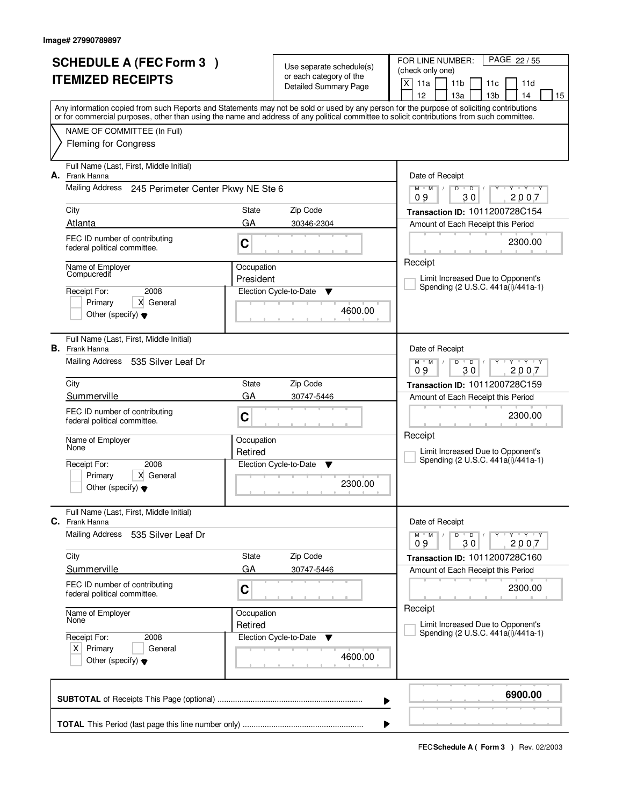|                          | <b>SCHEDULE A (FEC Form 3)</b>                                                                                                             |            | Use separate schedule(s)                                | FOR LINE NUMBER:<br>PAGE 22/55<br>(check only one)                                                                                                       |  |  |  |
|--------------------------|--------------------------------------------------------------------------------------------------------------------------------------------|------------|---------------------------------------------------------|----------------------------------------------------------------------------------------------------------------------------------------------------------|--|--|--|
| <b>ITEMIZED RECEIPTS</b> |                                                                                                                                            |            | or each category of the<br><b>Detailed Summary Page</b> | X<br>11a<br>11 <sub>b</sub><br>11d<br>11c                                                                                                                |  |  |  |
|                          |                                                                                                                                            |            |                                                         | 12<br>13 <sub>b</sub><br>13a<br>14<br>15                                                                                                                 |  |  |  |
|                          | or for commercial purposes, other than using the name and address of any political committee to solicit contributions from such committee. |            |                                                         | Any information copied from such Reports and Statements may not be sold or used by any person for the purpose of soliciting contributions                |  |  |  |
|                          | NAME OF COMMITTEE (In Full)                                                                                                                |            |                                                         |                                                                                                                                                          |  |  |  |
|                          | <b>Fleming for Congress</b>                                                                                                                |            |                                                         |                                                                                                                                                          |  |  |  |
| А.                       | Full Name (Last, First, Middle Initial)<br>Frank Hanna                                                                                     |            |                                                         | Date of Receipt                                                                                                                                          |  |  |  |
|                          | Mailing Address<br>245 Perimeter Center Pkwy NE Ste 6                                                                                      |            |                                                         | $Y$ $Y$ $Y$<br>$M$ $M$ /<br>D<br>$\overline{D}$<br>30<br>2007<br>09                                                                                      |  |  |  |
|                          | City                                                                                                                                       | State      | Zip Code                                                | Transaction ID: 1011200728C154                                                                                                                           |  |  |  |
|                          | Atlanta                                                                                                                                    | GA         | 30346-2304                                              | Amount of Each Receipt this Period                                                                                                                       |  |  |  |
|                          | FEC ID number of contributing<br>federal political committee.                                                                              | C          |                                                         | 2300.00                                                                                                                                                  |  |  |  |
|                          | Name of Emplover<br>Compucredit                                                                                                            | Occupation |                                                         | Receipt                                                                                                                                                  |  |  |  |
|                          | 2008<br>Receipt For:                                                                                                                       | President  | Election Cycle-to-Date<br>▼                             | Limit Increased Due to Opponent's<br>Spending (2 U.S.C. 441a(i)/441a-1)                                                                                  |  |  |  |
|                          | X General<br>Primary                                                                                                                       |            |                                                         |                                                                                                                                                          |  |  |  |
|                          | Other (specify) $\blacktriangledown$                                                                                                       |            | 4600.00                                                 |                                                                                                                                                          |  |  |  |
|                          | Full Name (Last, First, Middle Initial)<br><b>B.</b> Frank Hanna                                                                           |            |                                                         | Date of Receipt                                                                                                                                          |  |  |  |
|                          | Mailing Address<br>535 Silver Leaf Dr                                                                                                      |            |                                                         | $\begin{array}{c} \Vdash \mathsf{Y} \quad \Vdash \mathsf{Y} \quad \Vdash \mathsf{Y} \end{array}$<br>$M$ $M$ /<br>D<br>$\overline{D}$<br>30<br>09<br>2007 |  |  |  |
|                          | City                                                                                                                                       | State      | Zip Code                                                | Transaction ID: 1011200728C159                                                                                                                           |  |  |  |
|                          | Summerville                                                                                                                                | GA         | 30747-5446                                              | Amount of Each Receipt this Period                                                                                                                       |  |  |  |
|                          | FEC ID number of contributing<br>federal political committee.                                                                              | C          |                                                         | 2300.00                                                                                                                                                  |  |  |  |
|                          | Name of Employer<br>None                                                                                                                   | Occupation |                                                         | Receipt                                                                                                                                                  |  |  |  |
|                          | Receipt For:<br>2008                                                                                                                       | Retired    | Election Cycle-to-Date<br>v                             | Limit Increased Due to Opponent's<br>Spending (2 U.S.C. 441a(i)/441a-1)                                                                                  |  |  |  |
|                          | Primary<br>X General                                                                                                                       |            |                                                         |                                                                                                                                                          |  |  |  |
|                          | Other (specify) $\blacktriangledown$                                                                                                       |            | 2300.00                                                 |                                                                                                                                                          |  |  |  |
| C.                       | Full Name (Last, First, Middle Initial)<br>Frank Hanna                                                                                     |            |                                                         | Date of Receipt                                                                                                                                          |  |  |  |
|                          | <b>Mailing Address</b><br>535 Silver Leaf Dr                                                                                               |            |                                                         | $M^+M^-$ /<br>D<br>$Y - Y - Y - Y$<br>$\overline{D}$<br>$\mathcal{L}$<br>2007<br>09<br>30                                                                |  |  |  |
|                          | City                                                                                                                                       | State      | Zip Code                                                | Transaction ID: 1011200728C160                                                                                                                           |  |  |  |
|                          | Summerville                                                                                                                                | GA         | 30747-5446                                              | Amount of Each Receipt this Period                                                                                                                       |  |  |  |
|                          | FEC ID number of contributing<br>federal political committee.                                                                              | C          |                                                         | 2300.00                                                                                                                                                  |  |  |  |
|                          | Name of Employer<br>None                                                                                                                   | Occupation |                                                         | Receipt<br>Limit Increased Due to Opponent's                                                                                                             |  |  |  |
|                          | Receipt For:<br>2008                                                                                                                       | Retired    | Election Cycle-to-Date<br>v                             | Spending (2 U.S.C. 441a(i)/441a-1)                                                                                                                       |  |  |  |
|                          | $X$ Primary<br>General<br>Other (specify) $\blacktriangledown$                                                                             |            | 4600.00                                                 |                                                                                                                                                          |  |  |  |
|                          |                                                                                                                                            |            |                                                         |                                                                                                                                                          |  |  |  |
|                          |                                                                                                                                            |            |                                                         | 6900.00<br>▶                                                                                                                                             |  |  |  |
|                          |                                                                                                                                            |            |                                                         |                                                                                                                                                          |  |  |  |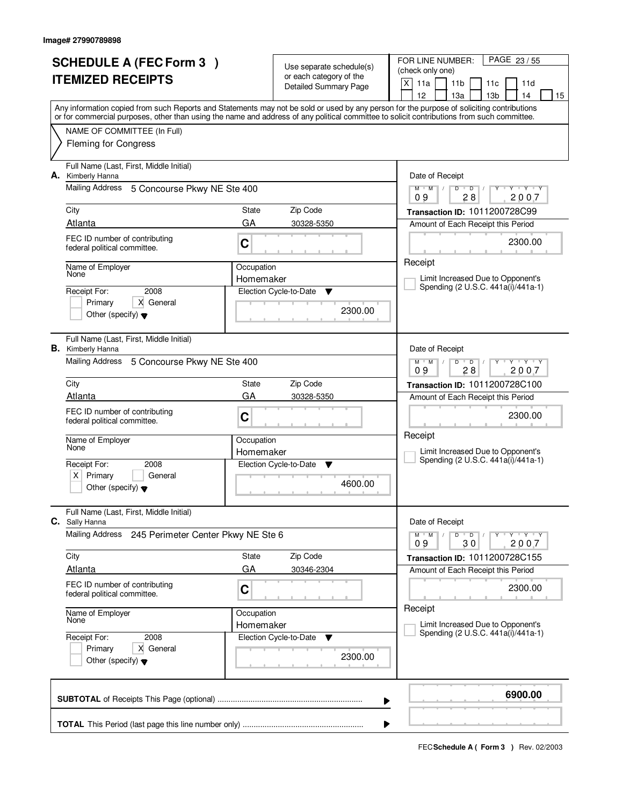|                          | <b>SCHEDULE A (FEC Form 3)</b>                                                                                                             |            | Use separate schedule(s)                                | PAGE 23 / 55<br>FOR LINE NUMBER:<br>(check only one)                                                                                                           |
|--------------------------|--------------------------------------------------------------------------------------------------------------------------------------------|------------|---------------------------------------------------------|----------------------------------------------------------------------------------------------------------------------------------------------------------------|
| <b>ITEMIZED RECEIPTS</b> |                                                                                                                                            |            | or each category of the<br><b>Detailed Summary Page</b> | X<br>11a<br>11 <sub>b</sub><br>11d<br>11c                                                                                                                      |
|                          |                                                                                                                                            |            |                                                         | 13 <sub>b</sub><br>12<br>13a<br>14<br>15                                                                                                                       |
|                          | or for commercial purposes, other than using the name and address of any political committee to solicit contributions from such committee. |            |                                                         | Any information copied from such Reports and Statements may not be sold or used by any person for the purpose of soliciting contributions                      |
|                          | NAME OF COMMITTEE (In Full)                                                                                                                |            |                                                         |                                                                                                                                                                |
|                          | <b>Fleming for Congress</b>                                                                                                                |            |                                                         |                                                                                                                                                                |
| А.                       | Full Name (Last, First, Middle Initial)<br>Kimberly Hanna                                                                                  |            |                                                         | Date of Receipt                                                                                                                                                |
|                          | Mailing Address<br>5 Concourse Pkwy NE Ste 400                                                                                             |            |                                                         | $Y - Y - Y$<br>$M$ $M$ /<br>$\mathsf D$<br>$\blacksquare$ $\blacksquare$ $\blacksquare$ $\blacksquare$<br>$Y$ <sup><math>\top</math></sup><br>28<br>2007<br>09 |
|                          | City                                                                                                                                       | State      | Zip Code                                                | Transaction ID: 1011200728C99                                                                                                                                  |
|                          | Atlanta                                                                                                                                    | GA         | 30328-5350                                              | Amount of Each Receipt this Period                                                                                                                             |
|                          | FEC ID number of contributing<br>federal political committee.                                                                              | C          |                                                         | 2300.00                                                                                                                                                        |
|                          | Name of Employer<br>None                                                                                                                   | Occupation |                                                         | Receipt                                                                                                                                                        |
|                          |                                                                                                                                            | Homemaker  |                                                         | Limit Increased Due to Opponent's<br>Spending (2 U.S.C. 441a(i)/441a-1)                                                                                        |
|                          | 2008<br>Receipt For:<br>Primary<br>X General                                                                                               |            | Election Cycle-to-Date<br>▼                             |                                                                                                                                                                |
|                          | Other (specify) $\blacktriangledown$                                                                                                       |            | 2300.00                                                 |                                                                                                                                                                |
|                          | Full Name (Last, First, Middle Initial)<br><b>B.</b> Kimberly Hanna                                                                        |            |                                                         | Date of Receipt                                                                                                                                                |
|                          | Mailing Address<br>5 Concourse Pkwy NE Ste 400                                                                                             |            |                                                         | $M$ $M$ /<br>$Y - Y - Y$<br>D<br>$\overline{D}$<br>28<br>2007<br>09                                                                                            |
|                          | City                                                                                                                                       | State      | Zip Code                                                | Transaction ID: 1011200728C100                                                                                                                                 |
|                          | Atlanta                                                                                                                                    | GA         | 30328-5350                                              | Amount of Each Receipt this Period                                                                                                                             |
|                          | FEC ID number of contributing<br>federal political committee.                                                                              | C          |                                                         | 2300.00                                                                                                                                                        |
|                          | Name of Employer<br>None                                                                                                                   | Occupation |                                                         | Receipt                                                                                                                                                        |
|                          |                                                                                                                                            | Homemaker  |                                                         | Limit Increased Due to Opponent's<br>Spending (2 U.S.C. 441a(i)/441a-1)                                                                                        |
|                          | Receipt For:<br>2008<br>Primary<br>ΧI<br>General                                                                                           |            | Election Cycle-to-Date<br><b>V</b>                      |                                                                                                                                                                |
|                          | Other (specify) $\blacktriangledown$                                                                                                       |            | 4600.00                                                 |                                                                                                                                                                |
|                          | Full Name (Last, First, Middle Initial)<br>C. Sally Hanna                                                                                  |            |                                                         | Date of Receipt                                                                                                                                                |
|                          | Mailing Address<br>245 Perimeter Center Pkwy NE Ste 6                                                                                      |            |                                                         | $D$ $D$<br>$Y - Y - Y - Y$<br>$M$ $M$ /<br>$\prime$<br>09<br>30<br>2007                                                                                        |
|                          | City                                                                                                                                       | State      | Zip Code                                                | Transaction ID: 1011200728C155                                                                                                                                 |
|                          | <b>Atlanta</b>                                                                                                                             | GA         | 30346-2304                                              | Amount of Each Receipt this Period                                                                                                                             |
|                          | FEC ID number of contributing<br>federal political committee.                                                                              | C          |                                                         | 2300.00                                                                                                                                                        |
|                          | Name of Employer<br>None                                                                                                                   | Occupation |                                                         | Receipt                                                                                                                                                        |
|                          |                                                                                                                                            | Homemaker  |                                                         | Limit Increased Due to Opponent's<br>Spending (2 U.S.C. 441a(i)/441a-1)                                                                                        |
|                          | Receipt For:<br>2008<br>X General<br>Primary                                                                                               |            | Election Cycle-to-Date<br>v                             |                                                                                                                                                                |
|                          | Other (specify) $\blacktriangledown$                                                                                                       |            | 2300.00                                                 |                                                                                                                                                                |
|                          |                                                                                                                                            |            | ▶                                                       | 6900.00                                                                                                                                                        |
|                          |                                                                                                                                            |            |                                                         |                                                                                                                                                                |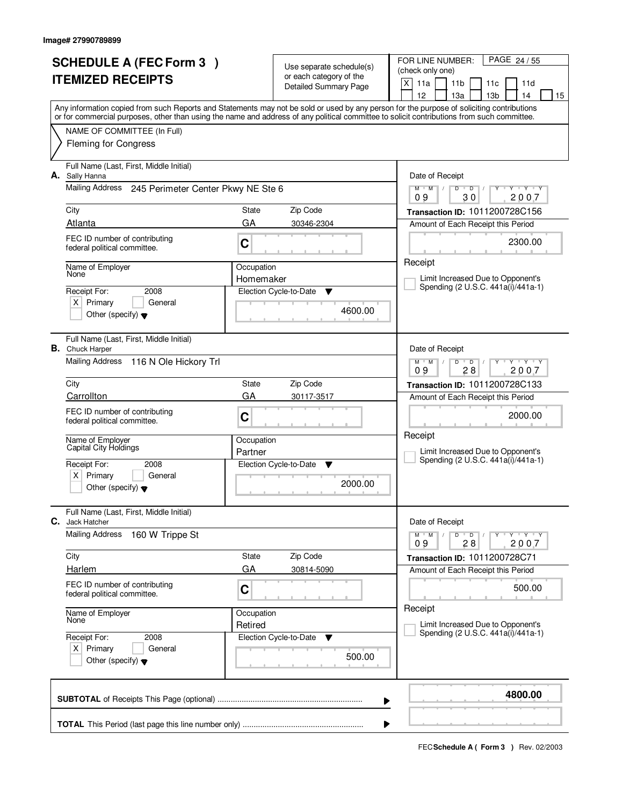|    | <b>SCHEDULE A (FEC Form 3)</b>                                                                                                                                                                                                                                                          |            | Use separate schedule(s)                                | PAGE 24 / 55<br>FOR LINE NUMBER:<br>(check only one)                                                                                 |
|----|-----------------------------------------------------------------------------------------------------------------------------------------------------------------------------------------------------------------------------------------------------------------------------------------|------------|---------------------------------------------------------|--------------------------------------------------------------------------------------------------------------------------------------|
|    | <b>ITEMIZED RECEIPTS</b>                                                                                                                                                                                                                                                                |            | or each category of the<br><b>Detailed Summary Page</b> | $\times$<br>11a<br>11 <sub>b</sub><br>11d<br>11c<br>12<br>13a<br>13 <sub>b</sub><br>14<br>15                                         |
|    | Any information copied from such Reports and Statements may not be sold or used by any person for the purpose of soliciting contributions<br>or for commercial purposes, other than using the name and address of any political committee to solicit contributions from such committee. |            |                                                         |                                                                                                                                      |
|    | NAME OF COMMITTEE (In Full)<br><b>Fleming for Congress</b>                                                                                                                                                                                                                              |            |                                                         |                                                                                                                                      |
|    | Full Name (Last, First, Middle Initial)                                                                                                                                                                                                                                                 |            |                                                         |                                                                                                                                      |
| А. | Sally Hanna                                                                                                                                                                                                                                                                             |            |                                                         | Date of Receipt                                                                                                                      |
|    | Mailing Address 245 Perimeter Center Pkwy NE Ste 6                                                                                                                                                                                                                                      |            |                                                         | $Y$ $Y$ $Y$<br>$M$ $M$ /<br>D<br>$\blacksquare$ $\blacksquare$ $\blacksquare$ $\blacksquare$<br>$Y$ <sup>U</sup><br>30<br>2007<br>09 |
|    | City                                                                                                                                                                                                                                                                                    | State      | Zip Code                                                | Transaction ID: 1011200728C156                                                                                                       |
|    | Atlanta                                                                                                                                                                                                                                                                                 | GA         | 30346-2304                                              | Amount of Each Receipt this Period                                                                                                   |
|    | FEC ID number of contributing<br>federal political committee.                                                                                                                                                                                                                           | C          |                                                         | 2300.00                                                                                                                              |
|    | Name of Employer<br>None                                                                                                                                                                                                                                                                | Occupation |                                                         | Receipt                                                                                                                              |
|    | Receipt For:<br>2008                                                                                                                                                                                                                                                                    | Homemaker  | Election Cycle-to-Date<br>▼                             | Limit Increased Due to Opponent's<br>Spending (2 U.S.C. 441a(i)/441a-1)                                                              |
|    | $X$ Primary<br>General                                                                                                                                                                                                                                                                  |            |                                                         |                                                                                                                                      |
|    | Other (specify) $\blacktriangledown$                                                                                                                                                                                                                                                    |            | 4600.00                                                 |                                                                                                                                      |
|    | Full Name (Last, First, Middle Initial)<br><b>B.</b> Chuck Harper                                                                                                                                                                                                                       |            |                                                         | Date of Receipt                                                                                                                      |
|    | Mailing Address 116 N Ole Hickory Trl                                                                                                                                                                                                                                                   |            |                                                         | $M$ $M$ /<br>$Y - Y - Y$<br>D<br>$\overline{D}$<br>28<br>2007<br>09                                                                  |
|    | City                                                                                                                                                                                                                                                                                    | State      | Zip Code                                                | Transaction ID: 1011200728C133                                                                                                       |
|    | Carrollton                                                                                                                                                                                                                                                                              | GA         | 30117-3517                                              | Amount of Each Receipt this Period                                                                                                   |
|    | FEC ID number of contributing<br>federal political committee.                                                                                                                                                                                                                           | C          |                                                         | 2000.00                                                                                                                              |
|    | Name of Employer<br>Capital City Holdings                                                                                                                                                                                                                                               | Occupation |                                                         | Receipt                                                                                                                              |
|    |                                                                                                                                                                                                                                                                                         | Partner    |                                                         | Limit Increased Due to Opponent's<br>Spending (2 U.S.C. 441a(i)/441a-1)                                                              |
|    | Receipt For:<br>2008<br>Primary<br>X∣<br>General                                                                                                                                                                                                                                        |            | Election Cycle-to-Date<br>▼                             |                                                                                                                                      |
|    | Other (specify) $\blacktriangledown$                                                                                                                                                                                                                                                    |            | 2000.00                                                 |                                                                                                                                      |
| С. | Full Name (Last, First, Middle Initial)<br>Jack Hatcher                                                                                                                                                                                                                                 |            |                                                         | Date of Receipt                                                                                                                      |
|    | Mailing Address<br>160 W Trippe St                                                                                                                                                                                                                                                      |            |                                                         | $D$ $D$<br>$M$ $M$ /<br>$Y - Y - Y$<br>09<br>28<br>2007                                                                              |
|    | City                                                                                                                                                                                                                                                                                    | State      | Zip Code                                                | Transaction ID: 1011200728C71                                                                                                        |
|    | <b>Harlem</b>                                                                                                                                                                                                                                                                           | GA         | 30814-5090                                              | Amount of Each Receipt this Period                                                                                                   |
|    | FEC ID number of contributing<br>federal political committee.                                                                                                                                                                                                                           | C          |                                                         | 500.00                                                                                                                               |
|    | Name of Employer<br>None                                                                                                                                                                                                                                                                | Occupation |                                                         | Receipt                                                                                                                              |
|    | Receipt For:<br>2008                                                                                                                                                                                                                                                                    | Retired    | Election Cycle-to-Date<br>v                             | Limit Increased Due to Opponent's<br>Spending (2 U.S.C. 441a(i)/441a-1)                                                              |
|    | $X$ Primary<br>General<br>Other (specify) $\blacktriangledown$                                                                                                                                                                                                                          |            | 500.00                                                  |                                                                                                                                      |
|    |                                                                                                                                                                                                                                                                                         |            |                                                         | 4800.00                                                                                                                              |
|    |                                                                                                                                                                                                                                                                                         |            | ▶                                                       |                                                                                                                                      |
|    |                                                                                                                                                                                                                                                                                         |            | ▶                                                       |                                                                                                                                      |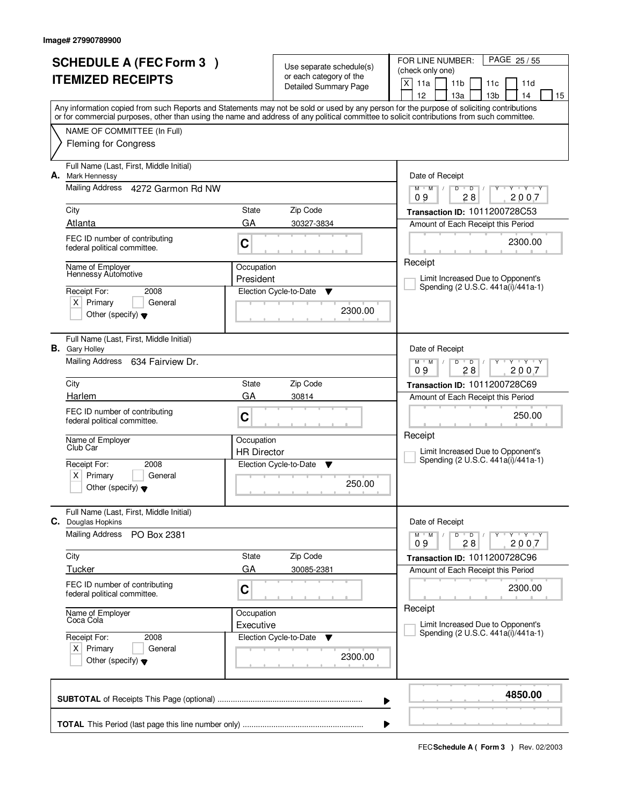| <b>SCHEDULE A (FEC Form 3)</b> |                                                                                                                                                                                                                                                                                         |                                  | Use separate schedule(s)                                | FOR LINE NUMBER:<br>PAGE 25/55<br>(check only one)                                    |  |  |  |
|--------------------------------|-----------------------------------------------------------------------------------------------------------------------------------------------------------------------------------------------------------------------------------------------------------------------------------------|----------------------------------|---------------------------------------------------------|---------------------------------------------------------------------------------------|--|--|--|
|                                | <b>ITEMIZED RECEIPTS</b>                                                                                                                                                                                                                                                                |                                  | or each category of the<br><b>Detailed Summary Page</b> | X<br>11a<br>11 <sub>b</sub><br>11d<br>11c<br>12<br>13 <sub>b</sub><br>13a<br>14<br>15 |  |  |  |
|                                | Any information copied from such Reports and Statements may not be sold or used by any person for the purpose of soliciting contributions<br>or for commercial purposes, other than using the name and address of any political committee to solicit contributions from such committee. |                                  |                                                         |                                                                                       |  |  |  |
|                                | NAME OF COMMITTEE (In Full)<br><b>Fleming for Congress</b>                                                                                                                                                                                                                              |                                  |                                                         |                                                                                       |  |  |  |
|                                | Full Name (Last, First, Middle Initial)                                                                                                                                                                                                                                                 |                                  |                                                         |                                                                                       |  |  |  |
| А.                             | Mark Hennessy<br>Mailing Address 4272 Garmon Rd NW                                                                                                                                                                                                                                      |                                  |                                                         | Date of Receipt<br>$Y - Y - Y$<br>$M$ $M$<br>$\sqrt{ }$<br>D<br>$\overline{D}$        |  |  |  |
|                                |                                                                                                                                                                                                                                                                                         |                                  |                                                         | 28<br>2007<br>09                                                                      |  |  |  |
|                                | City<br>Atlanta                                                                                                                                                                                                                                                                         | State<br>GA                      | Zip Code<br>30327-3834                                  | Transaction ID: 1011200728C53<br>Amount of Each Receipt this Period                   |  |  |  |
|                                | FEC ID number of contributing<br>federal political committee.                                                                                                                                                                                                                           | C                                |                                                         | 2300.00                                                                               |  |  |  |
|                                | Name of Employer<br>Hennessy Automotive                                                                                                                                                                                                                                                 | Occupation<br>President          |                                                         | Receipt<br>Limit Increased Due to Opponent's                                          |  |  |  |
|                                | Receipt For:<br>2008                                                                                                                                                                                                                                                                    |                                  | Election Cycle-to-Date<br>Y                             | Spending (2 U.S.C. 441a(i)/441a-1)                                                    |  |  |  |
|                                | $X$ Primary<br>General<br>Other (specify) $\blacktriangledown$                                                                                                                                                                                                                          |                                  | 2300.00                                                 |                                                                                       |  |  |  |
|                                | Full Name (Last, First, Middle Initial)<br><b>B.</b> Gary Holley                                                                                                                                                                                                                        |                                  |                                                         | Date of Receipt                                                                       |  |  |  |
|                                | Mailing Address<br>634 Fairview Dr.                                                                                                                                                                                                                                                     |                                  |                                                         | $Y + Y + Y$<br>$M$ $M$ /<br>D<br>$\overline{D}$<br>28<br>2007<br>09                   |  |  |  |
|                                | City                                                                                                                                                                                                                                                                                    | State                            | Zip Code                                                | Transaction ID: 1011200728C69                                                         |  |  |  |
|                                | Harlem                                                                                                                                                                                                                                                                                  | GA                               | 30814                                                   | Amount of Each Receipt this Period                                                    |  |  |  |
|                                | FEC ID number of contributing<br>federal political committee.                                                                                                                                                                                                                           | C                                |                                                         | 250.00                                                                                |  |  |  |
|                                | Name of Employer<br>Club Car                                                                                                                                                                                                                                                            | Occupation<br><b>HR Director</b> |                                                         | Receipt<br>Limit Increased Due to Opponent's                                          |  |  |  |
|                                | Receipt For:<br>2008                                                                                                                                                                                                                                                                    |                                  | Election Cycle-to-Date<br>v                             | Spending (2 U.S.C. 441a(i)/441a-1)                                                    |  |  |  |
|                                | Primary<br>ΧI<br>General<br>Other (specify) $\blacktriangledown$                                                                                                                                                                                                                        |                                  | 250.00                                                  |                                                                                       |  |  |  |
|                                | Full Name (Last, First, Middle Initial)<br><b>C.</b> Douglas Hopkins                                                                                                                                                                                                                    |                                  |                                                         | Date of Receipt                                                                       |  |  |  |
|                                | <b>Mailing Address</b><br>PO Box 2381                                                                                                                                                                                                                                                   |                                  |                                                         | $Y - Y - Y - Y$<br>$M$ $M$ /<br>D<br>$\overline{D}$<br>2007<br>09<br>28               |  |  |  |
|                                | City                                                                                                                                                                                                                                                                                    | State                            | Zip Code                                                | Transaction ID: 1011200728C96                                                         |  |  |  |
|                                | <b>Tucker</b>                                                                                                                                                                                                                                                                           | GA                               | 30085-2381                                              | Amount of Each Receipt this Period                                                    |  |  |  |
|                                | FEC ID number of contributing<br>federal political committee.                                                                                                                                                                                                                           | C                                |                                                         | 2300.00                                                                               |  |  |  |
|                                | Name of Employer<br>Coca Cola                                                                                                                                                                                                                                                           | Occupation<br>Executive          |                                                         | Receipt<br>Limit Increased Due to Opponent's                                          |  |  |  |
|                                | Receipt For:<br>2008                                                                                                                                                                                                                                                                    |                                  | Election Cycle-to-Date<br>v                             | Spending (2 U.S.C. 441a(i)/441a-1)                                                    |  |  |  |
|                                | $X$ Primary<br>General<br>Other (specify) $\blacktriangledown$                                                                                                                                                                                                                          |                                  | 2300.00                                                 |                                                                                       |  |  |  |
|                                |                                                                                                                                                                                                                                                                                         |                                  |                                                         | 4850.00<br>▶                                                                          |  |  |  |
|                                |                                                                                                                                                                                                                                                                                         |                                  |                                                         |                                                                                       |  |  |  |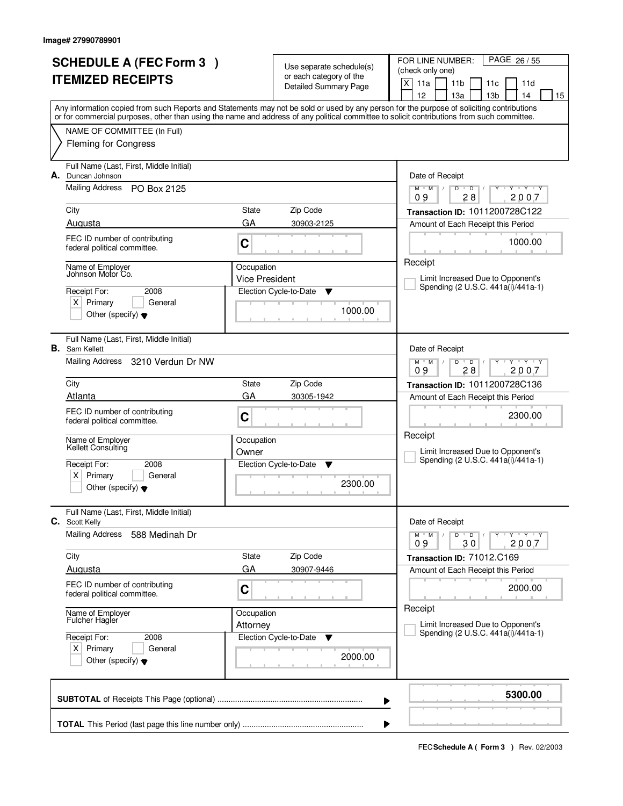| <b>SCHEDULE A (FEC Form 3)</b><br><b>ITEMIZED RECEIPTS</b> |                                                                                                                                                                                                            |                                | Use separate schedule(s)<br>or each category of the<br><b>Detailed Summary Page</b> | FOR LINE NUMBER:<br>PAGE 26/55<br>(check only one)<br>X<br>11a<br>11 <sub>b</sub><br>11d<br>11c<br>12<br>13a<br>13 <sub>b</sub><br>14<br>15                                                                                                                                             |  |  |
|------------------------------------------------------------|------------------------------------------------------------------------------------------------------------------------------------------------------------------------------------------------------------|--------------------------------|-------------------------------------------------------------------------------------|-----------------------------------------------------------------------------------------------------------------------------------------------------------------------------------------------------------------------------------------------------------------------------------------|--|--|
|                                                            |                                                                                                                                                                                                            |                                |                                                                                     | Any information copied from such Reports and Statements may not be sold or used by any person for the purpose of soliciting contributions<br>or for commercial purposes, other than using the name and address of any political committee to solicit contributions from such committee. |  |  |
|                                                            | NAME OF COMMITTEE (In Full)<br><b>Fleming for Congress</b>                                                                                                                                                 |                                |                                                                                     |                                                                                                                                                                                                                                                                                         |  |  |
| А.                                                         | Full Name (Last, First, Middle Initial)<br>Duncan Johnson<br><b>Mailing Address</b><br>PO Box 2125<br>City<br>Augusta<br>FEC ID number of contributing<br>federal political committee.<br>Name of Employer | State<br>GA<br>C<br>Occupation | Zip Code<br>30903-2125                                                              | Date of Receipt<br>Y Y Y Y<br>$M$ $M$ /<br>D<br>$\overline{D}$<br>28<br>2007<br>09<br>Transaction ID: 1011200728C122<br>Amount of Each Receipt this Period<br>1000.00<br>Receipt                                                                                                        |  |  |
|                                                            | Johnson Motor Co.<br>Receipt For:<br>2008<br>$X$ Primary<br>General<br>Other (specify) $\blacktriangledown$                                                                                                | <b>Vice President</b>          | Election Cycle-to-Date<br>▼<br>1000.00                                              | Limit Increased Due to Opponent's<br>Spending (2 U.S.C. 441a(i)/441a-1)                                                                                                                                                                                                                 |  |  |
|                                                            | Full Name (Last, First, Middle Initial)<br><b>B.</b> Sam Kellett<br>Mailing Address<br>3210 Verdun Dr NW                                                                                                   |                                |                                                                                     | Date of Receipt<br>$+$ $\gamma$ $+$ $\gamma$ $+$ $\gamma$<br>$M$ $M$ /<br>$\mathsf{D}$<br>$\overline{D}$<br>09<br>28<br>2007                                                                                                                                                            |  |  |
|                                                            | City<br>Atlanta                                                                                                                                                                                            | State<br>GA                    | Zip Code<br>30305-1942                                                              | Transaction ID: 1011200728C136<br>Amount of Each Receipt this Period                                                                                                                                                                                                                    |  |  |
|                                                            | FEC ID number of contributing<br>federal political committee.                                                                                                                                              | C                              |                                                                                     | 2300.00<br>Receipt                                                                                                                                                                                                                                                                      |  |  |
|                                                            | Name of Employer<br>Kellett Consulting<br>Receipt For:<br>2008<br>ΧI<br>Primary<br>General<br>Other (specify) $\blacktriangledown$                                                                         | Occupation<br>Owner            | Election Cycle-to-Date<br><b>V</b><br>2300.00                                       | Limit Increased Due to Opponent's<br>Spending (2 U.S.C. 441a(i)/441a-1)                                                                                                                                                                                                                 |  |  |
|                                                            | Full Name (Last, First, Middle Initial)<br>C. Scott Kelly                                                                                                                                                  |                                |                                                                                     | Date of Receipt                                                                                                                                                                                                                                                                         |  |  |
|                                                            | <b>Mailing Address</b><br>588 Medinah Dr                                                                                                                                                                   |                                |                                                                                     | D<br>$Y - Y - Y - Y$<br>$M$ $M$ $/$<br>$\bullet$ D $\prime$<br>2007<br>09<br>30                                                                                                                                                                                                         |  |  |
|                                                            | City                                                                                                                                                                                                       | State                          | Zip Code                                                                            | Transaction ID: 71012.C169                                                                                                                                                                                                                                                              |  |  |
|                                                            | Augusta                                                                                                                                                                                                    | GA                             | 30907-9446                                                                          | Amount of Each Receipt this Period                                                                                                                                                                                                                                                      |  |  |
|                                                            | FEC ID number of contributing<br>federal political committee.                                                                                                                                              | C                              |                                                                                     | 2000.00                                                                                                                                                                                                                                                                                 |  |  |
|                                                            | Name of Employer<br>Fulcher Hagler                                                                                                                                                                         | Occupation<br>Attorney         |                                                                                     | Receipt<br>Limit Increased Due to Opponent's                                                                                                                                                                                                                                            |  |  |
|                                                            | Receipt For:<br>2008<br>$X$ Primary<br>General<br>Other (specify) $\blacktriangledown$                                                                                                                     |                                | Election Cycle-to-Date<br>v<br>2000.00                                              | Spending (2 U.S.C. 441a(i)/441a-1)                                                                                                                                                                                                                                                      |  |  |
|                                                            |                                                                                                                                                                                                            |                                |                                                                                     | 5300.00<br>▶                                                                                                                                                                                                                                                                            |  |  |
|                                                            | ▶                                                                                                                                                                                                          |                                |                                                                                     |                                                                                                                                                                                                                                                                                         |  |  |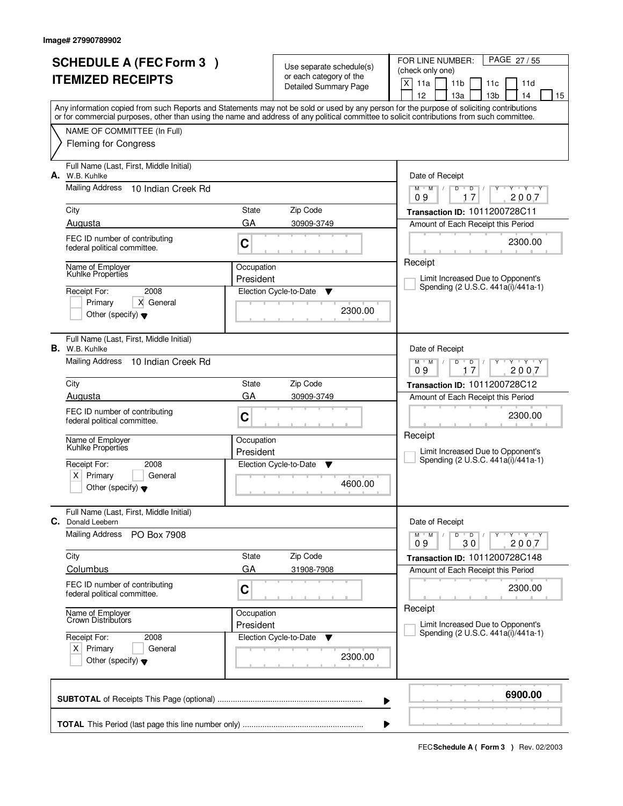| <b>SCHEDULE A (FEC Form 3)</b> |                                                                  |            | Use separate schedule(s)                                | PAGE 27/55<br>FOR LINE NUMBER:<br>(check only one)                                                                                                                                    |
|--------------------------------|------------------------------------------------------------------|------------|---------------------------------------------------------|---------------------------------------------------------------------------------------------------------------------------------------------------------------------------------------|
| <b>ITEMIZED RECEIPTS</b>       |                                                                  |            | or each category of the<br><b>Detailed Summary Page</b> | $\times$<br>11a<br>11 <sub>b</sub><br>11d<br>11c                                                                                                                                      |
|                                |                                                                  |            |                                                         | 12<br>13a<br>13 <sub>b</sub><br>14<br>15<br>Any information copied from such Reports and Statements may not be sold or used by any person for the purpose of soliciting contributions |
|                                |                                                                  |            |                                                         | or for commercial purposes, other than using the name and address of any political committee to solicit contributions from such committee.                                            |
|                                | NAME OF COMMITTEE (In Full)<br><b>Fleming for Congress</b>       |            |                                                         |                                                                                                                                                                                       |
| А.                             | Full Name (Last, First, Middle Initial)<br>W.B. Kuhlke           |            |                                                         | Date of Receipt                                                                                                                                                                       |
|                                | <b>Mailing Address</b><br>10 Indian Creek Rd                     |            |                                                         | $Y$ $Y$ $Y$<br>$M$ $M$ /<br>$D^{-1}$<br>D<br>$Y$ <sup>U</sup><br>$\prime$<br>17<br>2007<br>09                                                                                         |
|                                | City                                                             | State      | Zip Code                                                | Transaction ID: 1011200728C11                                                                                                                                                         |
|                                | Augusta<br>FEC ID number of contributing                         | GA         | 30909-3749                                              | Amount of Each Receipt this Period                                                                                                                                                    |
|                                | federal political committee.                                     | C          |                                                         | 2300.00                                                                                                                                                                               |
|                                | Name of Employer<br>Kuhlke Properties                            | Occupation |                                                         | Receipt                                                                                                                                                                               |
|                                | 2008<br>Receipt For:                                             | President  | Election Cycle-to-Date<br>▼                             | Limit Increased Due to Opponent's<br>Spending (2 U.S.C. 441a(i)/441a-1)                                                                                                               |
|                                | Primary<br>X General                                             |            |                                                         |                                                                                                                                                                                       |
|                                | Other (specify) $\blacktriangledown$                             |            | 2300.00                                                 |                                                                                                                                                                                       |
|                                | Full Name (Last, First, Middle Initial)<br><b>B.</b> W.B. Kuhlke |            |                                                         | Date of Receipt                                                                                                                                                                       |
|                                | Mailing Address<br>10 Indian Creek Rd                            |            |                                                         | $Y$ $Y$ $Y$<br>$M$ $M$ /<br>D<br>D<br>17<br>2007<br>09                                                                                                                                |
|                                | City                                                             | State      | Zip Code                                                | Transaction ID: 1011200728C12                                                                                                                                                         |
|                                | Augusta                                                          | GA         | 30909-3749                                              | Amount of Each Receipt this Period                                                                                                                                                    |
|                                | FEC ID number of contributing<br>federal political committee.    | C          |                                                         | 2300.00                                                                                                                                                                               |
|                                | Name of Employer<br>Kuhlke Properties                            | Occupation |                                                         | Receipt                                                                                                                                                                               |
|                                |                                                                  | President  |                                                         | Limit Increased Due to Opponent's<br>Spending (2 U.S.C. 441a(i)/441a-1)                                                                                                               |
|                                | Receipt For:<br>2008<br>Primary<br>ΧI<br>General                 |            | Election Cycle-to-Date<br>▼                             |                                                                                                                                                                                       |
|                                | Other (specify) $\blacktriangledown$                             |            | 4600.00                                                 |                                                                                                                                                                                       |
| C.                             | Full Name (Last, First, Middle Initial)<br>Donald Leebern        |            |                                                         | Date of Receipt                                                                                                                                                                       |
|                                | <b>Mailing Address</b><br>PO Box 7908                            |            |                                                         | $D$ $D$<br>$Y - Y - Y - Y$<br>$M$ $M$ /<br>$\prime$<br>2007<br>09<br>30                                                                                                               |
|                                | City                                                             | State      | Zip Code                                                | Transaction ID: 1011200728C148                                                                                                                                                        |
|                                | Columbus                                                         | GA         | 31908-7908                                              | Amount of Each Receipt this Period                                                                                                                                                    |
|                                | FEC ID number of contributing<br>federal political committee.    | C          |                                                         | 2300.00                                                                                                                                                                               |
|                                | Name of Employer<br>Crown Distributors                           | Occupation |                                                         | Receipt                                                                                                                                                                               |
|                                | Receipt For:<br>2008                                             | President  | Election Cycle-to-Date<br>v                             | Limit Increased Due to Opponent's<br>Spending (2 U.S.C. 441a(i)/441a-1)                                                                                                               |
|                                | $X$ Primary<br>General<br>Other (specify) $\blacktriangledown$   |            | 2300.00                                                 |                                                                                                                                                                                       |
|                                |                                                                  |            |                                                         | 6900.00                                                                                                                                                                               |
|                                |                                                                  |            |                                                         | ▶                                                                                                                                                                                     |
|                                |                                                                  |            |                                                         | ▶                                                                                                                                                                                     |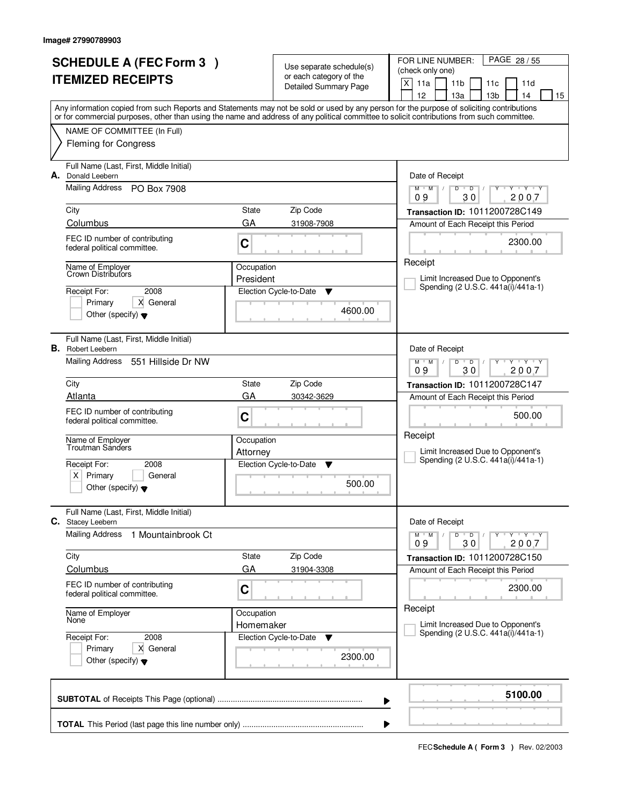|                          | <b>SCHEDULE A (FEC Form 3)</b>                                      |            | Use separate schedule(s)     | PAGE 28 / 55<br>FOR LINE NUMBER:                                                                                                           |
|--------------------------|---------------------------------------------------------------------|------------|------------------------------|--------------------------------------------------------------------------------------------------------------------------------------------|
| <b>ITEMIZED RECEIPTS</b> |                                                                     |            | or each category of the      | (check only one)                                                                                                                           |
|                          |                                                                     |            | <b>Detailed Summary Page</b> | $\times$<br>11a<br>11 <sub>b</sub><br>11d<br>11c<br>12<br>13a<br>13 <sub>b</sub><br>14<br>15                                               |
|                          |                                                                     |            |                              | Any information copied from such Reports and Statements may not be sold or used by any person for the purpose of soliciting contributions  |
|                          |                                                                     |            |                              | or for commercial purposes, other than using the name and address of any political committee to solicit contributions from such committee. |
|                          | NAME OF COMMITTEE (In Full)                                         |            |                              |                                                                                                                                            |
|                          | <b>Fleming for Congress</b>                                         |            |                              |                                                                                                                                            |
| А.                       | Full Name (Last, First, Middle Initial)<br>Donald Leebern           |            |                              | Date of Receipt                                                                                                                            |
|                          | Mailing Address<br>PO Box 7908                                      |            |                              | $Y$ $Y$ $Y$<br>$M$ $M$ /<br>D<br>$\overline{D}$<br>Ÿ<br>$\prime$<br>30<br>2007<br>09                                                       |
|                          | City                                                                | State      | Zip Code                     | Transaction ID: 1011200728C149                                                                                                             |
|                          | Columbus                                                            | GA         | 31908-7908                   | Amount of Each Receipt this Period                                                                                                         |
|                          | FEC ID number of contributing<br>federal political committee.       | C          |                              | 2300.00                                                                                                                                    |
|                          | Name of Employer                                                    | Occupation |                              | Receipt                                                                                                                                    |
|                          | Crown Distributors                                                  | President  |                              | Limit Increased Due to Opponent's<br>Spending (2 U.S.C. 441a(i)/441a-1)                                                                    |
|                          | 2008<br>Receipt For:                                                |            | Election Cycle-to-Date<br>▼  |                                                                                                                                            |
|                          | Primary<br>X General<br>Other (specify) $\blacktriangledown$        |            | 4600.00                      |                                                                                                                                            |
|                          |                                                                     |            |                              |                                                                                                                                            |
|                          | Full Name (Last, First, Middle Initial)<br><b>B.</b> Robert Leebern |            |                              | Date of Receipt                                                                                                                            |
|                          | Mailing Address<br>551 Hillside Dr NW                               |            |                              | $M$ $M$ /<br>$Y - Y - Y$<br>D<br>$\overline{D}$<br>30<br>2007<br>09                                                                        |
|                          | City                                                                | State      | Zip Code                     | Transaction ID: 1011200728C147                                                                                                             |
|                          | Atlanta                                                             | GA         | 30342-3629                   | Amount of Each Receipt this Period                                                                                                         |
|                          | FEC ID number of contributing<br>federal political committee.       | C          |                              | 500.00                                                                                                                                     |
|                          | Name of Employer                                                    | Occupation |                              | Receipt                                                                                                                                    |
|                          | Troutman Sanders                                                    | Attorney   |                              | Limit Increased Due to Opponent's                                                                                                          |
|                          | Receipt For:<br>2008                                                |            | Election Cycle-to-Date<br>▼  | Spending (2 U.S.C. 441a(i)/441a-1)                                                                                                         |
|                          | Primary<br>ΧI<br>General                                            |            | 500.00                       |                                                                                                                                            |
|                          | Other (specify) $\blacktriangledown$                                |            |                              |                                                                                                                                            |
| С.                       | Full Name (Last, First, Middle Initial)<br><b>Stacey Leebern</b>    |            |                              | Date of Receipt                                                                                                                            |
|                          | <b>Mailing Address</b><br>1 Mountainbrook Ct                        |            |                              | $D$ $D$<br>$Y - Y - Y - Y$<br>$M$ $M$ /<br>$\prime$<br>09<br>30<br>2007                                                                    |
|                          | City                                                                | State      | Zip Code                     | Transaction ID: 1011200728C150                                                                                                             |
|                          | Columbus                                                            | GA         | 31904-3308                   | Amount of Each Receipt this Period                                                                                                         |
|                          | FEC ID number of contributing<br>federal political committee.       | C          |                              | 2300.00                                                                                                                                    |
|                          | Name of Employer                                                    | Occupation |                              | Receipt                                                                                                                                    |
|                          | None                                                                | Homemaker  |                              | Limit Increased Due to Opponent's<br>Spending (2 U.S.C. 441a(i)/441a-1)                                                                    |
|                          | Receipt For:<br>2008                                                |            | Election Cycle-to-Date<br>v  |                                                                                                                                            |
|                          | X General<br>Primary<br>Other (specify) $\blacktriangledown$        |            | 2300.00                      |                                                                                                                                            |
|                          |                                                                     |            |                              | 5100.00                                                                                                                                    |
|                          |                                                                     |            |                              | ▶                                                                                                                                          |
|                          |                                                                     |            |                              | ▶                                                                                                                                          |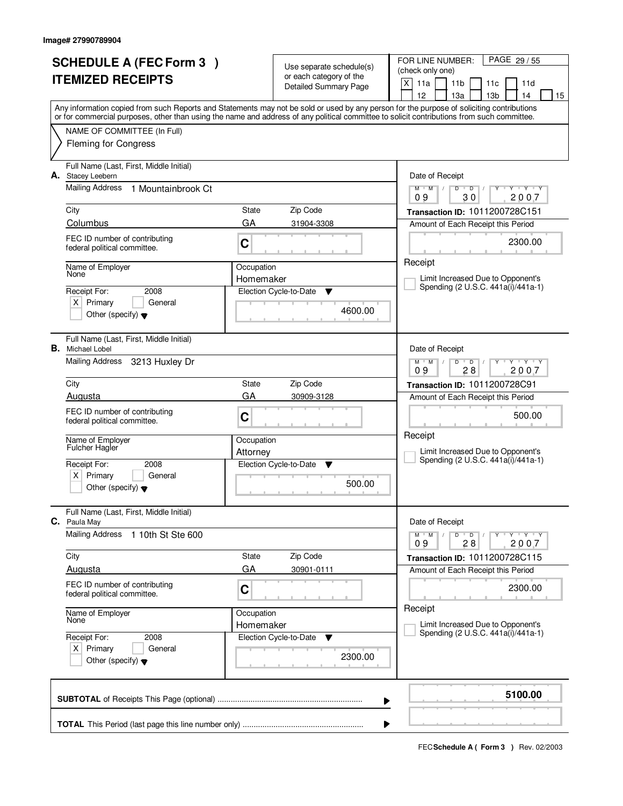|                                                                | <b>SCHEDULE A (FEC Form 3)</b>                                |                                                   |                                                     | FOR LINE NUMBER:<br>PAGE 29 / 55                                                                                                                                                                                                                                                        |
|----------------------------------------------------------------|---------------------------------------------------------------|---------------------------------------------------|-----------------------------------------------------|-----------------------------------------------------------------------------------------------------------------------------------------------------------------------------------------------------------------------------------------------------------------------------------------|
| <b>ITEMIZED RECEIPTS</b>                                       |                                                               |                                                   | Use separate schedule(s)<br>or each category of the | (check only one)                                                                                                                                                                                                                                                                        |
|                                                                |                                                               |                                                   | <b>Detailed Summary Page</b>                        | X<br>11a<br>11 <sub>b</sub><br>11d<br>11c                                                                                                                                                                                                                                               |
|                                                                |                                                               |                                                   |                                                     | 12<br>13 <sub>b</sub><br>13a<br>14<br>15                                                                                                                                                                                                                                                |
|                                                                |                                                               |                                                   |                                                     | Any information copied from such Reports and Statements may not be sold or used by any person for the purpose of soliciting contributions<br>or for commercial purposes, other than using the name and address of any political committee to solicit contributions from such committee. |
|                                                                | NAME OF COMMITTEE (In Full)                                   |                                                   |                                                     |                                                                                                                                                                                                                                                                                         |
|                                                                | <b>Fleming for Congress</b>                                   |                                                   |                                                     |                                                                                                                                                                                                                                                                                         |
|                                                                |                                                               |                                                   |                                                     |                                                                                                                                                                                                                                                                                         |
|                                                                | Full Name (Last, First, Middle Initial)                       |                                                   |                                                     |                                                                                                                                                                                                                                                                                         |
| А.                                                             | <b>Stacey Leebern</b>                                         |                                                   |                                                     | Date of Receipt                                                                                                                                                                                                                                                                         |
|                                                                | Mailing Address<br>1 Mountainbrook Ct                         |                                                   |                                                     | $Y$ $Y$ $Y$<br>$M$ $M$<br>$\sqrt{2}$<br>D<br>$\overline{D}$<br>30<br>2007<br>09                                                                                                                                                                                                         |
|                                                                | City                                                          | State                                             | Zip Code                                            | Transaction ID: 1011200728C151                                                                                                                                                                                                                                                          |
|                                                                | Columbus                                                      | GA                                                | 31904-3308                                          | Amount of Each Receipt this Period                                                                                                                                                                                                                                                      |
|                                                                | FEC ID number of contributing                                 |                                                   |                                                     |                                                                                                                                                                                                                                                                                         |
|                                                                | federal political committee.                                  | C                                                 |                                                     | 2300.00                                                                                                                                                                                                                                                                                 |
|                                                                |                                                               |                                                   |                                                     | Receipt                                                                                                                                                                                                                                                                                 |
|                                                                | Name of Employer<br>None                                      | Occupation<br>Homemaker                           |                                                     | Limit Increased Due to Opponent's                                                                                                                                                                                                                                                       |
|                                                                | Receipt For:<br>2008                                          |                                                   | Election Cycle-to-Date<br>▼                         | Spending (2 U.S.C. 441a(i)/441a-1)                                                                                                                                                                                                                                                      |
|                                                                | $X$ Primary<br>General                                        |                                                   |                                                     |                                                                                                                                                                                                                                                                                         |
|                                                                | Other (specify) $\blacktriangledown$                          |                                                   | 4600.00                                             |                                                                                                                                                                                                                                                                                         |
|                                                                |                                                               |                                                   |                                                     |                                                                                                                                                                                                                                                                                         |
|                                                                | Full Name (Last, First, Middle Initial)                       |                                                   |                                                     |                                                                                                                                                                                                                                                                                         |
|                                                                | <b>B.</b> Michael Lobel<br>Mailing Address                    |                                                   |                                                     | Date of Receipt<br>$Y + Y + Y$                                                                                                                                                                                                                                                          |
|                                                                | 3213 Huxley Dr                                                |                                                   |                                                     | $M$ $M$ /<br>D<br>$\overline{D}$<br>28<br>2007<br>09                                                                                                                                                                                                                                    |
|                                                                | City                                                          | State                                             | Zip Code                                            | Transaction ID: 1011200728C91                                                                                                                                                                                                                                                           |
|                                                                | Augusta                                                       | GA                                                | 30909-3128                                          | Amount of Each Receipt this Period                                                                                                                                                                                                                                                      |
|                                                                | FEC ID number of contributing                                 |                                                   |                                                     | 500.00                                                                                                                                                                                                                                                                                  |
|                                                                | federal political committee.                                  | C                                                 |                                                     |                                                                                                                                                                                                                                                                                         |
|                                                                | Name of Employer                                              | Occupation                                        |                                                     | Receipt                                                                                                                                                                                                                                                                                 |
|                                                                | Fulcher Hagler                                                | Attorney<br>Election Cycle-to-Date<br>v<br>500.00 |                                                     | Limit Increased Due to Opponent's                                                                                                                                                                                                                                                       |
|                                                                | Receipt For:<br>2008                                          |                                                   |                                                     | Spending (2 U.S.C. 441a(i)/441a-1)                                                                                                                                                                                                                                                      |
|                                                                | Primary<br>X  <br>General                                     |                                                   |                                                     |                                                                                                                                                                                                                                                                                         |
|                                                                | Other (specify) $\blacktriangledown$                          |                                                   |                                                     |                                                                                                                                                                                                                                                                                         |
|                                                                |                                                               |                                                   |                                                     |                                                                                                                                                                                                                                                                                         |
|                                                                | Full Name (Last, First, Middle Initial)<br>C. Paula May       |                                                   |                                                     | Date of Receipt                                                                                                                                                                                                                                                                         |
|                                                                | <b>Mailing Address</b><br>1 10th St Ste 600                   |                                                   |                                                     | D<br>$Y - Y - Y - Y$<br>$M$ $M$ $/$<br>$\overline{D}$                                                                                                                                                                                                                                   |
|                                                                |                                                               |                                                   |                                                     | 2007<br>09<br>28                                                                                                                                                                                                                                                                        |
|                                                                | City                                                          | State                                             | Zip Code                                            | Transaction ID: 1011200728C115                                                                                                                                                                                                                                                          |
|                                                                | Augusta                                                       | GA                                                | 30901-0111                                          | Amount of Each Receipt this Period                                                                                                                                                                                                                                                      |
|                                                                | FEC ID number of contributing<br>federal political committee. | $\mathbf C$                                       |                                                     | 2300.00                                                                                                                                                                                                                                                                                 |
|                                                                |                                                               |                                                   |                                                     |                                                                                                                                                                                                                                                                                         |
|                                                                | Name of Employer<br>None                                      | Occupation                                        |                                                     | Receipt                                                                                                                                                                                                                                                                                 |
|                                                                |                                                               | Homemaker                                         |                                                     | Limit Increased Due to Opponent's<br>Spending (2 U.S.C. 441a(i)/441a-1)                                                                                                                                                                                                                 |
|                                                                | Receipt For:<br>2008                                          |                                                   | Election Cycle-to-Date<br>v                         |                                                                                                                                                                                                                                                                                         |
| $X$ Primary<br>General<br>Other (specify) $\blacktriangledown$ |                                                               |                                                   | 2300.00                                             |                                                                                                                                                                                                                                                                                         |
|                                                                |                                                               |                                                   |                                                     |                                                                                                                                                                                                                                                                                         |
|                                                                |                                                               |                                                   |                                                     |                                                                                                                                                                                                                                                                                         |
|                                                                |                                                               |                                                   |                                                     | 5100.00<br>▶                                                                                                                                                                                                                                                                            |
|                                                                |                                                               |                                                   |                                                     |                                                                                                                                                                                                                                                                                         |
|                                                                |                                                               |                                                   |                                                     |                                                                                                                                                                                                                                                                                         |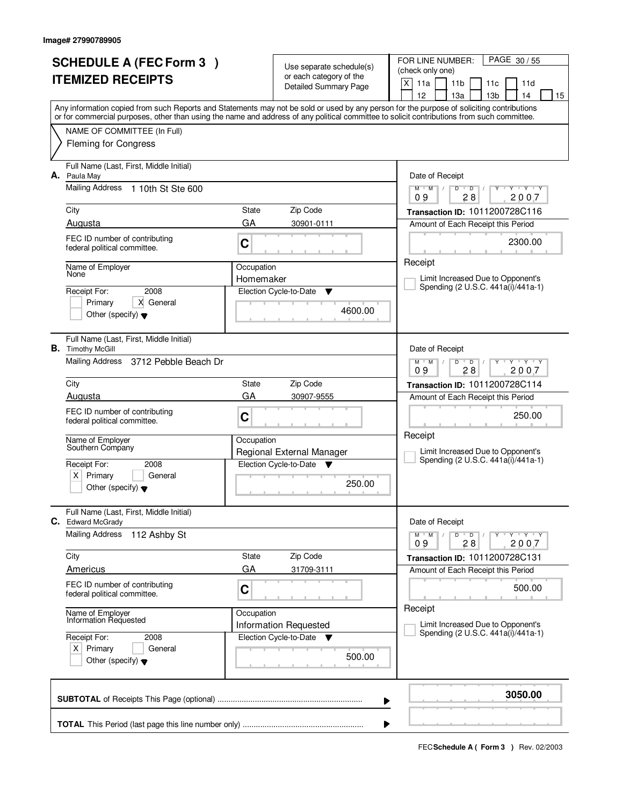|                          | <b>SCHEDULE A (FEC Form 3)</b>                                         |            |                                                     | PAGE 30/55<br>FOR LINE NUMBER:                                                                                                                                                        |
|--------------------------|------------------------------------------------------------------------|------------|-----------------------------------------------------|---------------------------------------------------------------------------------------------------------------------------------------------------------------------------------------|
| <b>ITEMIZED RECEIPTS</b> |                                                                        |            | Use separate schedule(s)<br>or each category of the | (check only one)                                                                                                                                                                      |
|                          |                                                                        |            | <b>Detailed Summary Page</b>                        | X<br>11a<br>11 <sub>b</sub><br>11d<br>11c                                                                                                                                             |
|                          |                                                                        |            |                                                     | 12<br>13a<br>13 <sub>b</sub><br>14<br>15<br>Any information copied from such Reports and Statements may not be sold or used by any person for the purpose of soliciting contributions |
|                          |                                                                        |            |                                                     | or for commercial purposes, other than using the name and address of any political committee to solicit contributions from such committee.                                            |
|                          | NAME OF COMMITTEE (In Full)                                            |            |                                                     |                                                                                                                                                                                       |
|                          | <b>Fleming for Congress</b>                                            |            |                                                     |                                                                                                                                                                                       |
| А.                       | Full Name (Last, First, Middle Initial)<br>Paula May                   |            |                                                     | Date of Receipt                                                                                                                                                                       |
|                          | <b>Mailing Address</b><br>1 10th St Ste 600                            |            |                                                     | $Y - Y - Y$<br>$D$ $D$<br>$M$ $M$ /<br>$Y$ <sup>U</sup><br>28<br>2007<br>09                                                                                                           |
|                          | City                                                                   | State      | Zip Code                                            | Transaction ID: 1011200728C116                                                                                                                                                        |
|                          | Augusta                                                                | GA         | 30901-0111                                          | Amount of Each Receipt this Period                                                                                                                                                    |
|                          | FEC ID number of contributing<br>federal political committee.          | C          |                                                     | 2300.00                                                                                                                                                                               |
|                          | Name of Employer                                                       | Occupation |                                                     | Receipt                                                                                                                                                                               |
|                          | None                                                                   | Homemaker  |                                                     | Limit Increased Due to Opponent's<br>Spending (2 U.S.C. 441a(i)/441a-1)                                                                                                               |
|                          | 2008<br>Receipt For:                                                   |            | Election Cycle-to-Date<br>▼                         |                                                                                                                                                                                       |
|                          | X General<br>Primary<br>Other (specify) $\blacktriangledown$           |            | 4600.00                                             |                                                                                                                                                                                       |
|                          |                                                                        |            |                                                     |                                                                                                                                                                                       |
|                          | Full Name (Last, First, Middle Initial)<br><b>B.</b> Timothy McGill    |            |                                                     | Date of Receipt                                                                                                                                                                       |
|                          | Mailing Address 3712 Pebble Beach Dr                                   |            |                                                     | $M$ $M$ /<br>$Y - Y - Y$<br>D<br>$\overline{D}$<br>28<br>2007<br>09                                                                                                                   |
|                          | City                                                                   | State      | Zip Code                                            | Transaction ID: 1011200728C114                                                                                                                                                        |
|                          | Augusta                                                                | GA         | 30907-9555                                          | Amount of Each Receipt this Period                                                                                                                                                    |
|                          | FEC ID number of contributing<br>federal political committee.          | C          |                                                     | 250.00                                                                                                                                                                                |
|                          | Name of Employer                                                       | Occupation |                                                     | Receipt                                                                                                                                                                               |
|                          | Southern Company                                                       |            | Regional External Manager                           | Limit Increased Due to Opponent's<br>Spending (2 U.S.C. 441a(i)/441a-1)                                                                                                               |
|                          | Receipt For:<br>2008                                                   |            | Election Cycle-to-Date<br>$\overline{\mathbf{v}}$   |                                                                                                                                                                                       |
|                          | $\times$<br>Primary<br>General<br>Other (specify) $\blacktriangledown$ | 250.00     |                                                     |                                                                                                                                                                                       |
|                          |                                                                        |            |                                                     |                                                                                                                                                                                       |
| С.                       | Full Name (Last, First, Middle Initial)<br><b>Edward McGrady</b>       |            |                                                     | Date of Receipt                                                                                                                                                                       |
|                          | <b>Mailing Address</b><br>112 Ashby St                                 |            |                                                     | $D$ $D$<br>$M$ $M$ /<br>$Y - Y - Y$<br>09<br>28<br>2007                                                                                                                               |
|                          | City                                                                   | State      | Zip Code                                            | Transaction ID: 1011200728C131                                                                                                                                                        |
|                          | Americus                                                               | GA         | 31709-3111                                          | Amount of Each Receipt this Period                                                                                                                                                    |
|                          | FEC ID number of contributing<br>federal political committee.          | C          |                                                     | 500.00                                                                                                                                                                                |
|                          | Name of Employer<br>Information Requested                              | Occupation |                                                     | Receipt                                                                                                                                                                               |
|                          |                                                                        |            | <b>Information Requested</b>                        | Limit Increased Due to Opponent's<br>Spending (2 U.S.C. 441a(i)/441a-1)                                                                                                               |
|                          | Receipt For:<br>2008                                                   |            | Election Cycle-to-Date<br><b>V</b>                  |                                                                                                                                                                                       |
|                          | $X$ Primary<br>General<br>Other (specify) $\blacktriangledown$         |            | 500.00                                              |                                                                                                                                                                                       |
|                          |                                                                        |            |                                                     |                                                                                                                                                                                       |
|                          |                                                                        |            |                                                     | 3050.00<br>▶                                                                                                                                                                          |
|                          |                                                                        |            |                                                     |                                                                                                                                                                                       |
|                          |                                                                        |            |                                                     |                                                                                                                                                                                       |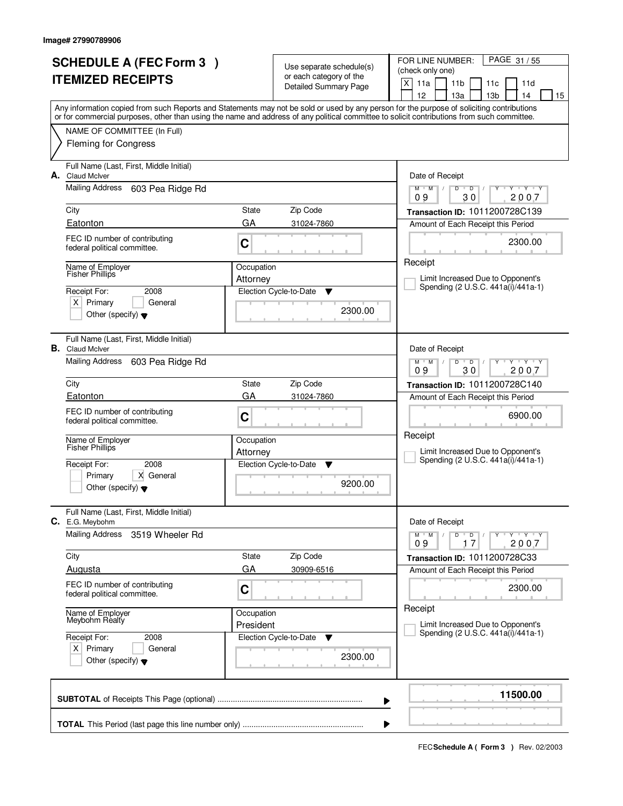|                                                                | <b>SCHEDULE A (FEC Form 3)</b>                                    |            | Use separate schedule(s)     | PAGE 31/55<br>FOR LINE NUMBER:                                                                                                                  |
|----------------------------------------------------------------|-------------------------------------------------------------------|------------|------------------------------|-------------------------------------------------------------------------------------------------------------------------------------------------|
| <b>ITEMIZED RECEIPTS</b>                                       |                                                                   |            | or each category of the      | (check only one)                                                                                                                                |
|                                                                |                                                                   |            | <b>Detailed Summary Page</b> | $\times$<br>11a<br>11 <sub>b</sub><br>11d<br>11c<br>12<br>13a<br>13 <sub>b</sub><br>14                                                          |
|                                                                |                                                                   |            |                              | 15<br>Any information copied from such Reports and Statements may not be sold or used by any person for the purpose of soliciting contributions |
|                                                                |                                                                   |            |                              | or for commercial purposes, other than using the name and address of any political committee to solicit contributions from such committee.      |
|                                                                | NAME OF COMMITTEE (In Full)                                       |            |                              |                                                                                                                                                 |
|                                                                | <b>Fleming for Congress</b>                                       |            |                              |                                                                                                                                                 |
| А.                                                             | Full Name (Last, First, Middle Initial)<br><b>Claud Mclver</b>    |            |                              | Date of Receipt                                                                                                                                 |
|                                                                | Mailing Address<br>603 Pea Ridge Rd                               |            |                              | $Y$ $Y$ $Y$<br>D<br>$\overline{D}$<br>$M$ $M$ /<br>Ÿ<br>$\sqrt{ }$<br>30<br>2007<br>09                                                          |
|                                                                | City                                                              | State      | Zip Code                     | Transaction ID: 1011200728C139                                                                                                                  |
|                                                                | Eatonton                                                          | GA         | 31024-7860                   | Amount of Each Receipt this Period                                                                                                              |
|                                                                | FEC ID number of contributing<br>federal political committee.     | C          |                              | 2300.00                                                                                                                                         |
|                                                                | Name of Employer                                                  | Occupation |                              | Receipt                                                                                                                                         |
|                                                                | <b>Fisher Phillips</b>                                            | Attorney   |                              | Limit Increased Due to Opponent's<br>Spending (2 U.S.C. 441a(i)/441a-1)                                                                         |
|                                                                | Receipt For:<br>2008                                              |            | Election Cycle-to-Date<br>▼  |                                                                                                                                                 |
|                                                                | $X$ Primary<br>General<br>Other (specify) $\blacktriangledown$    |            | 2300.00                      |                                                                                                                                                 |
|                                                                |                                                                   |            |                              |                                                                                                                                                 |
|                                                                | Full Name (Last, First, Middle Initial)<br><b>B.</b> Claud McIver |            |                              | Date of Receipt                                                                                                                                 |
|                                                                | Mailing Address<br>603 Pea Ridge Rd                               |            |                              | $Y - Y - Y$<br>$M$ $M$ /<br>D<br>$\overline{D}$<br>30<br>2007<br>09                                                                             |
|                                                                | City                                                              | State      | Zip Code                     | Transaction ID: 1011200728C140                                                                                                                  |
|                                                                | Eatonton                                                          | GA         | 31024-7860                   | Amount of Each Receipt this Period                                                                                                              |
|                                                                | FEC ID number of contributing                                     |            |                              |                                                                                                                                                 |
|                                                                | federal political committee.                                      | C          |                              | 6900.00                                                                                                                                         |
|                                                                | Name of Employer                                                  | Occupation |                              | Receipt                                                                                                                                         |
|                                                                | <b>Fisher Phillips</b>                                            | Attorney   |                              | Limit Increased Due to Opponent's                                                                                                               |
|                                                                | 2008<br>Receipt For:                                              |            | Election Cycle-to-Date<br>▼  | Spending (2 U.S.C. 441a(i)/441a-1)                                                                                                              |
|                                                                | Primary<br>X General                                              |            |                              |                                                                                                                                                 |
|                                                                | Other (specify) $\blacktriangledown$                              |            | 9200.00                      |                                                                                                                                                 |
|                                                                | Full Name (Last, First, Middle Initial)<br>C. E.G. Meybohm        |            |                              | Date of Receipt                                                                                                                                 |
|                                                                | <b>Mailing Address</b><br>3519 Wheeler Rd                         |            |                              | $D$ $D$<br>$M$ $M$ /<br>Y Y Y Y<br>09<br>2007<br>17                                                                                             |
|                                                                | City                                                              | State      | Zip Code                     | Transaction ID: 1011200728C33                                                                                                                   |
|                                                                | Augusta                                                           | GA         | 30909-6516                   | Amount of Each Receipt this Period                                                                                                              |
|                                                                | FEC ID number of contributing                                     |            |                              | 2300.00                                                                                                                                         |
|                                                                | federal political committee.                                      | C          |                              |                                                                                                                                                 |
|                                                                | Name of Employer<br>Meybohm Realty                                | Occupation |                              | Receipt                                                                                                                                         |
|                                                                |                                                                   | President  |                              | Limit Increased Due to Opponent's<br>Spending (2 U.S.C. 441a(i)/441a-1)                                                                         |
|                                                                | Receipt For:<br>2008                                              |            | Election Cycle-to-Date<br>v  |                                                                                                                                                 |
| $X$ Primary<br>General<br>Other (specify) $\blacktriangledown$ |                                                                   |            | 2300.00                      |                                                                                                                                                 |
|                                                                |                                                                   |            |                              |                                                                                                                                                 |
|                                                                |                                                                   |            |                              | 11500.00<br>▶                                                                                                                                   |
|                                                                |                                                                   |            |                              |                                                                                                                                                 |
|                                                                |                                                                   |            | ▶                            |                                                                                                                                                 |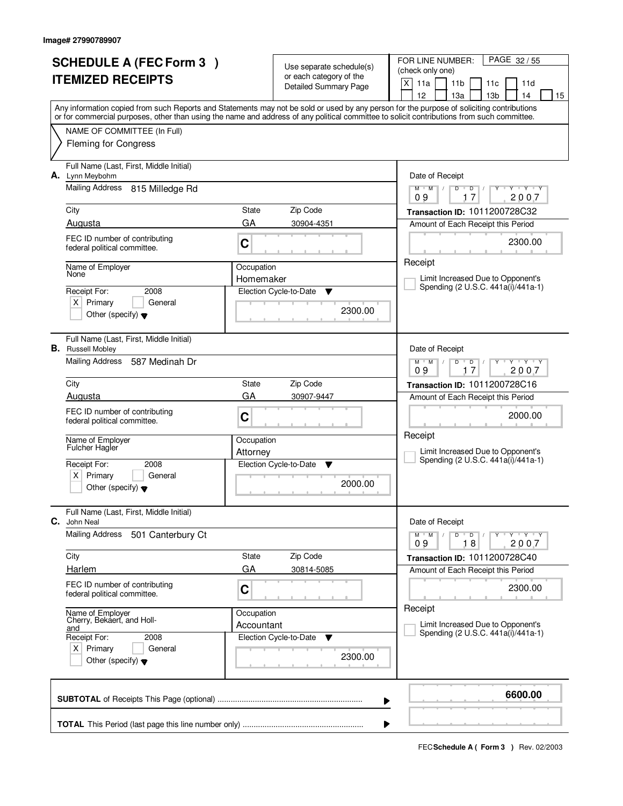| <b>SCHEDULE A (FEC Form 3)</b><br><b>ITEMIZED RECEIPTS</b> |                                                                     |             | Use separate schedule(s)<br>or each category of the<br>Detailed Summary Page | PAGE 32/55<br>FOR LINE NUMBER:<br>(check only one)<br>X<br>11a<br>11 <sub>b</sub><br>11d<br>11c                                                                                                                                                                                         |  |  |
|------------------------------------------------------------|---------------------------------------------------------------------|-------------|------------------------------------------------------------------------------|-----------------------------------------------------------------------------------------------------------------------------------------------------------------------------------------------------------------------------------------------------------------------------------------|--|--|
|                                                            |                                                                     |             |                                                                              | 12<br>13a<br>13 <sub>b</sub><br>14<br>15                                                                                                                                                                                                                                                |  |  |
|                                                            |                                                                     |             |                                                                              | Any information copied from such Reports and Statements may not be sold or used by any person for the purpose of soliciting contributions<br>or for commercial purposes, other than using the name and address of any political committee to solicit contributions from such committee. |  |  |
|                                                            | NAME OF COMMITTEE (In Full)                                         |             |                                                                              |                                                                                                                                                                                                                                                                                         |  |  |
|                                                            | <b>Fleming for Congress</b>                                         |             |                                                                              |                                                                                                                                                                                                                                                                                         |  |  |
| А.                                                         | Full Name (Last, First, Middle Initial)<br>Lynn Meybohm             |             |                                                                              | Date of Receipt                                                                                                                                                                                                                                                                         |  |  |
|                                                            | Mailing Address 815 Milledge Rd                                     |             |                                                                              | $Y$ $Y$ $Y$<br>$\mathsf D$<br>$M$ $M$ /<br>D<br>17<br>2007<br>09                                                                                                                                                                                                                        |  |  |
|                                                            | City                                                                | State       | Zip Code                                                                     | Transaction ID: 1011200728C32                                                                                                                                                                                                                                                           |  |  |
|                                                            | Augusta                                                             | GA          | 30904-4351                                                                   | Amount of Each Receipt this Period                                                                                                                                                                                                                                                      |  |  |
|                                                            | FEC ID number of contributing<br>federal political committee.       | C           |                                                                              | 2300.00                                                                                                                                                                                                                                                                                 |  |  |
|                                                            | Name of Employer<br>None                                            | Occupation  |                                                                              | Receipt                                                                                                                                                                                                                                                                                 |  |  |
|                                                            |                                                                     | Homemaker   |                                                                              | Limit Increased Due to Opponent's<br>Spending (2 U.S.C. 441a(i)/441a-1)                                                                                                                                                                                                                 |  |  |
|                                                            | 2008<br>Receipt For:<br>$X$ Primary<br>General                      |             | Election Cycle-to-Date<br>Y                                                  |                                                                                                                                                                                                                                                                                         |  |  |
|                                                            | Other (specify) $\blacktriangledown$                                |             | 2300.00                                                                      |                                                                                                                                                                                                                                                                                         |  |  |
|                                                            | Full Name (Last, First, Middle Initial)<br><b>B.</b> Russell Mobley |             |                                                                              | Date of Receipt                                                                                                                                                                                                                                                                         |  |  |
|                                                            | Mailing Address<br>587 Medinah Dr                                   |             |                                                                              | $Y - Y - Y$<br>$M$ $M$ /<br>D<br>D<br>2007<br>09<br>17                                                                                                                                                                                                                                  |  |  |
|                                                            | City                                                                | State       | Zip Code                                                                     | Transaction ID: 1011200728C16                                                                                                                                                                                                                                                           |  |  |
|                                                            | Augusta                                                             | GA          | 30907-9447                                                                   | Amount of Each Receipt this Period                                                                                                                                                                                                                                                      |  |  |
|                                                            | FEC ID number of contributing<br>federal political committee.       | C           |                                                                              | 2000.00                                                                                                                                                                                                                                                                                 |  |  |
|                                                            | Name of Employer<br><b>Fulcher Hagler</b>                           | Occupation  |                                                                              | Receipt                                                                                                                                                                                                                                                                                 |  |  |
|                                                            |                                                                     | Attorney    |                                                                              | Limit Increased Due to Opponent's<br>Spending (2 U.S.C. 441a(i)/441a-1)                                                                                                                                                                                                                 |  |  |
|                                                            | Receipt For:<br>2008<br>x <sub>1</sub><br>Primary<br>General        |             | Election Cycle-to-Date<br>▼                                                  |                                                                                                                                                                                                                                                                                         |  |  |
|                                                            | Other (specify) $\blacktriangledown$                                |             | 2000.00                                                                      |                                                                                                                                                                                                                                                                                         |  |  |
| С.                                                         | Full Name (Last, First, Middle Initial)<br>John Neal                |             |                                                                              | Date of Receipt                                                                                                                                                                                                                                                                         |  |  |
|                                                            | <b>Mailing Address</b><br>501 Canterbury Ct                         |             |                                                                              | $M$ $M$ /<br>$D$ $D$ $I$<br>y y y y y y<br>09<br>18<br>2007                                                                                                                                                                                                                             |  |  |
|                                                            | City                                                                | State       | Zip Code                                                                     | Transaction ID: 1011200728C40                                                                                                                                                                                                                                                           |  |  |
|                                                            | Harlem                                                              | GA          | 30814-5085                                                                   | Amount of Each Receipt this Period                                                                                                                                                                                                                                                      |  |  |
|                                                            | FEC ID number of contributing<br>federal political committee.       | $\mathbf C$ |                                                                              | 2300.00                                                                                                                                                                                                                                                                                 |  |  |
|                                                            | Name of Employer<br>Cherry, Bekaert, and Holl-                      | Occupation  |                                                                              | Receipt                                                                                                                                                                                                                                                                                 |  |  |
|                                                            | and                                                                 | Accountant  |                                                                              | Limit Increased Due to Opponent's<br>Spending (2 U.S.C. 441a(i)/441a-1)                                                                                                                                                                                                                 |  |  |
| Receipt For:<br>2008<br>$X$ Primary<br>General             |                                                                     |             | Election Cycle-to-Date<br><b>V</b>                                           |                                                                                                                                                                                                                                                                                         |  |  |
|                                                            | Other (specify) $\blacktriangledown$                                |             | 2300.00                                                                      |                                                                                                                                                                                                                                                                                         |  |  |
|                                                            |                                                                     |             |                                                                              | 6600.00<br>▶                                                                                                                                                                                                                                                                            |  |  |
|                                                            | ▶                                                                   |             |                                                                              |                                                                                                                                                                                                                                                                                         |  |  |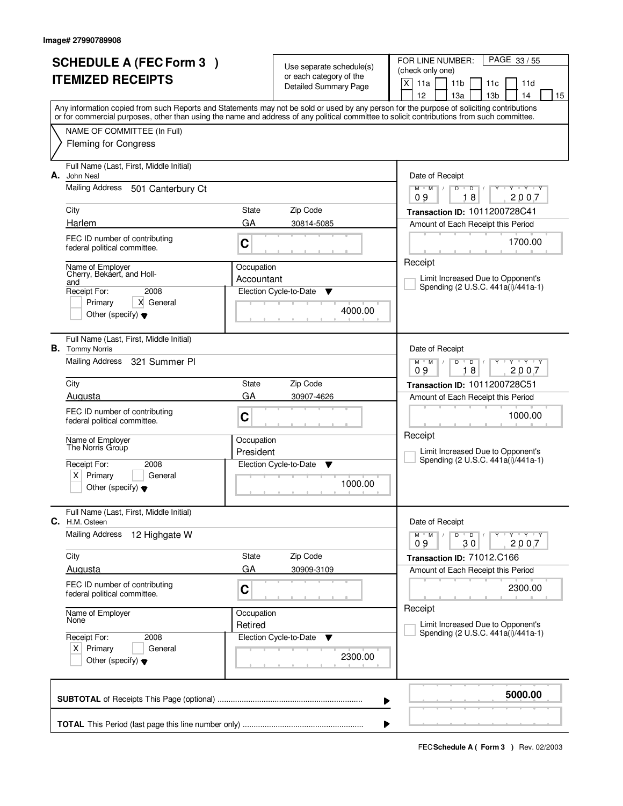| <b>SCHEDULE A (FEC Form 3)</b> |                                                                   |            | Use separate schedule(s)<br>or each category of the | PAGE 33/55<br>FOR LINE NUMBER:<br>(check only one)                                                                                                                                                                                                                                      |  |  |
|--------------------------------|-------------------------------------------------------------------|------------|-----------------------------------------------------|-----------------------------------------------------------------------------------------------------------------------------------------------------------------------------------------------------------------------------------------------------------------------------------------|--|--|
|                                | <b>ITEMIZED RECEIPTS</b>                                          |            | <b>Detailed Summary Page</b>                        | X<br>11a<br>11 <sub>b</sub><br>11d<br>11c<br>12<br>13a<br>13 <sub>b</sub><br>14<br>15                                                                                                                                                                                                   |  |  |
|                                |                                                                   |            |                                                     | Any information copied from such Reports and Statements may not be sold or used by any person for the purpose of soliciting contributions<br>or for commercial purposes, other than using the name and address of any political committee to solicit contributions from such committee. |  |  |
|                                | NAME OF COMMITTEE (In Full)<br><b>Fleming for Congress</b>        |            |                                                     |                                                                                                                                                                                                                                                                                         |  |  |
| А.                             | Full Name (Last, First, Middle Initial)<br>John Neal              |            |                                                     | Date of Receipt                                                                                                                                                                                                                                                                         |  |  |
|                                | Mailing Address<br>501 Canterbury Ct                              |            |                                                     | $Y$ $Y$ $Y$<br>$D$ $D$ $I$<br>Ÿ<br>$M$ $M$ /<br>18<br>2007<br>09                                                                                                                                                                                                                        |  |  |
|                                | City                                                              | State      | Zip Code                                            | Transaction ID: 1011200728C41                                                                                                                                                                                                                                                           |  |  |
|                                | Harlem                                                            | GA         | 30814-5085                                          | Amount of Each Receipt this Period                                                                                                                                                                                                                                                      |  |  |
|                                | FEC ID number of contributing<br>federal political committee.     | C          |                                                     | 1700.00                                                                                                                                                                                                                                                                                 |  |  |
|                                | Name of Employer<br>Cherry, Bekaert, and Holl-                    | Occupation |                                                     | Receipt                                                                                                                                                                                                                                                                                 |  |  |
|                                | and<br>Receipt For:<br>2008                                       | Accountant | Election Cycle-to-Date<br>▼                         | Limit Increased Due to Opponent's<br>Spending (2 U.S.C. 441a(i)/441a-1)                                                                                                                                                                                                                 |  |  |
|                                | X General<br>Primary                                              |            |                                                     |                                                                                                                                                                                                                                                                                         |  |  |
|                                | Other (specify) $\blacktriangledown$                              |            | 4000.00                                             |                                                                                                                                                                                                                                                                                         |  |  |
|                                | Full Name (Last, First, Middle Initial)<br><b>B.</b> Tommy Norris |            |                                                     | Date of Receipt                                                                                                                                                                                                                                                                         |  |  |
|                                | Mailing Address<br>321 Summer Pl                                  |            |                                                     | $Y - Y - Y$<br>$M$ M<br>$\overline{D}$<br>D<br>18<br>2007<br>09                                                                                                                                                                                                                         |  |  |
|                                | City                                                              | State      | Zip Code                                            | Transaction ID: 1011200728C51                                                                                                                                                                                                                                                           |  |  |
|                                | Augusta                                                           | GA         | 30907-4626                                          | Amount of Each Receipt this Period                                                                                                                                                                                                                                                      |  |  |
|                                | FEC ID number of contributing<br>federal political committee.     | C          |                                                     | 1000.00                                                                                                                                                                                                                                                                                 |  |  |
|                                | Name of Employer<br>The Norris Group                              | Occupation |                                                     | Receipt                                                                                                                                                                                                                                                                                 |  |  |
|                                |                                                                   | President  |                                                     | Limit Increased Due to Opponent's<br>Spending (2 U.S.C. 441a(i)/441a-1)                                                                                                                                                                                                                 |  |  |
|                                | Receipt For:<br>2008<br>$\times$<br>Primary<br>General            |            | Election Cycle-to-Date<br>Y                         |                                                                                                                                                                                                                                                                                         |  |  |
|                                | Other (specify) $\blacktriangledown$                              |            | 1000.00                                             |                                                                                                                                                                                                                                                                                         |  |  |
| С.                             | Full Name (Last, First, Middle Initial)<br>H.M. Osteen            |            |                                                     | Date of Receipt                                                                                                                                                                                                                                                                         |  |  |
|                                | <b>Mailing Address</b><br>12 Highgate W                           |            |                                                     | $D$ $D$ $/$<br>$M$ $M$ /<br>Y Y Y Y<br>09<br>30<br>2007                                                                                                                                                                                                                                 |  |  |
|                                | City                                                              | State      | Zip Code                                            | Transaction ID: 71012.C166                                                                                                                                                                                                                                                              |  |  |
|                                | Augusta                                                           | GA         | 30909-3109                                          | Amount of Each Receipt this Period                                                                                                                                                                                                                                                      |  |  |
|                                | FEC ID number of contributing<br>federal political committee.     | C          |                                                     | 2300.00                                                                                                                                                                                                                                                                                 |  |  |
|                                | Name of Employer<br>None                                          | Occupation |                                                     | Receipt                                                                                                                                                                                                                                                                                 |  |  |
|                                | Receipt For:<br>2008                                              | Retired    | Election Cycle-to-Date<br>v                         | Limit Increased Due to Opponent's<br>Spending (2 U.S.C. 441a(i)/441a-1)                                                                                                                                                                                                                 |  |  |
|                                | $X$ Primary<br>General                                            |            | 2300.00                                             |                                                                                                                                                                                                                                                                                         |  |  |
|                                | Other (specify) $\blacktriangledown$                              |            |                                                     |                                                                                                                                                                                                                                                                                         |  |  |
|                                |                                                                   |            |                                                     | 5000.00<br>▶                                                                                                                                                                                                                                                                            |  |  |
|                                |                                                                   |            |                                                     |                                                                                                                                                                                                                                                                                         |  |  |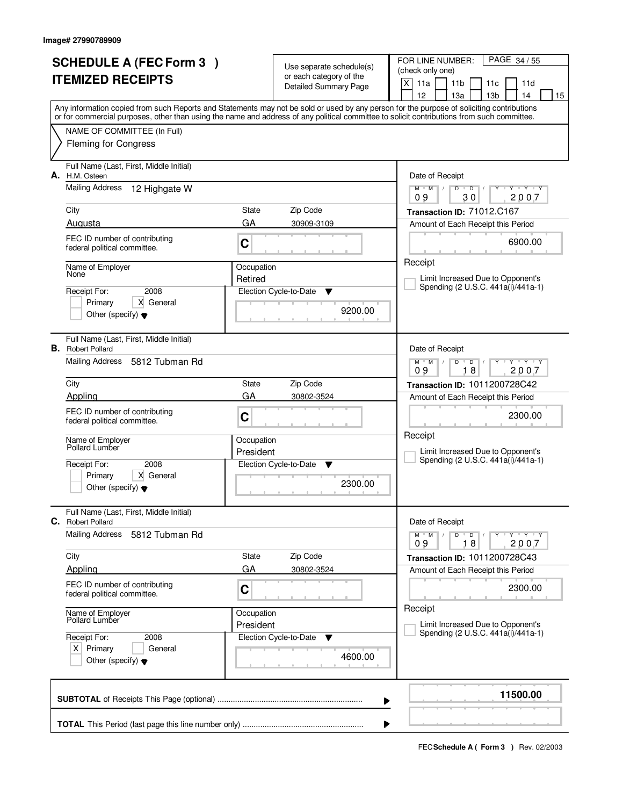| <b>SCHEDULE A (FEC Form 3)</b> |                                                                     |                         | Use separate schedule(s)<br>or each category of the | PAGE 34/55<br>FOR LINE NUMBER:<br>(check only one)                                                                                                                                                                                                                                      |
|--------------------------------|---------------------------------------------------------------------|-------------------------|-----------------------------------------------------|-----------------------------------------------------------------------------------------------------------------------------------------------------------------------------------------------------------------------------------------------------------------------------------------|
|                                | <b>ITEMIZED RECEIPTS</b>                                            |                         | <b>Detailed Summary Page</b>                        | X<br>11a<br>11 <sub>b</sub><br>11d<br>11c<br>12<br>13a<br>13 <sub>b</sub><br>14<br>15                                                                                                                                                                                                   |
|                                |                                                                     |                         |                                                     | Any information copied from such Reports and Statements may not be sold or used by any person for the purpose of soliciting contributions<br>or for commercial purposes, other than using the name and address of any political committee to solicit contributions from such committee. |
|                                | NAME OF COMMITTEE (In Full)                                         |                         |                                                     |                                                                                                                                                                                                                                                                                         |
|                                | <b>Fleming for Congress</b>                                         |                         |                                                     |                                                                                                                                                                                                                                                                                         |
| А.                             | Full Name (Last, First, Middle Initial)<br>H.M. Osteen              |                         |                                                     | Date of Receipt                                                                                                                                                                                                                                                                         |
|                                | <b>Mailing Address</b><br>12 Highgate W                             |                         |                                                     | $Y - Y - Y$<br>D<br>$\blacksquare$ $\blacksquare$ $\blacksquare$ $\blacksquare$<br>$M$ $M$ /<br>$Y$ <sup>U</sup><br>09<br>30<br>2007                                                                                                                                                    |
|                                | City                                                                | State                   | Zip Code                                            | Transaction ID: 71012.C167                                                                                                                                                                                                                                                              |
|                                | Augusta                                                             | GA                      | 30909-3109                                          | Amount of Each Receipt this Period                                                                                                                                                                                                                                                      |
|                                | FEC ID number of contributing<br>federal political committee.       | C                       |                                                     | 6900.00                                                                                                                                                                                                                                                                                 |
|                                | Name of Employer<br>None                                            | Occupation              |                                                     | Receipt                                                                                                                                                                                                                                                                                 |
|                                | 2008<br>Receipt For:                                                | Retired                 | Election Cycle-to-Date<br>▼                         | Limit Increased Due to Opponent's<br>Spending (2 U.S.C. 441a(i)/441a-1)                                                                                                                                                                                                                 |
|                                | X General<br>Primary                                                |                         |                                                     |                                                                                                                                                                                                                                                                                         |
|                                | Other (specify) $\blacktriangledown$                                |                         | 9200.00                                             |                                                                                                                                                                                                                                                                                         |
|                                | Full Name (Last, First, Middle Initial)<br><b>B.</b> Robert Pollard |                         |                                                     | Date of Receipt                                                                                                                                                                                                                                                                         |
|                                | Mailing Address<br>5812 Tubman Rd                                   |                         |                                                     | $Y$ $Y$ $Y$<br>$M$ $M$ /<br>D<br>$\overline{D}$<br>18<br>2007<br>09                                                                                                                                                                                                                     |
|                                | City                                                                | State                   | Zip Code                                            | Transaction ID: 1011200728C42                                                                                                                                                                                                                                                           |
|                                | Appling                                                             | GA                      | 30802-3524                                          | Amount of Each Receipt this Period                                                                                                                                                                                                                                                      |
|                                | FEC ID number of contributing<br>federal political committee.       | C                       |                                                     | 2300.00<br>Receipt                                                                                                                                                                                                                                                                      |
|                                | Name of Employer<br>Pollard Lumber                                  | Occupation<br>President |                                                     | Limit Increased Due to Opponent's                                                                                                                                                                                                                                                       |
|                                | Receipt For:<br>2008                                                |                         | Election Cycle-to-Date<br>▼                         | Spending (2 U.S.C. 441a(i)/441a-1)                                                                                                                                                                                                                                                      |
|                                | X General<br>Primary                                                |                         | 2300.00                                             |                                                                                                                                                                                                                                                                                         |
|                                | Other (specify) $\blacktriangledown$                                |                         |                                                     |                                                                                                                                                                                                                                                                                         |
| C.                             | Full Name (Last, First, Middle Initial)<br><b>Robert Pollard</b>    |                         |                                                     | Date of Receipt                                                                                                                                                                                                                                                                         |
|                                | <b>Mailing Address</b><br>5812 Tubman Rd                            |                         |                                                     | $D$ $D$<br>$M$ $M$ /<br>Y Y Y Y<br>$\sqrt{ }$<br>09<br>18<br>2007                                                                                                                                                                                                                       |
|                                | City                                                                | State                   | Zip Code                                            | Transaction ID: 1011200728C43                                                                                                                                                                                                                                                           |
|                                | Appling                                                             | GA                      | 30802-3524                                          | Amount of Each Receipt this Period                                                                                                                                                                                                                                                      |
|                                | FEC ID number of contributing<br>federal political committee.       | C                       |                                                     | 2300.00                                                                                                                                                                                                                                                                                 |
|                                | Name of Employer<br>Pollard Lumber                                  | Occupation              |                                                     | Receipt                                                                                                                                                                                                                                                                                 |
|                                | Receipt For:<br>2008                                                | President               | Election Cycle-to-Date<br>v                         | Limit Increased Due to Opponent's<br>Spending (2 U.S.C. 441a(i)/441a-1)                                                                                                                                                                                                                 |
|                                | $X$ Primary<br>General<br>Other (specify) $\blacktriangledown$      |                         | 4600.00                                             |                                                                                                                                                                                                                                                                                         |
|                                |                                                                     |                         |                                                     | 11500.00<br>▶                                                                                                                                                                                                                                                                           |
|                                |                                                                     |                         |                                                     |                                                                                                                                                                                                                                                                                         |
|                                |                                                                     |                         |                                                     |                                                                                                                                                                                                                                                                                         |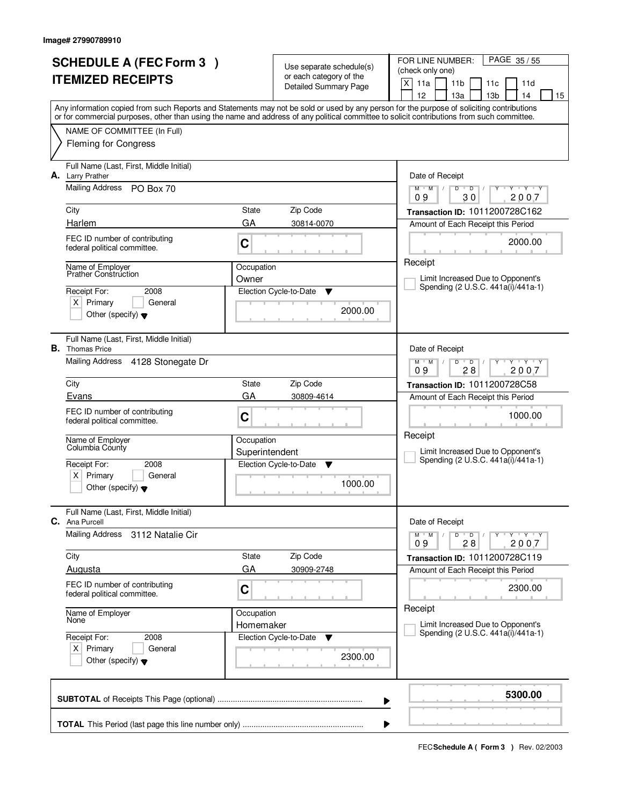|                                      | <b>SCHEDULE A (FEC Form 3)</b>                                    |                 |                                                                              | FOR LINE NUMBER:<br>PAGE 35/55                                                                                                             |
|--------------------------------------|-------------------------------------------------------------------|-----------------|------------------------------------------------------------------------------|--------------------------------------------------------------------------------------------------------------------------------------------|
| <b>ITEMIZED RECEIPTS</b>             |                                                                   |                 | Use separate schedule(s)<br>or each category of the<br>Detailed Summary Page | (check only one)                                                                                                                           |
|                                      |                                                                   |                 |                                                                              | X<br>11a<br>11 <sub>b</sub><br>11d<br>11c                                                                                                  |
|                                      |                                                                   |                 |                                                                              | 12<br>13 <sub>b</sub><br>13a<br>14<br>15                                                                                                   |
|                                      |                                                                   |                 |                                                                              | Any information copied from such Reports and Statements may not be sold or used by any person for the purpose of soliciting contributions  |
|                                      |                                                                   |                 |                                                                              | or for commercial purposes, other than using the name and address of any political committee to solicit contributions from such committee. |
|                                      | NAME OF COMMITTEE (In Full)                                       |                 |                                                                              |                                                                                                                                            |
|                                      | <b>Fleming for Congress</b>                                       |                 |                                                                              |                                                                                                                                            |
|                                      | Full Name (Last, First, Middle Initial)                           |                 |                                                                              |                                                                                                                                            |
| А.                                   | <b>Larry Prather</b>                                              |                 |                                                                              | Date of Receipt                                                                                                                            |
|                                      | <b>Mailing Address</b><br>PO Box 70                               |                 |                                                                              | Y Y Y Y<br>$M$ $M$<br>D<br>$\overline{D}$<br>$\sqrt{2}$                                                                                    |
|                                      |                                                                   |                 |                                                                              | 30<br>2007<br>09                                                                                                                           |
|                                      | City                                                              | State           | Zip Code                                                                     | Transaction ID: 1011200728C162                                                                                                             |
|                                      | Harlem                                                            | GA              | 30814-0070                                                                   | Amount of Each Receipt this Period                                                                                                         |
|                                      | FEC ID number of contributing                                     | C               |                                                                              | 2000.00                                                                                                                                    |
|                                      | federal political committee.                                      |                 |                                                                              |                                                                                                                                            |
|                                      | Name of Employer                                                  | Occupation      |                                                                              | Receipt                                                                                                                                    |
|                                      | <b>Prather Construction</b>                                       | Owner           |                                                                              | Limit Increased Due to Opponent's                                                                                                          |
|                                      | Receipt For:<br>2008                                              |                 | Election Cycle-to-Date<br>▼                                                  | Spending (2 U.S.C. 441a(i)/441a-1)                                                                                                         |
|                                      | $X$ Primary<br>General                                            |                 | 2000.00                                                                      |                                                                                                                                            |
|                                      | Other (specify) $\blacktriangledown$                              |                 |                                                                              |                                                                                                                                            |
|                                      |                                                                   |                 |                                                                              |                                                                                                                                            |
|                                      | Full Name (Last, First, Middle Initial)<br><b>B.</b> Thomas Price |                 |                                                                              | Date of Receipt                                                                                                                            |
|                                      | Mailing Address<br>4128 Stonegate Dr                              |                 |                                                                              | $Y + Y + Y$<br>$M$ $M$ /<br>D<br>$\overline{D}$                                                                                            |
|                                      |                                                                   |                 |                                                                              | 28<br>2007<br>09                                                                                                                           |
|                                      | City                                                              | State           | Zip Code                                                                     | Transaction ID: 1011200728C58                                                                                                              |
|                                      | Evans                                                             | GA              | 30809-4614                                                                   | Amount of Each Receipt this Period                                                                                                         |
|                                      | FEC ID number of contributing                                     | C<br>Occupation |                                                                              | 1000.00                                                                                                                                    |
|                                      | federal political committee.                                      |                 |                                                                              |                                                                                                                                            |
|                                      | Name of Employer                                                  |                 |                                                                              | Receipt                                                                                                                                    |
|                                      | Columbia County                                                   | Superintendent  |                                                                              | Limit Increased Due to Opponent's                                                                                                          |
|                                      | Receipt For:<br>2008                                              |                 | Election Cycle-to-Date<br>▼                                                  | Spending (2 U.S.C. 441a(i)/441a-1)                                                                                                         |
|                                      | Primary<br>$\times$<br>General                                    |                 |                                                                              |                                                                                                                                            |
|                                      | Other (specify) $\blacktriangledown$                              |                 | 1000.00                                                                      |                                                                                                                                            |
|                                      |                                                                   |                 |                                                                              |                                                                                                                                            |
| C.                                   | Full Name (Last, First, Middle Initial)<br>Ana Purcell            |                 |                                                                              | Date of Receipt                                                                                                                            |
|                                      | <b>Mailing Address</b><br>3112 Natalie Cir                        |                 |                                                                              | D<br>$Y - Y - Y - Y$<br>$M$ $M$ $/$<br>$\overline{D}$                                                                                      |
|                                      |                                                                   |                 |                                                                              | 2007<br>09<br>28                                                                                                                           |
|                                      | City                                                              | State           | Zip Code                                                                     | Transaction ID: 1011200728C119                                                                                                             |
|                                      | Augusta                                                           | GA              | 30909-2748                                                                   | Amount of Each Receipt this Period                                                                                                         |
|                                      | FEC ID number of contributing                                     | $\mathbf C$     |                                                                              | 2300.00                                                                                                                                    |
|                                      | federal political committee.                                      |                 |                                                                              |                                                                                                                                            |
|                                      | Name of Employer                                                  | Occupation      |                                                                              | Receipt                                                                                                                                    |
|                                      | None                                                              | Homemaker       |                                                                              | Limit Increased Due to Opponent's                                                                                                          |
|                                      | Receipt For:<br>2008                                              |                 | Election Cycle-to-Date<br>v                                                  | Spending (2 U.S.C. 441a(i)/441a-1)                                                                                                         |
| $X$ Primary<br>General               |                                                                   |                 |                                                                              |                                                                                                                                            |
| Other (specify) $\blacktriangledown$ |                                                                   | 2300.00         |                                                                              |                                                                                                                                            |
|                                      |                                                                   |                 |                                                                              |                                                                                                                                            |
|                                      |                                                                   |                 |                                                                              | 5300.00                                                                                                                                    |
|                                      |                                                                   |                 |                                                                              | ▶                                                                                                                                          |
|                                      |                                                                   |                 |                                                                              |                                                                                                                                            |
|                                      |                                                                   |                 |                                                                              |                                                                                                                                            |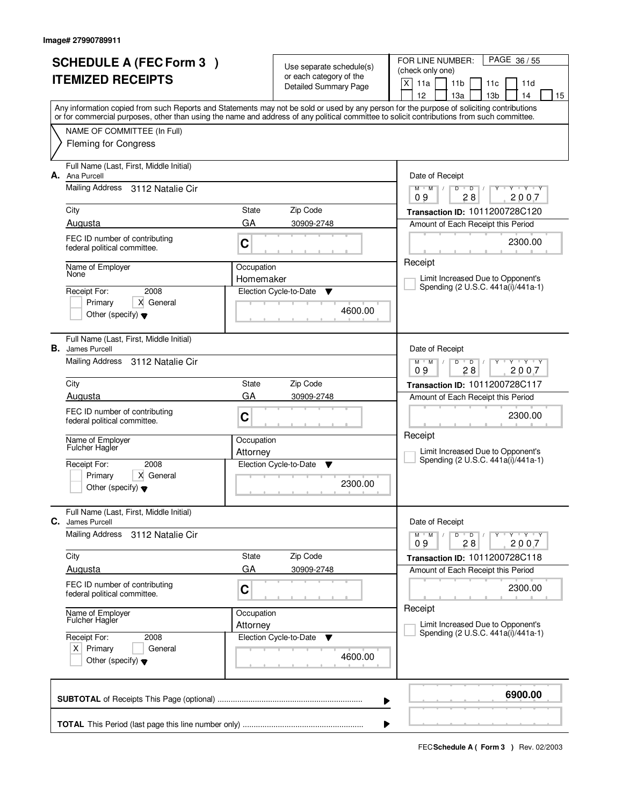|    | <b>SCHEDULE A (FEC Form 3)</b>                                 |                         |                                                     | FOR LINE NUMBER:<br>PAGE 36/55                                                                                                                                                                                                                                                          |
|----|----------------------------------------------------------------|-------------------------|-----------------------------------------------------|-----------------------------------------------------------------------------------------------------------------------------------------------------------------------------------------------------------------------------------------------------------------------------------------|
|    |                                                                |                         | Use separate schedule(s)<br>or each category of the | (check only one)                                                                                                                                                                                                                                                                        |
|    | <b>ITEMIZED RECEIPTS</b>                                       |                         | <b>Detailed Summary Page</b>                        | X<br>11a<br>11 <sub>b</sub><br>11d<br>11c                                                                                                                                                                                                                                               |
|    |                                                                |                         |                                                     | 12<br>13 <sub>b</sub><br>13a<br>14<br>15                                                                                                                                                                                                                                                |
|    |                                                                |                         |                                                     | Any information copied from such Reports and Statements may not be sold or used by any person for the purpose of soliciting contributions<br>or for commercial purposes, other than using the name and address of any political committee to solicit contributions from such committee. |
|    | NAME OF COMMITTEE (In Full)                                    |                         |                                                     |                                                                                                                                                                                                                                                                                         |
|    | <b>Fleming for Congress</b>                                    |                         |                                                     |                                                                                                                                                                                                                                                                                         |
|    |                                                                |                         |                                                     |                                                                                                                                                                                                                                                                                         |
|    | Full Name (Last, First, Middle Initial)                        |                         |                                                     |                                                                                                                                                                                                                                                                                         |
| А. | Ana Purcell                                                    |                         |                                                     | Date of Receipt                                                                                                                                                                                                                                                                         |
|    | Mailing Address<br>3112 Natalie Cir                            |                         |                                                     | $Y$ $Y$ $Y$<br>$M$ $M$<br>$\sqrt{ }$<br>D<br>$\overline{D}$<br>28<br>2007<br>09                                                                                                                                                                                                         |
|    | City                                                           | State                   | Zip Code                                            | Transaction ID: 1011200728C120                                                                                                                                                                                                                                                          |
|    | Augusta                                                        | GA                      | 30909-2748                                          | Amount of Each Receipt this Period                                                                                                                                                                                                                                                      |
|    | FEC ID number of contributing                                  |                         |                                                     |                                                                                                                                                                                                                                                                                         |
|    | federal political committee.                                   | C                       |                                                     | 2300.00                                                                                                                                                                                                                                                                                 |
|    |                                                                |                         |                                                     | Receipt                                                                                                                                                                                                                                                                                 |
|    | Name of Employer<br>None                                       | Occupation<br>Homemaker |                                                     | Limit Increased Due to Opponent's                                                                                                                                                                                                                                                       |
|    | 2008<br>Receipt For:                                           |                         | Election Cycle-to-Date<br>▼                         | Spending (2 U.S.C. 441a(i)/441a-1)                                                                                                                                                                                                                                                      |
|    | X General<br>Primary                                           |                         |                                                     |                                                                                                                                                                                                                                                                                         |
|    | Other (specify) $\blacktriangledown$                           |                         | 4600.00                                             |                                                                                                                                                                                                                                                                                         |
|    |                                                                |                         |                                                     |                                                                                                                                                                                                                                                                                         |
|    | Full Name (Last, First, Middle Initial)                        |                         |                                                     |                                                                                                                                                                                                                                                                                         |
|    | <b>B.</b> James Purcell<br>Mailing Address<br>3112 Natalie Cir |                         |                                                     | Date of Receipt<br>$\begin{array}{c} \Vdash \mathsf{Y} \quad \Vdash \mathsf{Y} \quad \Vdash \mathsf{Y} \end{array}$<br>$M$ $M$ /<br>D                                                                                                                                                   |
|    |                                                                |                         |                                                     | $\overline{D}$<br>28<br>09<br>2007                                                                                                                                                                                                                                                      |
|    | City                                                           | State                   | Zip Code                                            | Transaction ID: 1011200728C117                                                                                                                                                                                                                                                          |
|    | Augusta                                                        | GA                      | 30909-2748                                          | Amount of Each Receipt this Period                                                                                                                                                                                                                                                      |
|    | FEC ID number of contributing                                  | C                       |                                                     | 2300.00                                                                                                                                                                                                                                                                                 |
|    | federal political committee.                                   |                         |                                                     |                                                                                                                                                                                                                                                                                         |
|    | Name of Employer                                               | Occupation              |                                                     | Receipt                                                                                                                                                                                                                                                                                 |
|    | <b>Fulcher Hagler</b>                                          | Attorney                |                                                     | Limit Increased Due to Opponent's                                                                                                                                                                                                                                                       |
|    | Receipt For:<br>2008                                           |                         | Election Cycle-to-Date<br>v                         | Spending (2 U.S.C. 441a(i)/441a-1)                                                                                                                                                                                                                                                      |
|    | Primary<br>X General                                           |                         | 2300.00                                             |                                                                                                                                                                                                                                                                                         |
|    | Other (specify) $\blacktriangledown$                           |                         |                                                     |                                                                                                                                                                                                                                                                                         |
|    | Full Name (Last, First, Middle Initial)                        |                         |                                                     |                                                                                                                                                                                                                                                                                         |
| С. | James Purcell                                                  |                         |                                                     | Date of Receipt                                                                                                                                                                                                                                                                         |
|    | <b>Mailing Address</b><br>3112 Natalie Cir                     |                         |                                                     | Y FY FY<br>$M$ $M$ $/$<br>D<br>$\overline{D}$                                                                                                                                                                                                                                           |
|    |                                                                |                         | Zip Code                                            | 2007<br>09<br>28                                                                                                                                                                                                                                                                        |
|    | City<br>Augusta                                                | State<br>GA             | 30909-2748                                          | Transaction ID: 1011200728C118                                                                                                                                                                                                                                                          |
|    |                                                                |                         |                                                     | Amount of Each Receipt this Period                                                                                                                                                                                                                                                      |
|    | FEC ID number of contributing<br>federal political committee.  | C                       |                                                     | 2300.00                                                                                                                                                                                                                                                                                 |
|    |                                                                |                         |                                                     | Receipt                                                                                                                                                                                                                                                                                 |
|    | Name of Employer<br>Fulcher Hagler                             | Occupation              |                                                     | Limit Increased Due to Opponent's                                                                                                                                                                                                                                                       |
|    | Receipt For:<br>2008                                           | Attorney                | Election Cycle-to-Date<br>v                         | Spending (2 U.S.C. 441a(i)/441a-1)                                                                                                                                                                                                                                                      |
|    | $X$ Primary<br>General                                         |                         |                                                     |                                                                                                                                                                                                                                                                                         |
|    | Other (specify) $\blacktriangledown$                           |                         | 4600.00                                             |                                                                                                                                                                                                                                                                                         |
|    |                                                                |                         |                                                     |                                                                                                                                                                                                                                                                                         |
|    |                                                                |                         |                                                     |                                                                                                                                                                                                                                                                                         |
|    |                                                                |                         |                                                     | 6900.00<br>▶                                                                                                                                                                                                                                                                            |
|    |                                                                |                         |                                                     |                                                                                                                                                                                                                                                                                         |
|    |                                                                |                         |                                                     |                                                                                                                                                                                                                                                                                         |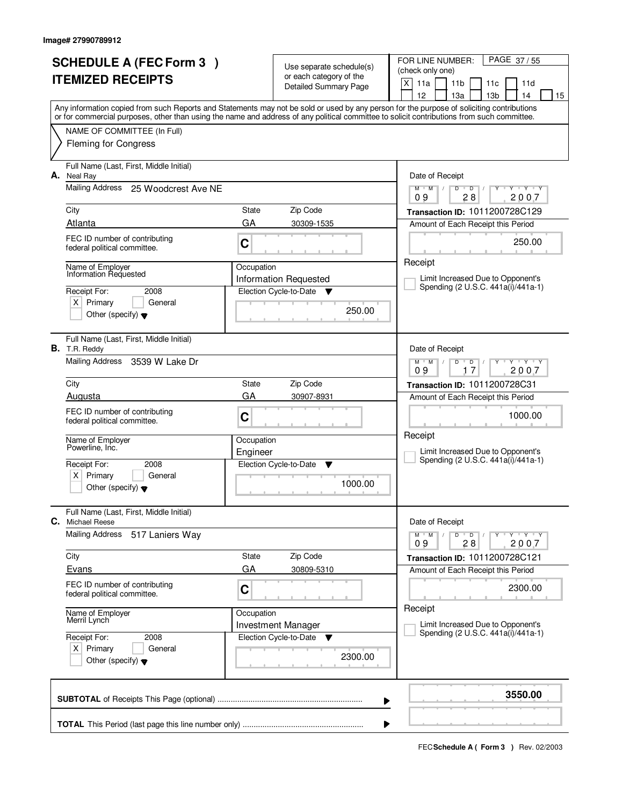| <b>SCHEDULE A (FEC Form 3)</b> |                                                                                                                                            |            | Use separate schedule(s)                                    | PAGE 37/55<br>FOR LINE NUMBER:<br>(check only one)                                                                                        |
|--------------------------------|--------------------------------------------------------------------------------------------------------------------------------------------|------------|-------------------------------------------------------------|-------------------------------------------------------------------------------------------------------------------------------------------|
|                                | <b>ITEMIZED RECEIPTS</b>                                                                                                                   |            | or each category of the<br><b>Detailed Summary Page</b>     | $\times$<br>11a<br>11 <sub>b</sub><br>11d<br>11c<br>12<br>13a<br>13 <sub>b</sub><br>14<br>15                                              |
|                                | or for commercial purposes, other than using the name and address of any political committee to solicit contributions from such committee. |            |                                                             | Any information copied from such Reports and Statements may not be sold or used by any person for the purpose of soliciting contributions |
|                                | NAME OF COMMITTEE (In Full)                                                                                                                |            |                                                             |                                                                                                                                           |
|                                | <b>Fleming for Congress</b>                                                                                                                |            |                                                             |                                                                                                                                           |
| А.                             | Full Name (Last, First, Middle Initial)<br>Neal Ray                                                                                        |            |                                                             | Date of Receipt                                                                                                                           |
|                                | Mailing Address<br>25 Woodcrest Ave NE                                                                                                     |            |                                                             | $Y - Y - Y$<br>$M$ $M$ $/$<br>D<br>$\overline{D}$<br>Ÿ<br>28<br>2007<br>09                                                                |
|                                | City                                                                                                                                       | State      | Zip Code                                                    | Transaction ID: 1011200728C129                                                                                                            |
|                                | Atlanta                                                                                                                                    | GA         | 30309-1535                                                  | Amount of Each Receipt this Period                                                                                                        |
|                                | FEC ID number of contributing<br>federal political committee.                                                                              | C          |                                                             | 250.00                                                                                                                                    |
|                                | Name of Employer<br>Information Requested                                                                                                  | Occupation |                                                             | Receipt                                                                                                                                   |
|                                | Receipt For:<br>2008                                                                                                                       |            | Information Requested<br>Election Cycle-to-Date<br><b>V</b> | Limit Increased Due to Opponent's<br>Spending (2 U.S.C. 441a(i)/441a-1)                                                                   |
|                                | $X$ Primary<br>General                                                                                                                     |            |                                                             |                                                                                                                                           |
|                                | Other (specify) $\blacktriangledown$                                                                                                       |            | 250.00                                                      |                                                                                                                                           |
|                                | Full Name (Last, First, Middle Initial)<br><b>B.</b> T.R. Reddy                                                                            |            |                                                             | Date of Receipt                                                                                                                           |
|                                | Mailing Address 3539 W Lake Dr                                                                                                             |            |                                                             | $Y$ $Y$ $Y$<br>$M$ $M$ /<br>D<br>D<br>17<br>2007<br>09                                                                                    |
|                                | City                                                                                                                                       | State      | Zip Code                                                    | Transaction ID: 1011200728C31                                                                                                             |
|                                | Augusta                                                                                                                                    | GA         | 30907-8931                                                  | Amount of Each Receipt this Period                                                                                                        |
|                                | FEC ID number of contributing<br>federal political committee.                                                                              | C          |                                                             | 1000.00                                                                                                                                   |
|                                | Name of Employer<br>Powerline, Inc.                                                                                                        | Occupation |                                                             | Receipt                                                                                                                                   |
|                                | 2008<br>Receipt For:                                                                                                                       | Engineer   | Election Cycle-to-Date<br>Y                                 | Limit Increased Due to Opponent's<br>Spending (2 U.S.C. 441a(i)/441a-1)                                                                   |
|                                | Primary<br>ΧI<br>General                                                                                                                   |            |                                                             |                                                                                                                                           |
|                                | Other (specify) $\blacktriangledown$                                                                                                       |            | 1000.00                                                     |                                                                                                                                           |
| C.                             | Full Name (Last, First, Middle Initial)<br><b>Michael Reese</b>                                                                            |            |                                                             | Date of Receipt                                                                                                                           |
|                                | Mailing Address<br>517 Laniers Way                                                                                                         |            |                                                             | $D$ $D$<br>$M$ $M$ /<br>$Y - Y - Y$<br>09<br>28<br>2007                                                                                   |
|                                | City                                                                                                                                       | State      | Zip Code                                                    | Transaction ID: 1011200728C121                                                                                                            |
|                                | Evans                                                                                                                                      | GA         | 30809-5310                                                  | Amount of Each Receipt this Period                                                                                                        |
|                                | FEC ID number of contributing<br>federal political committee.                                                                              | C          |                                                             | 2300.00                                                                                                                                   |
|                                | Name of Employer<br>Merril Lynch                                                                                                           | Occupation |                                                             | Receipt                                                                                                                                   |
|                                | Receipt For:<br>2008                                                                                                                       |            | <b>Investment Manager</b><br>Election Cycle-to-Date<br>v    | Limit Increased Due to Opponent's<br>Spending (2 U.S.C. 441a(i)/441a-1)                                                                   |
|                                | $X$ Primary<br>General<br>Other (specify) $\blacktriangledown$                                                                             |            | 2300.00                                                     |                                                                                                                                           |
|                                |                                                                                                                                            |            |                                                             | 3550.00<br>▶                                                                                                                              |
|                                |                                                                                                                                            |            |                                                             |                                                                                                                                           |
|                                |                                                                                                                                            |            |                                                             |                                                                                                                                           |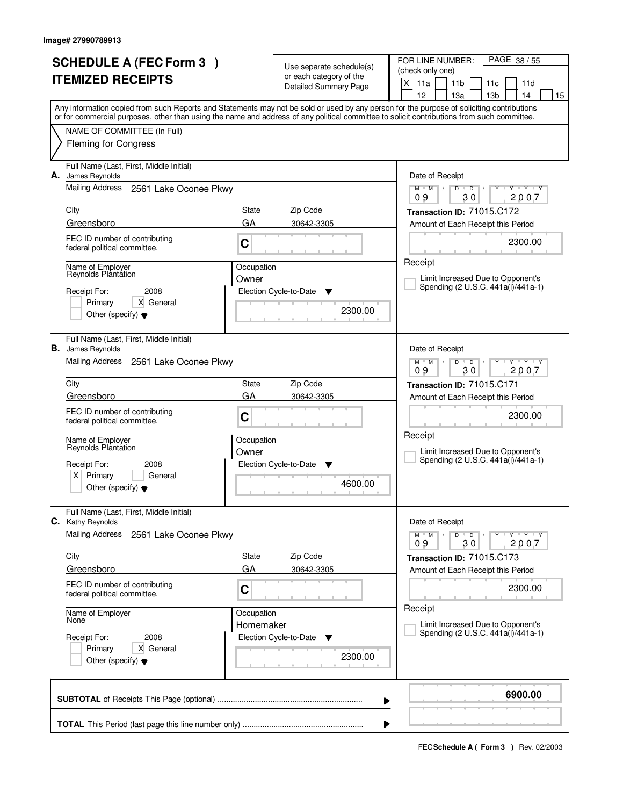| <b>SCHEDULE A (FEC Form 3)</b><br><b>ITEMIZED RECEIPTS</b> |                                                                     |            | Use separate schedule(s)<br>or each category of the | PAGE 38 / 55<br>FOR LINE NUMBER:<br>(check only one)                                                                                                                                                                                                                                    |
|------------------------------------------------------------|---------------------------------------------------------------------|------------|-----------------------------------------------------|-----------------------------------------------------------------------------------------------------------------------------------------------------------------------------------------------------------------------------------------------------------------------------------------|
|                                                            |                                                                     |            | <b>Detailed Summary Page</b>                        | X<br>11a<br>11 <sub>b</sub><br>11d<br>11c<br>12<br>13 <sub>b</sub><br>14<br>15<br>1За                                                                                                                                                                                                   |
|                                                            |                                                                     |            |                                                     | Any information copied from such Reports and Statements may not be sold or used by any person for the purpose of soliciting contributions<br>or for commercial purposes, other than using the name and address of any political committee to solicit contributions from such committee. |
|                                                            | NAME OF COMMITTEE (In Full)                                         |            |                                                     |                                                                                                                                                                                                                                                                                         |
|                                                            | <b>Fleming for Congress</b>                                         |            |                                                     |                                                                                                                                                                                                                                                                                         |
| А.                                                         | Full Name (Last, First, Middle Initial)<br>James Reynolds           |            |                                                     | Date of Receipt                                                                                                                                                                                                                                                                         |
|                                                            | Mailing Address<br>2561 Lake Oconee Pkwy                            |            |                                                     | $Y$ $Y$ $Y$<br>$D$ $D$<br>$M$ <sup>U</sup><br>$M$ /<br>Y<br>$\mathbb{L}$<br>2007<br>09<br>30                                                                                                                                                                                            |
|                                                            | City                                                                | State      | Zip Code                                            | Transaction ID: 71015.C172                                                                                                                                                                                                                                                              |
|                                                            | Greensboro                                                          | GA         | 30642-3305                                          | Amount of Each Receipt this Period                                                                                                                                                                                                                                                      |
|                                                            | FEC ID number of contributing<br>federal political committee.       | C          |                                                     | 2300.00                                                                                                                                                                                                                                                                                 |
|                                                            | Name of Employer                                                    | Occupation |                                                     | Receipt                                                                                                                                                                                                                                                                                 |
|                                                            | Reynolds Plantation                                                 | Owner      |                                                     | Limit Increased Due to Opponent's<br>Spending (2 U.S.C. 441a(i)/441a-1)                                                                                                                                                                                                                 |
|                                                            | 2008<br>Receipt For:<br>X General<br>Primary                        |            | Election Cycle-to-Date<br>▼                         |                                                                                                                                                                                                                                                                                         |
|                                                            | Other (specify) $\blacktriangledown$                                |            | 2300.00                                             |                                                                                                                                                                                                                                                                                         |
|                                                            | Full Name (Last, First, Middle Initial)<br><b>B.</b> James Reynolds |            |                                                     | Date of Receipt                                                                                                                                                                                                                                                                         |
|                                                            | Mailing Address<br>2561 Lake Oconee Pkwy                            |            |                                                     | <b>TAY TAY</b><br>$M$ $M$ /<br>D<br>$\overline{D}$<br>30<br>2007<br>09                                                                                                                                                                                                                  |
|                                                            | City                                                                | State      | Zip Code                                            | Transaction ID: 71015.C171                                                                                                                                                                                                                                                              |
|                                                            | Greensboro                                                          | GA         | 30642-3305                                          | Amount of Each Receipt this Period                                                                                                                                                                                                                                                      |
|                                                            | FEC ID number of contributing<br>federal political committee.       | C          |                                                     | 2300.00                                                                                                                                                                                                                                                                                 |
|                                                            | Name of Employer<br>Reynolds Plantation                             | Occupation |                                                     | Receipt                                                                                                                                                                                                                                                                                 |
|                                                            | Receipt For:<br>2008                                                | Owner      | Election Cycle-to-Date<br>▼                         | Limit Increased Due to Opponent's<br>Spending (2 U.S.C. 441a(i)/441a-1)                                                                                                                                                                                                                 |
|                                                            | $\times$<br>Primary<br>General                                      |            |                                                     |                                                                                                                                                                                                                                                                                         |
|                                                            | Other (specify) $\blacktriangledown$                                |            | 4600.00                                             |                                                                                                                                                                                                                                                                                         |
| С.                                                         | Full Name (Last, First, Middle Initial)<br>Kathy Reynolds           |            |                                                     | Date of Receipt                                                                                                                                                                                                                                                                         |
|                                                            | <b>Mailing Address</b><br>2561 Lake Oconee Pkwy                     |            |                                                     | $D$ $D$ $/$<br>$M$ $M$ /<br>Y Y Y Y<br>Υ<br>09<br>30<br>2007                                                                                                                                                                                                                            |
|                                                            | City                                                                | State      | Zip Code                                            | Transaction ID: 71015.C173                                                                                                                                                                                                                                                              |
|                                                            | Greensboro                                                          | GA         | 30642-3305                                          | Amount of Each Receipt this Period                                                                                                                                                                                                                                                      |
|                                                            | FEC ID number of contributing<br>federal political committee.       | C          |                                                     | 2300.00                                                                                                                                                                                                                                                                                 |
|                                                            | Name of Employer<br>None                                            | Occupation |                                                     | Receipt<br>Limit Increased Due to Opponent's                                                                                                                                                                                                                                            |
|                                                            | Receipt For:<br>2008                                                | Homemaker  | Election Cycle-to-Date<br>v                         | Spending (2 U.S.C. 441a(i)/441a-1)                                                                                                                                                                                                                                                      |
|                                                            | X General<br>Primary<br>Other (specify) $\blacktriangledown$        |            | 2300.00                                             |                                                                                                                                                                                                                                                                                         |
|                                                            |                                                                     |            |                                                     | 6900.00<br>▶                                                                                                                                                                                                                                                                            |
|                                                            |                                                                     |            |                                                     |                                                                                                                                                                                                                                                                                         |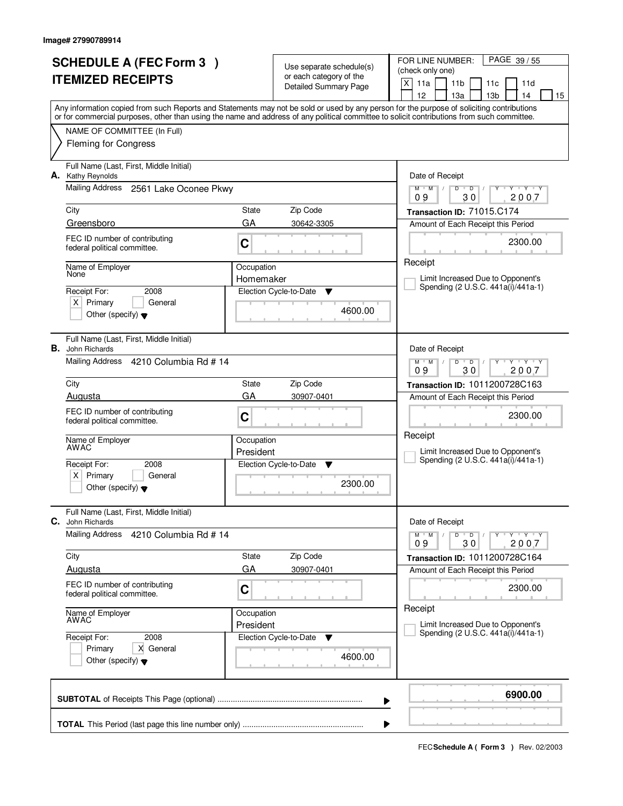|                          | <b>SCHEDULE A (FEC Form 3)</b>                                     |            |                                                     | FOR LINE NUMBER:<br>PAGE 39 / 55                                                                                                                                                      |
|--------------------------|--------------------------------------------------------------------|------------|-----------------------------------------------------|---------------------------------------------------------------------------------------------------------------------------------------------------------------------------------------|
| <b>ITEMIZED RECEIPTS</b> |                                                                    |            | Use separate schedule(s)<br>or each category of the | (check only one)                                                                                                                                                                      |
|                          |                                                                    |            | <b>Detailed Summary Page</b>                        | X<br>11a<br>11 <sub>b</sub><br>11d<br>11c                                                                                                                                             |
|                          |                                                                    |            |                                                     | 12<br>13 <sub>b</sub><br>15<br>13a<br>14<br>Any information copied from such Reports and Statements may not be sold or used by any person for the purpose of soliciting contributions |
|                          |                                                                    |            |                                                     | or for commercial purposes, other than using the name and address of any political committee to solicit contributions from such committee.                                            |
|                          | NAME OF COMMITTEE (In Full)                                        |            |                                                     |                                                                                                                                                                                       |
|                          | <b>Fleming for Congress</b>                                        |            |                                                     |                                                                                                                                                                                       |
| А.                       | Full Name (Last, First, Middle Initial)<br>Kathy Reynolds          |            |                                                     | Date of Receipt                                                                                                                                                                       |
|                          | <b>Mailing Address</b><br>2561 Lake Oconee Pkwy                    |            |                                                     | $\overline{D}$<br>$Y - Y - Y$<br>$M$ $M$ /<br>D<br>30<br>2007<br>09                                                                                                                   |
|                          | City                                                               | State      | Zip Code                                            | Transaction ID: 71015.C174                                                                                                                                                            |
|                          | Greensboro                                                         | GA         | 30642-3305                                          | Amount of Each Receipt this Period                                                                                                                                                    |
|                          | FEC ID number of contributing<br>federal political committee.      | C          |                                                     | 2300.00                                                                                                                                                                               |
|                          | Name of Employer                                                   | Occupation |                                                     | Receipt                                                                                                                                                                               |
|                          | None                                                               | Homemaker  |                                                     | Limit Increased Due to Opponent's<br>Spending (2 U.S.C. 441a(i)/441a-1)                                                                                                               |
|                          | Receipt For:<br>2008                                               |            | Election Cycle-to-Date<br>Y                         |                                                                                                                                                                                       |
|                          | $X$ Primary<br>General<br>Other (specify) $\blacktriangledown$     |            | 4600.00                                             |                                                                                                                                                                                       |
|                          |                                                                    |            |                                                     |                                                                                                                                                                                       |
|                          | Full Name (Last, First, Middle Initial)<br><b>B.</b> John Richards |            |                                                     | Date of Receipt                                                                                                                                                                       |
|                          | Mailing Address<br>4210 Columbia Rd # 14                           |            |                                                     | $\mathsf{v}$ $\mathsf{v}$ $\mathsf{v}$ $\mathsf{v}$ $\mathsf{v}$<br>$M$ $M$ /<br>$\overline{D}$<br>D<br>30<br>09<br>2007                                                              |
|                          | City                                                               | State      | Zip Code                                            | Transaction ID: 1011200728C163                                                                                                                                                        |
|                          | Augusta                                                            | GA         | 30907-0401                                          | Amount of Each Receipt this Period                                                                                                                                                    |
|                          | FEC ID number of contributing                                      |            |                                                     | 2300.00                                                                                                                                                                               |
|                          | federal political committee.                                       | C          |                                                     |                                                                                                                                                                                       |
|                          | Name of Employer<br>AWAC                                           | Occupation |                                                     | Receipt                                                                                                                                                                               |
|                          |                                                                    | President  |                                                     | Limit Increased Due to Opponent's                                                                                                                                                     |
|                          | Receipt For:<br>2008                                               |            | Election Cycle-to-Date<br>- V                       | Spending (2 U.S.C. 441a(i)/441a-1)                                                                                                                                                    |
|                          | Primary<br>General<br>ΧI                                           |            | 2300.00                                             |                                                                                                                                                                                       |
|                          | Other (specify) $\blacktriangledown$                               |            |                                                     |                                                                                                                                                                                       |
| С.                       | Full Name (Last, First, Middle Initial)<br>John Richards           |            |                                                     | Date of Receipt                                                                                                                                                                       |
|                          | Mailing Address<br>4210 Columbia Rd # 14                           |            |                                                     | D<br>$Y - Y - Y - Y$<br>$M$ $M$ /<br>$\bullet$ D $\prime$<br>09<br>30<br>2007                                                                                                         |
|                          | City                                                               | State      | Zip Code                                            | Transaction ID: 1011200728C164                                                                                                                                                        |
|                          | Augusta                                                            | GA         | 30907-0401                                          | Amount of Each Receipt this Period                                                                                                                                                    |
|                          | FEC ID number of contributing<br>federal political committee.      | C          |                                                     | 2300.00                                                                                                                                                                               |
|                          | Name of Employer<br>AWAC                                           | Occupation |                                                     | Receipt                                                                                                                                                                               |
|                          |                                                                    | President  |                                                     | Limit Increased Due to Opponent's                                                                                                                                                     |
|                          | 2008<br>Receipt For:                                               |            | Election Cycle-to-Date<br>v                         | Spending (2 U.S.C. 441a(i)/441a-1)                                                                                                                                                    |
|                          | Primary<br>X General<br>Other (specify) $\blacktriangledown$       |            | 4600.00                                             |                                                                                                                                                                                       |
|                          |                                                                    |            |                                                     | 6900.00                                                                                                                                                                               |
|                          |                                                                    |            |                                                     | ▶                                                                                                                                                                                     |
|                          |                                                                    |            |                                                     |                                                                                                                                                                                       |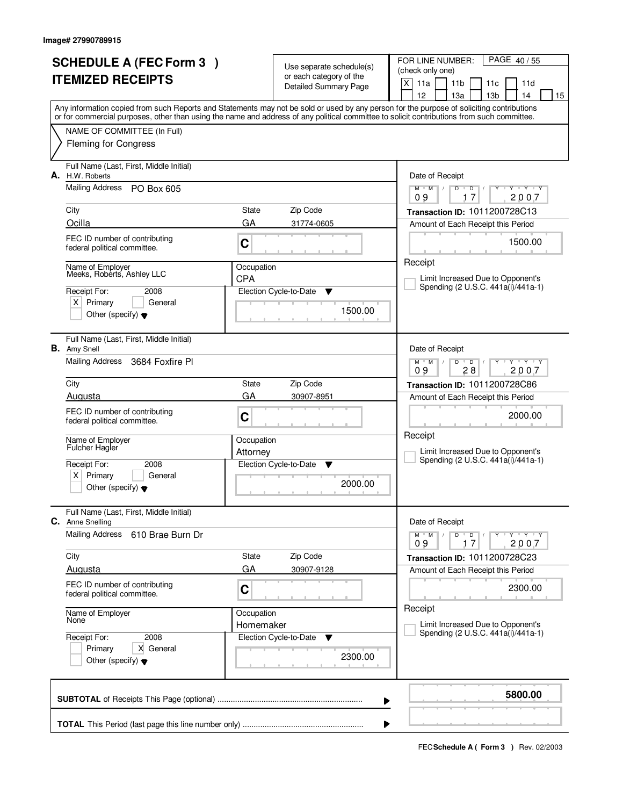|    | <b>SCHEDULE A (FEC Form 3)</b>                                     |            |                                                     | PAGE 40/55<br>FOR LINE NUMBER:                                                                                                                                                        |
|----|--------------------------------------------------------------------|------------|-----------------------------------------------------|---------------------------------------------------------------------------------------------------------------------------------------------------------------------------------------|
|    | <b>ITEMIZED RECEIPTS</b>                                           |            | Use separate schedule(s)<br>or each category of the | (check only one)                                                                                                                                                                      |
|    |                                                                    |            | <b>Detailed Summary Page</b>                        | $\times$<br>11a<br>11 <sub>b</sub><br>11d<br>11c                                                                                                                                      |
|    |                                                                    |            |                                                     | 12<br>13a<br>13 <sub>b</sub><br>14<br>15<br>Any information copied from such Reports and Statements may not be sold or used by any person for the purpose of soliciting contributions |
|    |                                                                    |            |                                                     | or for commercial purposes, other than using the name and address of any political committee to solicit contributions from such committee.                                            |
|    | NAME OF COMMITTEE (In Full)                                        |            |                                                     |                                                                                                                                                                                       |
|    | <b>Fleming for Congress</b>                                        |            |                                                     |                                                                                                                                                                                       |
| А. | Full Name (Last, First, Middle Initial)<br>H.W. Roberts            |            |                                                     | Date of Receipt                                                                                                                                                                       |
|    | Mailing Address PO Box 605                                         |            |                                                     | $Y$ $Y$ $Y$<br>$M$ $M$ /<br>$D^{-1}$<br>D<br>$Y$ <sup>U</sup><br>$\prime$<br>17<br>2007<br>09                                                                                         |
|    | City                                                               | State      | Zip Code                                            | Transaction ID: 1011200728C13                                                                                                                                                         |
|    | Ocilla                                                             | GA         | 31774-0605                                          | Amount of Each Receipt this Period                                                                                                                                                    |
|    | FEC ID number of contributing<br>federal political committee.      | C          |                                                     | 1500.00                                                                                                                                                                               |
|    | Name of Employer                                                   | Occupation |                                                     | Receipt                                                                                                                                                                               |
|    | Meeks, Roberts, Ashley LLC                                         | <b>CPA</b> |                                                     | Limit Increased Due to Opponent's                                                                                                                                                     |
|    | Receipt For:<br>2008                                               |            | Election Cycle-to-Date<br>▼                         | Spending (2 U.S.C. 441a(i)/441a-1)                                                                                                                                                    |
|    | $X$ Primary<br>General                                             |            | 1500.00                                             |                                                                                                                                                                                       |
|    | Other (specify) $\blacktriangledown$                               |            |                                                     |                                                                                                                                                                                       |
|    | Full Name (Last, First, Middle Initial)<br><b>B.</b> Amy Snell     |            |                                                     | Date of Receipt                                                                                                                                                                       |
|    | Mailing Address<br>3684 Foxfire Pl                                 |            |                                                     | $M$ $M$ /<br>$Y \vdash Y \vdash Y$<br>D<br>$\overline{D}$<br>28<br>2007<br>09                                                                                                         |
|    | City                                                               | State      | Zip Code                                            | Transaction ID: 1011200728C86                                                                                                                                                         |
|    | Augusta                                                            | GA         | 30907-8951                                          | Amount of Each Receipt this Period                                                                                                                                                    |
|    | FEC ID number of contributing                                      |            |                                                     | 2000.00                                                                                                                                                                               |
|    | federal political committee.                                       | C          |                                                     |                                                                                                                                                                                       |
|    | Name of Employer                                                   | Occupation |                                                     | Receipt                                                                                                                                                                               |
|    | <b>Fulcher Hagler</b>                                              | Attorney   |                                                     | Limit Increased Due to Opponent's                                                                                                                                                     |
|    | Receipt For:<br>2008                                               |            | Election Cycle-to-Date<br>▼                         | Spending (2 U.S.C. 441a(i)/441a-1)                                                                                                                                                    |
|    | Primary<br>X∣<br>General                                           |            | 2000.00                                             |                                                                                                                                                                                       |
|    | Other (specify) $\blacktriangledown$                               |            |                                                     |                                                                                                                                                                                       |
|    | Full Name (Last, First, Middle Initial)<br><b>C.</b> Anne Snelling |            |                                                     | Date of Receipt                                                                                                                                                                       |
|    | Mailing Address<br>610 Brae Burn Dr                                |            |                                                     | $D$ $D$<br>$M$ $M$ $/$<br>Y Y Y Y<br>09<br>2007<br>17                                                                                                                                 |
|    | City                                                               | State      | Zip Code                                            | Transaction ID: 1011200728C23                                                                                                                                                         |
|    | Augusta                                                            | GA         | 30907-9128                                          | Amount of Each Receipt this Period                                                                                                                                                    |
|    | FEC ID number of contributing<br>federal political committee.      | C          |                                                     | 2300.00                                                                                                                                                                               |
|    | Name of Employer                                                   | Occupation |                                                     | Receipt                                                                                                                                                                               |
|    | None                                                               | Homemaker  |                                                     | Limit Increased Due to Opponent's<br>Spending (2 U.S.C. 441a(i)/441a-1)                                                                                                               |
|    | Receipt For:<br>2008                                               |            | Election Cycle-to-Date<br>v                         |                                                                                                                                                                                       |
|    | Primary<br>X General<br>Other (specify) $\blacktriangledown$       |            | 2300.00                                             |                                                                                                                                                                                       |
|    |                                                                    |            |                                                     | 5800.00                                                                                                                                                                               |
|    |                                                                    |            |                                                     | ▶                                                                                                                                                                                     |
|    |                                                                    |            |                                                     |                                                                                                                                                                                       |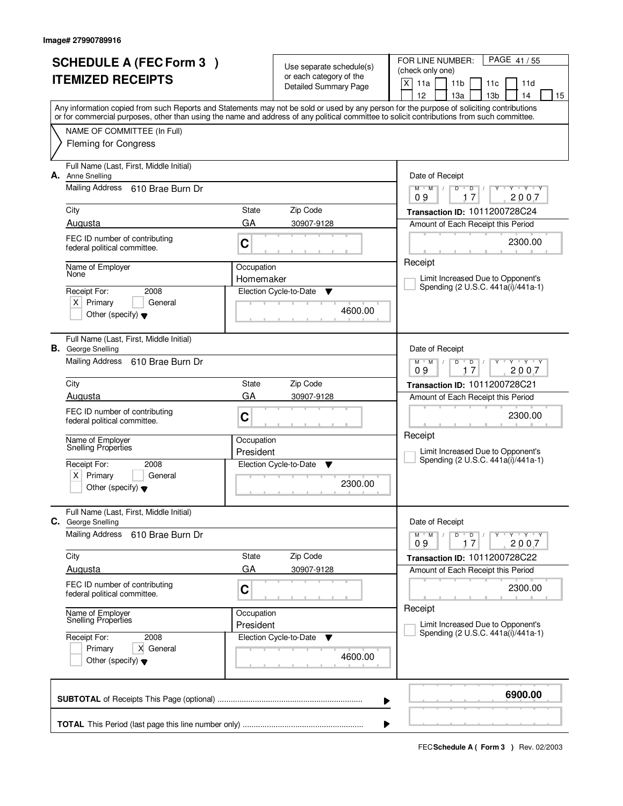|    | <b>SCHEDULE A (FEC Form 3)</b>                 |                         |                                                     | FOR LINE NUMBER:<br>PAGE 41/55                                                                                                                                                                                                                                                          |
|----|------------------------------------------------|-------------------------|-----------------------------------------------------|-----------------------------------------------------------------------------------------------------------------------------------------------------------------------------------------------------------------------------------------------------------------------------------------|
|    |                                                |                         | Use separate schedule(s)<br>or each category of the | (check only one)                                                                                                                                                                                                                                                                        |
|    | <b>ITEMIZED RECEIPTS</b>                       |                         | <b>Detailed Summary Page</b>                        | X<br>11a<br>11 <sub>b</sub><br>11d<br>11c                                                                                                                                                                                                                                               |
|    |                                                |                         |                                                     | 12<br>13 <sub>b</sub><br>15<br>13a<br>14                                                                                                                                                                                                                                                |
|    |                                                |                         |                                                     | Any information copied from such Reports and Statements may not be sold or used by any person for the purpose of soliciting contributions<br>or for commercial purposes, other than using the name and address of any political committee to solicit contributions from such committee. |
|    | NAME OF COMMITTEE (In Full)                    |                         |                                                     |                                                                                                                                                                                                                                                                                         |
|    | <b>Fleming for Congress</b>                    |                         |                                                     |                                                                                                                                                                                                                                                                                         |
|    |                                                |                         |                                                     |                                                                                                                                                                                                                                                                                         |
|    | Full Name (Last, First, Middle Initial)        |                         |                                                     |                                                                                                                                                                                                                                                                                         |
| А. | Anne Snelling                                  |                         |                                                     | Date of Receipt                                                                                                                                                                                                                                                                         |
|    | Mailing Address 610 Brae Burn Dr               |                         |                                                     | $Y - Y - Y$<br>$M$ $M$<br>$\sqrt{ }$<br>D<br>D<br>2007<br>09<br>17                                                                                                                                                                                                                      |
|    | City                                           | State                   | Zip Code                                            | Transaction ID: 1011200728C24                                                                                                                                                                                                                                                           |
|    | Augusta                                        | GA                      | 30907-9128                                          | Amount of Each Receipt this Period                                                                                                                                                                                                                                                      |
|    | FEC ID number of contributing                  |                         |                                                     |                                                                                                                                                                                                                                                                                         |
|    | federal political committee.                   | C                       |                                                     | 2300.00                                                                                                                                                                                                                                                                                 |
|    |                                                |                         |                                                     | Receipt                                                                                                                                                                                                                                                                                 |
|    | Name of Employer<br>None                       | Occupation<br>Homemaker |                                                     | Limit Increased Due to Opponent's                                                                                                                                                                                                                                                       |
|    | Receipt For:<br>2008                           |                         | Election Cycle-to-Date<br>Y                         | Spending (2 U.S.C. 441a(i)/441a-1)                                                                                                                                                                                                                                                      |
|    | $X$ Primary<br>General                         |                         |                                                     |                                                                                                                                                                                                                                                                                         |
|    | Other (specify) $\blacktriangledown$           |                         | 4600.00                                             |                                                                                                                                                                                                                                                                                         |
|    |                                                |                         |                                                     |                                                                                                                                                                                                                                                                                         |
|    | Full Name (Last, First, Middle Initial)        |                         |                                                     |                                                                                                                                                                                                                                                                                         |
|    | <b>B.</b> George Snelling                      |                         |                                                     | Date of Receipt                                                                                                                                                                                                                                                                         |
|    | Mailing Address<br>610 Brae Burn Dr            |                         |                                                     | $Y + Y + Y$<br>$M$ $M$ /<br>D<br>$\overline{D}$<br>2007<br>09<br>17                                                                                                                                                                                                                     |
|    | City                                           | State                   | Zip Code                                            | Transaction ID: 1011200728C21                                                                                                                                                                                                                                                           |
|    | Augusta                                        | GA                      | 30907-9128                                          | Amount of Each Receipt this Period                                                                                                                                                                                                                                                      |
|    | FEC ID number of contributing                  |                         |                                                     |                                                                                                                                                                                                                                                                                         |
|    | federal political committee.                   | C                       |                                                     | 2300.00                                                                                                                                                                                                                                                                                 |
|    |                                                |                         |                                                     | Receipt                                                                                                                                                                                                                                                                                 |
|    | Name of Employer<br><b>Snelling Properties</b> | Occupation<br>President |                                                     | Limit Increased Due to Opponent's                                                                                                                                                                                                                                                       |
|    | Receipt For:<br>2008                           |                         | Election Cycle-to-Date<br>- V                       | Spending (2 U.S.C. 441a(i)/441a-1)                                                                                                                                                                                                                                                      |
|    | Primary<br>ΧI<br>General                       |                         |                                                     |                                                                                                                                                                                                                                                                                         |
|    | Other (specify) $\blacktriangledown$           |                         | 2300.00                                             |                                                                                                                                                                                                                                                                                         |
|    |                                                |                         |                                                     |                                                                                                                                                                                                                                                                                         |
|    | Full Name (Last, First, Middle Initial)        |                         |                                                     |                                                                                                                                                                                                                                                                                         |
|    | C. George Snelling                             |                         |                                                     | Date of Receipt                                                                                                                                                                                                                                                                         |
|    | Mailing Address<br>610 Brae Burn Dr            |                         |                                                     | $Y - Y - Y - Y$<br>$M$ $M$ /<br>D<br>$\overline{D}$<br>09<br>2007<br>17                                                                                                                                                                                                                 |
|    | City                                           | State                   | Zip Code                                            | Transaction ID: 1011200728C22                                                                                                                                                                                                                                                           |
|    | Augusta                                        | GA                      | 30907-9128                                          | Amount of Each Receipt this Period                                                                                                                                                                                                                                                      |
|    | FEC ID number of contributing                  |                         |                                                     |                                                                                                                                                                                                                                                                                         |
|    | federal political committee.                   | C                       |                                                     | 2300.00                                                                                                                                                                                                                                                                                 |
|    |                                                | Occupation              |                                                     | Receipt                                                                                                                                                                                                                                                                                 |
|    | Name of Employer<br>Snelling Properties        | President               |                                                     | Limit Increased Due to Opponent's                                                                                                                                                                                                                                                       |
|    | Receipt For:<br>2008                           |                         | Election Cycle-to-Date<br>v                         | Spending (2 U.S.C. 441a(i)/441a-1)                                                                                                                                                                                                                                                      |
|    | Primary<br>X General                           |                         |                                                     |                                                                                                                                                                                                                                                                                         |
|    | Other (specify) $\blacktriangledown$           |                         | 4600.00                                             |                                                                                                                                                                                                                                                                                         |
|    |                                                |                         |                                                     |                                                                                                                                                                                                                                                                                         |
|    |                                                |                         |                                                     |                                                                                                                                                                                                                                                                                         |
|    |                                                |                         |                                                     | 6900.00<br>▶                                                                                                                                                                                                                                                                            |
|    |                                                |                         |                                                     |                                                                                                                                                                                                                                                                                         |
|    |                                                |                         |                                                     |                                                                                                                                                                                                                                                                                         |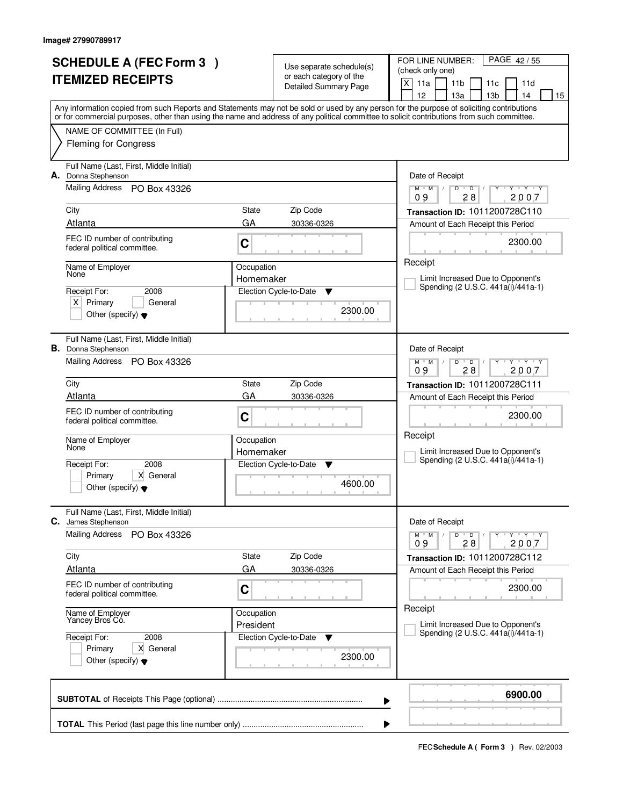|    | <b>SCHEDULE A (FEC Form 3)</b>                                        |            |                                                         | FOR LINE NUMBER:<br>PAGE 42/55                                                                                                             |  |  |
|----|-----------------------------------------------------------------------|------------|---------------------------------------------------------|--------------------------------------------------------------------------------------------------------------------------------------------|--|--|
|    |                                                                       |            | Use separate schedule(s)                                | (check only one)                                                                                                                           |  |  |
|    | <b>ITEMIZED RECEIPTS</b>                                              |            | or each category of the<br><b>Detailed Summary Page</b> | X<br>11a<br>11 <sub>b</sub><br>11d<br>11c                                                                                                  |  |  |
|    |                                                                       |            |                                                         | 12<br>13 <sub>b</sub><br>13a<br>14<br>15                                                                                                   |  |  |
|    |                                                                       |            |                                                         | Any information copied from such Reports and Statements may not be sold or used by any person for the purpose of soliciting contributions  |  |  |
|    |                                                                       |            |                                                         | or for commercial purposes, other than using the name and address of any political committee to solicit contributions from such committee. |  |  |
|    | NAME OF COMMITTEE (In Full)                                           |            |                                                         |                                                                                                                                            |  |  |
|    | <b>Fleming for Congress</b>                                           |            |                                                         |                                                                                                                                            |  |  |
|    |                                                                       |            |                                                         |                                                                                                                                            |  |  |
| А. | Full Name (Last, First, Middle Initial)<br>Donna Stephenson           |            |                                                         | Date of Receipt                                                                                                                            |  |  |
|    | <b>Mailing Address</b><br>PO Box 43326                                |            |                                                         | $Y + Y + Y$<br>$\overline{D}$<br>$M$ $M$ /<br>D                                                                                            |  |  |
|    |                                                                       |            |                                                         | 28<br>2007<br>09                                                                                                                           |  |  |
|    | City                                                                  | State      | Zip Code                                                | Transaction ID: 1011200728C110                                                                                                             |  |  |
|    | Atlanta                                                               | GA         | 30336-0326                                              | Amount of Each Receipt this Period                                                                                                         |  |  |
|    | FEC ID number of contributing                                         | C          |                                                         | 2300.00                                                                                                                                    |  |  |
|    | federal political committee.                                          |            |                                                         |                                                                                                                                            |  |  |
|    | Name of Employer                                                      | Occupation |                                                         | Receipt                                                                                                                                    |  |  |
|    | None                                                                  | Homemaker  |                                                         | Limit Increased Due to Opponent's                                                                                                          |  |  |
|    | Receipt For:<br>2008                                                  |            | Election Cycle-to-Date<br>▼                             | Spending (2 U.S.C. 441a(i)/441a-1)                                                                                                         |  |  |
|    | $X$ Primary<br>General                                                |            |                                                         |                                                                                                                                            |  |  |
|    | Other (specify) $\blacktriangledown$                                  |            | 2300.00                                                 |                                                                                                                                            |  |  |
|    |                                                                       |            |                                                         |                                                                                                                                            |  |  |
|    | Full Name (Last, First, Middle Initial)<br><b>B.</b> Donna Stephenson |            |                                                         | Date of Receipt                                                                                                                            |  |  |
|    | Mailing Address PO Box 43326                                          |            |                                                         | $\mathsf{v}$ $\mathsf{v}$ $\mathsf{v}$ $\mathsf{v}$ $\mathsf{v}$<br>$M$ $M$ /<br>D<br>$\overline{D}$                                       |  |  |
|    |                                                                       |            |                                                         | 28<br>09<br>2007                                                                                                                           |  |  |
|    | City                                                                  | State      | Zip Code                                                | Transaction ID: 1011200728C111                                                                                                             |  |  |
|    | Atlanta                                                               | GA         | 30336-0326                                              | Amount of Each Receipt this Period                                                                                                         |  |  |
|    | FEC ID number of contributing                                         |            |                                                         | 2300.00                                                                                                                                    |  |  |
|    | federal political committee.                                          | C          |                                                         |                                                                                                                                            |  |  |
|    | Name of Employer                                                      | Occupation |                                                         | Receipt                                                                                                                                    |  |  |
|    | None                                                                  | Homemaker  |                                                         | Limit Increased Due to Opponent's                                                                                                          |  |  |
|    | Receipt For:<br>2008                                                  |            | Election Cycle-to-Date<br>- V                           | Spending (2 U.S.C. 441a(i)/441a-1)                                                                                                         |  |  |
|    | X General<br>Primary                                                  |            |                                                         |                                                                                                                                            |  |  |
|    | Other (specify) $\blacktriangledown$                                  |            | 4600.00                                                 |                                                                                                                                            |  |  |
|    |                                                                       |            |                                                         |                                                                                                                                            |  |  |
| С. | Full Name (Last, First, Middle Initial)<br>James Stephenson           |            |                                                         | Date of Receipt                                                                                                                            |  |  |
|    | Mailing Address<br>PO Box 43326                                       |            |                                                         | $Y - Y - Y - Y$<br>$M$ $M$ /<br>D<br>$\overline{D}$                                                                                        |  |  |
|    |                                                                       |            |                                                         | 2007<br>09<br>28                                                                                                                           |  |  |
|    | City                                                                  | State      | Zip Code                                                | Transaction ID: 1011200728C112                                                                                                             |  |  |
|    | <b>Atlanta</b>                                                        | GA         | 30336-0326                                              | Amount of Each Receipt this Period                                                                                                         |  |  |
|    | FEC ID number of contributing                                         |            |                                                         | 2300.00                                                                                                                                    |  |  |
|    | federal political committee.                                          | C          |                                                         |                                                                                                                                            |  |  |
|    |                                                                       | Occupation |                                                         | Receipt                                                                                                                                    |  |  |
|    | Name of Employer<br>Yancey Bros Co.                                   | President  |                                                         | Limit Increased Due to Opponent's                                                                                                          |  |  |
|    | Receipt For:<br>2008                                                  |            | Election Cycle-to-Date<br>v                             | Spending (2 U.S.C. 441a(i)/441a-1)                                                                                                         |  |  |
|    | Primary<br>X General                                                  |            |                                                         |                                                                                                                                            |  |  |
|    | Other (specify) $\blacktriangledown$                                  |            | 2300.00                                                 |                                                                                                                                            |  |  |
|    |                                                                       |            |                                                         |                                                                                                                                            |  |  |
|    |                                                                       |            |                                                         |                                                                                                                                            |  |  |
|    |                                                                       |            |                                                         | 6900.00<br>▶                                                                                                                               |  |  |
|    |                                                                       |            |                                                         |                                                                                                                                            |  |  |
|    |                                                                       |            |                                                         |                                                                                                                                            |  |  |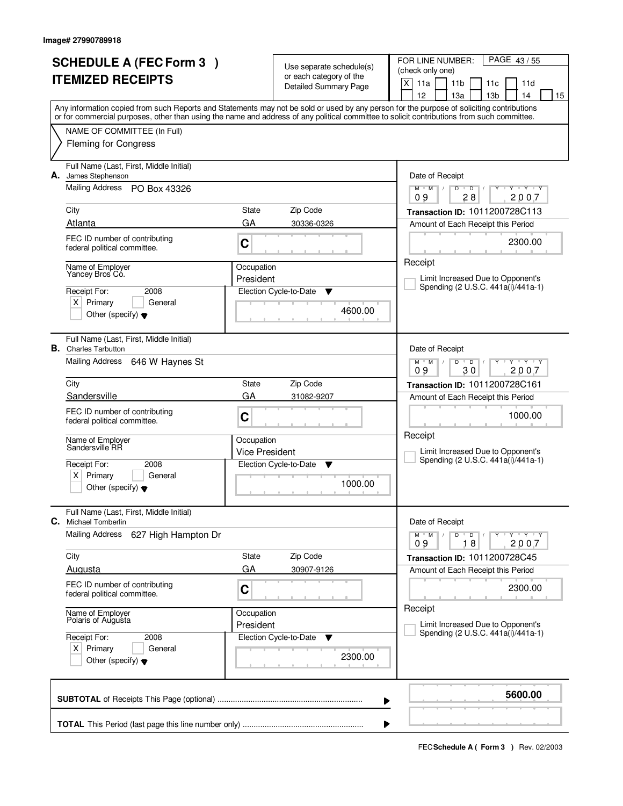| <b>SCHEDULE A (FEC Form 3)</b> |                                                                                        |                         | Use separate schedule(s)                                | PAGE 43/55<br>FOR LINE NUMBER:<br>(check only one)                                                                                                                                                                                                                                      |  |  |
|--------------------------------|----------------------------------------------------------------------------------------|-------------------------|---------------------------------------------------------|-----------------------------------------------------------------------------------------------------------------------------------------------------------------------------------------------------------------------------------------------------------------------------------------|--|--|
|                                | <b>ITEMIZED RECEIPTS</b>                                                               |                         | or each category of the<br><b>Detailed Summary Page</b> | $\times$<br>11a<br>11 <sub>b</sub><br>11d<br>11c<br>12<br>13a<br>13 <sub>b</sub><br>14<br>15                                                                                                                                                                                            |  |  |
|                                |                                                                                        |                         |                                                         | Any information copied from such Reports and Statements may not be sold or used by any person for the purpose of soliciting contributions<br>or for commercial purposes, other than using the name and address of any political committee to solicit contributions from such committee. |  |  |
|                                | NAME OF COMMITTEE (In Full)<br><b>Fleming for Congress</b>                             |                         |                                                         |                                                                                                                                                                                                                                                                                         |  |  |
| А.                             | Full Name (Last, First, Middle Initial)<br>James Stephenson                            |                         |                                                         | Date of Receipt                                                                                                                                                                                                                                                                         |  |  |
|                                | Mailing Address PO Box 43326                                                           |                         |                                                         | $Y$ $Y$ $Y$<br>$M$ $M$ /<br>D<br>$\overline{D}$<br>Ÿ<br>28<br>2007<br>09                                                                                                                                                                                                                |  |  |
|                                | City                                                                                   | State                   | Zip Code                                                | Transaction ID: 1011200728C113                                                                                                                                                                                                                                                          |  |  |
|                                | Atlanta                                                                                | GA                      | 30336-0326                                              | Amount of Each Receipt this Period                                                                                                                                                                                                                                                      |  |  |
|                                | FEC ID number of contributing<br>federal political committee.                          | C                       |                                                         | 2300.00                                                                                                                                                                                                                                                                                 |  |  |
|                                | Name of Employer<br>Yancey Bros Có.                                                    | Occupation              |                                                         | Receipt                                                                                                                                                                                                                                                                                 |  |  |
|                                |                                                                                        | President               |                                                         | Limit Increased Due to Opponent's<br>Spending (2 U.S.C. 441a(i)/441a-1)                                                                                                                                                                                                                 |  |  |
|                                | Receipt For:<br>2008<br>$X$ Primary<br>General                                         |                         | Election Cycle-to-Date<br>▼                             |                                                                                                                                                                                                                                                                                         |  |  |
|                                | Other (specify) $\blacktriangledown$                                                   |                         | 4600.00                                                 |                                                                                                                                                                                                                                                                                         |  |  |
|                                | Full Name (Last, First, Middle Initial)<br><b>B.</b> Charles Tarbutton                 |                         |                                                         | Date of Receipt                                                                                                                                                                                                                                                                         |  |  |
|                                | Mailing Address 646 W Haynes St                                                        |                         |                                                         | $M$ $M$ /<br>$Y - Y - Y$<br>D<br>$\overline{D}$<br>30<br>2007<br>09                                                                                                                                                                                                                     |  |  |
|                                | City                                                                                   | State                   | Zip Code                                                | Transaction ID: 1011200728C161                                                                                                                                                                                                                                                          |  |  |
|                                | Sandersville                                                                           | GA                      | 31082-9207                                              | Amount of Each Receipt this Period                                                                                                                                                                                                                                                      |  |  |
|                                | FEC ID number of contributing<br>federal political committee.                          | C                       |                                                         | 1000.00                                                                                                                                                                                                                                                                                 |  |  |
|                                | Name of Employer<br>Sandersville RR                                                    | Occupation              |                                                         | Receipt                                                                                                                                                                                                                                                                                 |  |  |
|                                | Receipt For:<br>2008                                                                   | <b>Vice President</b>   | Election Cycle-to-Date<br>▼                             | Limit Increased Due to Opponent's<br>Spending (2 U.S.C. 441a(i)/441a-1)                                                                                                                                                                                                                 |  |  |
|                                | Primary<br>ΧI<br>General<br>Other (specify) $\blacktriangledown$                       |                         | 1000.00                                                 |                                                                                                                                                                                                                                                                                         |  |  |
| C.                             | Full Name (Last, First, Middle Initial)<br><b>Michael Tomberlin</b>                    |                         |                                                         | Date of Receipt                                                                                                                                                                                                                                                                         |  |  |
|                                | <b>Mailing Address</b><br>627 High Hampton Dr                                          |                         |                                                         | $D$ $D$<br>$Y - Y - Y - Y$<br>$M$ $M$ /<br>$\sqrt{ }$<br>09<br>18<br>2007                                                                                                                                                                                                               |  |  |
|                                | City                                                                                   | State                   | Zip Code                                                | Transaction ID: 1011200728C45                                                                                                                                                                                                                                                           |  |  |
|                                | Augusta                                                                                | GA                      | 30907-9126                                              | Amount of Each Receipt this Period                                                                                                                                                                                                                                                      |  |  |
|                                | FEC ID number of contributing<br>federal political committee.                          | C                       |                                                         | 2300.00                                                                                                                                                                                                                                                                                 |  |  |
|                                | Name of Employer<br>Polaris of Augusta                                                 | Occupation<br>President |                                                         | Receipt<br>Limit Increased Due to Opponent's                                                                                                                                                                                                                                            |  |  |
|                                | Receipt For:<br>2008<br>$X$ Primary<br>General<br>Other (specify) $\blacktriangledown$ |                         | Election Cycle-to-Date<br>v<br>2300.00                  | Spending (2 U.S.C. 441a(i)/441a-1)                                                                                                                                                                                                                                                      |  |  |
|                                |                                                                                        |                         |                                                         | 5600.00<br>▶                                                                                                                                                                                                                                                                            |  |  |
|                                |                                                                                        |                         |                                                         |                                                                                                                                                                                                                                                                                         |  |  |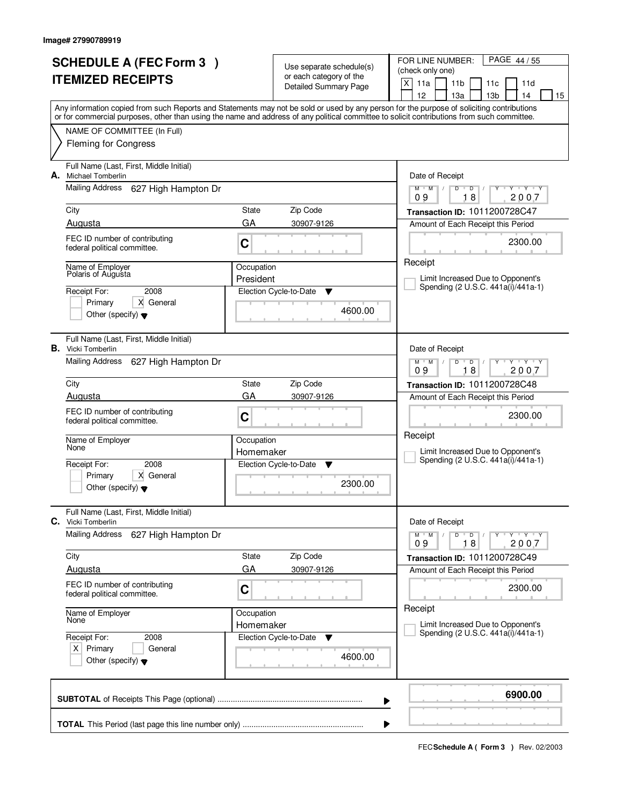|    | <b>SCHEDULE A (FEC Form 3)</b>                                       |            |                                                     | FOR LINE NUMBER:<br>PAGE 44 / 55                                                                                                                                                                                                                                                        |  |  |
|----|----------------------------------------------------------------------|------------|-----------------------------------------------------|-----------------------------------------------------------------------------------------------------------------------------------------------------------------------------------------------------------------------------------------------------------------------------------------|--|--|
|    | <b>ITEMIZED RECEIPTS</b>                                             |            | Use separate schedule(s)<br>or each category of the | (check only one)                                                                                                                                                                                                                                                                        |  |  |
|    |                                                                      |            | <b>Detailed Summary Page</b>                        | X<br>11a<br>11 <sub>b</sub><br>11d<br>11c                                                                                                                                                                                                                                               |  |  |
|    |                                                                      |            |                                                     | 12<br>13 <sub>b</sub><br>13a<br>14<br>15                                                                                                                                                                                                                                                |  |  |
|    |                                                                      |            |                                                     | Any information copied from such Reports and Statements may not be sold or used by any person for the purpose of soliciting contributions<br>or for commercial purposes, other than using the name and address of any political committee to solicit contributions from such committee. |  |  |
|    | NAME OF COMMITTEE (In Full)                                          |            |                                                     |                                                                                                                                                                                                                                                                                         |  |  |
|    | <b>Fleming for Congress</b>                                          |            |                                                     |                                                                                                                                                                                                                                                                                         |  |  |
| А. | Full Name (Last, First, Middle Initial)<br>Michael Tomberlin         |            |                                                     | Date of Receipt                                                                                                                                                                                                                                                                         |  |  |
|    | <b>Mailing Address</b><br>627 High Hampton Dr                        |            |                                                     | $Y - Y - Y$<br>$M$ $M$<br>$\sqrt{ }$<br>D<br>D<br>18<br>2007<br>09                                                                                                                                                                                                                      |  |  |
|    | City                                                                 | State      | Zip Code                                            | Transaction ID: 1011200728C47                                                                                                                                                                                                                                                           |  |  |
|    | Augusta                                                              | GA         | 30907-9126                                          | Amount of Each Receipt this Period                                                                                                                                                                                                                                                      |  |  |
|    | FEC ID number of contributing<br>federal political committee.        | C          |                                                     | 2300.00                                                                                                                                                                                                                                                                                 |  |  |
|    | Name of Employer                                                     | Occupation |                                                     | Receipt                                                                                                                                                                                                                                                                                 |  |  |
|    | Polaris of Augusta                                                   | President  |                                                     | Limit Increased Due to Opponent's<br>Spending (2 U.S.C. 441a(i)/441a-1)                                                                                                                                                                                                                 |  |  |
|    | 2008<br>Receipt For:                                                 |            | Election Cycle-to-Date<br>Y                         |                                                                                                                                                                                                                                                                                         |  |  |
|    | Primary<br>X General<br>Other (specify) $\blacktriangledown$         |            | 4600.00                                             |                                                                                                                                                                                                                                                                                         |  |  |
|    |                                                                      |            |                                                     |                                                                                                                                                                                                                                                                                         |  |  |
|    | Full Name (Last, First, Middle Initial)<br><b>B.</b> Vicki Tomberlin |            |                                                     | Date of Receipt                                                                                                                                                                                                                                                                         |  |  |
|    | Mailing Address<br>627 High Hampton Dr                               |            |                                                     | $Y$ $Y$ $Y$<br>$M$ $M$ /<br>D<br>$\overline{D}$<br>18<br>09<br>2007                                                                                                                                                                                                                     |  |  |
|    | City                                                                 | State      | Zip Code                                            | Transaction ID: 1011200728C48                                                                                                                                                                                                                                                           |  |  |
|    | Augusta                                                              | GA         | 30907-9126                                          | Amount of Each Receipt this Period                                                                                                                                                                                                                                                      |  |  |
|    | FEC ID number of contributing<br>federal political committee.        | C          |                                                     | 2300.00                                                                                                                                                                                                                                                                                 |  |  |
|    | Name of Employer                                                     | Occupation |                                                     | Receipt                                                                                                                                                                                                                                                                                 |  |  |
|    | None                                                                 | Homemaker  |                                                     | Limit Increased Due to Opponent's<br>Spending (2 U.S.C. 441a(i)/441a-1)                                                                                                                                                                                                                 |  |  |
|    | Receipt For:<br>2008                                                 |            | Election Cycle-to-Date<br>v                         |                                                                                                                                                                                                                                                                                         |  |  |
|    | Primary<br>X General<br>Other (specify) $\blacktriangledown$         |            | 2300.00                                             |                                                                                                                                                                                                                                                                                         |  |  |
|    |                                                                      |            |                                                     |                                                                                                                                                                                                                                                                                         |  |  |
|    | Full Name (Last, First, Middle Initial)<br>C. Vicki Tomberlin        |            |                                                     | Date of Receipt                                                                                                                                                                                                                                                                         |  |  |
|    | <b>Mailing Address</b><br>627 High Hampton Dr                        |            |                                                     | D<br>$Y - Y - Y - Y$<br>$M$ $M$ /<br>$\overline{D}$<br>2007<br>09<br>18                                                                                                                                                                                                                 |  |  |
|    | City                                                                 | State      | Zip Code                                            | Transaction ID: 1011200728C49                                                                                                                                                                                                                                                           |  |  |
|    | Augusta                                                              | GA         | 30907-9126                                          | Amount of Each Receipt this Period                                                                                                                                                                                                                                                      |  |  |
|    | FEC ID number of contributing<br>federal political committee.        | C          |                                                     | 2300.00                                                                                                                                                                                                                                                                                 |  |  |
|    | Name of Employer                                                     | Occupation |                                                     | Receipt                                                                                                                                                                                                                                                                                 |  |  |
|    | None                                                                 | Homemaker  |                                                     | Limit Increased Due to Opponent's<br>Spending (2 U.S.C. 441a(i)/441a-1)                                                                                                                                                                                                                 |  |  |
|    | Receipt For:<br>2008                                                 |            | Election Cycle-to-Date<br>v                         |                                                                                                                                                                                                                                                                                         |  |  |
|    | $X$ Primary<br>General<br>Other (specify) $\blacktriangledown$       |            | 4600.00                                             |                                                                                                                                                                                                                                                                                         |  |  |
|    |                                                                      |            |                                                     | 6900.00                                                                                                                                                                                                                                                                                 |  |  |
|    |                                                                      |            |                                                     | ▶                                                                                                                                                                                                                                                                                       |  |  |
|    |                                                                      |            |                                                     |                                                                                                                                                                                                                                                                                         |  |  |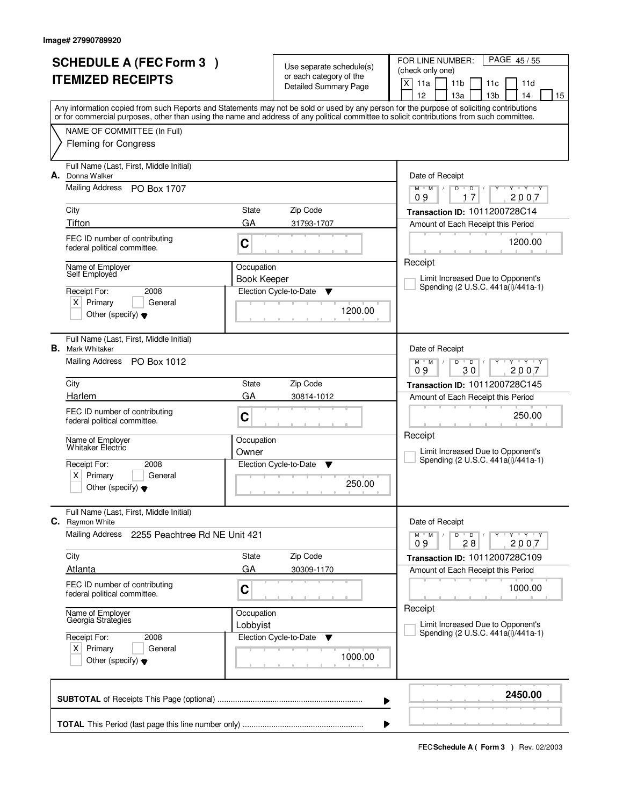|    | <b>SCHEDULE A (FEC Form 3)</b>                                |                    |                                                         | FOR LINE NUMBER:<br>PAGE 45/55                                                                                                             |  |  |
|----|---------------------------------------------------------------|--------------------|---------------------------------------------------------|--------------------------------------------------------------------------------------------------------------------------------------------|--|--|
|    |                                                               |                    | Use separate schedule(s)                                | (check only one)                                                                                                                           |  |  |
|    | <b>ITEMIZED RECEIPTS</b>                                      |                    | or each category of the<br><b>Detailed Summary Page</b> | X<br>11a<br>11 <sub>b</sub><br>11d<br>11c                                                                                                  |  |  |
|    |                                                               |                    |                                                         | 12<br>13 <sub>b</sub><br>13a<br>14<br>15                                                                                                   |  |  |
|    |                                                               |                    |                                                         | Any information copied from such Reports and Statements may not be sold or used by any person for the purpose of soliciting contributions  |  |  |
|    |                                                               |                    |                                                         | or for commercial purposes, other than using the name and address of any political committee to solicit contributions from such committee. |  |  |
|    | NAME OF COMMITTEE (In Full)                                   |                    |                                                         |                                                                                                                                            |  |  |
|    | <b>Fleming for Congress</b>                                   |                    |                                                         |                                                                                                                                            |  |  |
|    | Full Name (Last, First, Middle Initial)                       |                    |                                                         |                                                                                                                                            |  |  |
| А. | Donna Walker                                                  |                    |                                                         | Date of Receipt                                                                                                                            |  |  |
|    | Mailing Address<br>PO Box 1707                                |                    |                                                         | $Y - Y - Y$<br>$M$ $M$<br>$\sqrt{2}$<br>D<br>D                                                                                             |  |  |
|    |                                                               |                    |                                                         | 17<br>2007<br>09                                                                                                                           |  |  |
|    | City                                                          | State              | Zip Code                                                | Transaction ID: 1011200728C14                                                                                                              |  |  |
|    | Tifton                                                        | GA                 | 31793-1707                                              | Amount of Each Receipt this Period                                                                                                         |  |  |
|    | FEC ID number of contributing<br>federal political committee. | C                  |                                                         | 1200.00                                                                                                                                    |  |  |
|    |                                                               |                    |                                                         |                                                                                                                                            |  |  |
|    | Name of Employer                                              | Occupation         |                                                         | Receipt                                                                                                                                    |  |  |
|    | Self Employed                                                 | <b>Book Keeper</b> |                                                         | Limit Increased Due to Opponent's<br>Spending (2 U.S.C. 441a(i)/441a-1)                                                                    |  |  |
|    | Receipt For:<br>2008                                          |                    | Election Cycle-to-Date<br>Y                             |                                                                                                                                            |  |  |
|    | $X$ Primary<br>General                                        |                    | 1200.00                                                 |                                                                                                                                            |  |  |
|    | Other (specify) $\blacktriangledown$                          |                    |                                                         |                                                                                                                                            |  |  |
|    | Full Name (Last, First, Middle Initial)                       |                    |                                                         |                                                                                                                                            |  |  |
|    | <b>B.</b> Mark Whitaker                                       |                    |                                                         | Date of Receipt                                                                                                                            |  |  |
|    | Mailing Address<br>PO Box 1012                                |                    |                                                         | $Y + Y + Y$<br>$M$ $M$ /<br>$\overline{D}$<br>D                                                                                            |  |  |
|    |                                                               |                    |                                                         | 30<br>09<br>2007                                                                                                                           |  |  |
|    | City                                                          | State              | Zip Code                                                | Transaction ID: 1011200728C145                                                                                                             |  |  |
|    | Harlem                                                        | GA                 | 30814-1012                                              | Amount of Each Receipt this Period                                                                                                         |  |  |
|    | FEC ID number of contributing                                 | C                  |                                                         | 250.00                                                                                                                                     |  |  |
|    | federal political committee.                                  |                    |                                                         |                                                                                                                                            |  |  |
|    | Name of Employer                                              | Occupation         |                                                         | Receipt                                                                                                                                    |  |  |
|    | Whitaker Electric                                             | Owner              |                                                         | Limit Increased Due to Opponent's                                                                                                          |  |  |
|    | Receipt For:<br>2008                                          |                    | Election Cycle-to-Date<br>v                             | Spending (2 U.S.C. 441a(i)/441a-1)                                                                                                         |  |  |
|    | Primary<br>ΧI<br>General                                      | 250.00             |                                                         |                                                                                                                                            |  |  |
|    | Other (specify) $\blacktriangledown$                          |                    |                                                         |                                                                                                                                            |  |  |
|    |                                                               |                    |                                                         |                                                                                                                                            |  |  |
|    | Full Name (Last, First, Middle Initial)<br>C. Raymon White    |                    |                                                         | Date of Receipt                                                                                                                            |  |  |
|    | Mailing Address<br>2255 Peachtree Rd NE Unit 421              |                    |                                                         | $Y - Y - Y - Y$<br>$M$ $M$ /<br>D<br>$\overline{D}$                                                                                        |  |  |
|    |                                                               |                    |                                                         | 09<br>28<br>2007                                                                                                                           |  |  |
|    | City                                                          | State              | Zip Code                                                | Transaction ID: 1011200728C109                                                                                                             |  |  |
|    | <b>Atlanta</b>                                                | GA                 | 30309-1170                                              | Amount of Each Receipt this Period                                                                                                         |  |  |
|    | FEC ID number of contributing                                 | C                  |                                                         | 1000.00                                                                                                                                    |  |  |
|    | federal political committee.                                  |                    |                                                         |                                                                                                                                            |  |  |
|    |                                                               | Occupation         |                                                         | Receipt                                                                                                                                    |  |  |
|    | Name of Employer<br>Georgia Strategies                        | Lobbyist           |                                                         | Limit Increased Due to Opponent's                                                                                                          |  |  |
|    | Receipt For:<br>2008                                          |                    | Election Cycle-to-Date<br>v                             | Spending (2 U.S.C. 441a(i)/441a-1)                                                                                                         |  |  |
|    | $X$ Primary<br>General                                        |                    |                                                         |                                                                                                                                            |  |  |
|    | Other (specify) $\blacktriangledown$                          |                    | 1000.00                                                 |                                                                                                                                            |  |  |
|    |                                                               |                    |                                                         |                                                                                                                                            |  |  |
|    |                                                               |                    |                                                         | 2450.00                                                                                                                                    |  |  |
|    |                                                               |                    |                                                         | ▶                                                                                                                                          |  |  |
|    |                                                               |                    |                                                         |                                                                                                                                            |  |  |
|    |                                                               |                    |                                                         |                                                                                                                                            |  |  |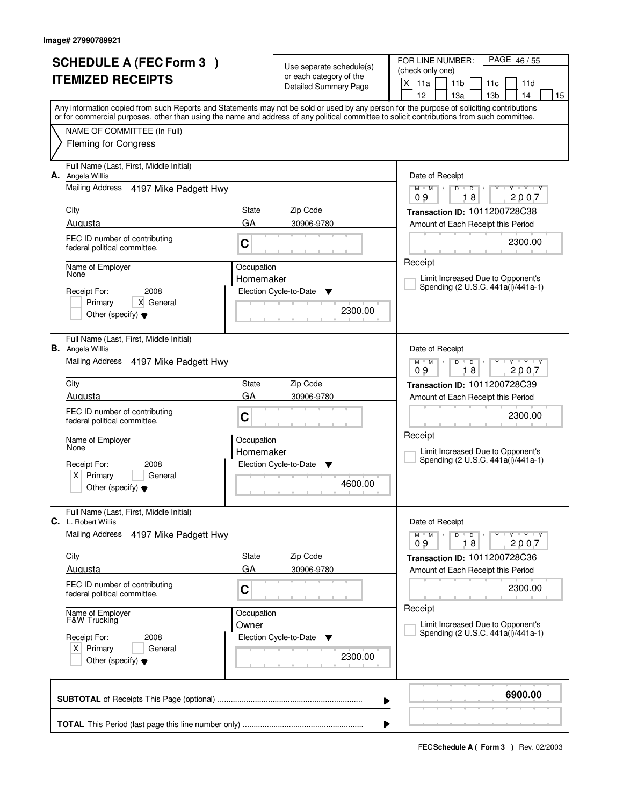| <b>SCHEDULE A (FEC Form 3)</b> |                                                                                          |                     | Use separate schedule(s)<br>or each category of the | FOR LINE NUMBER:<br>PAGE 46/55<br>(check only one)                                                                                                                                                                                                                                      |  |
|--------------------------------|------------------------------------------------------------------------------------------|---------------------|-----------------------------------------------------|-----------------------------------------------------------------------------------------------------------------------------------------------------------------------------------------------------------------------------------------------------------------------------------------|--|
|                                | <b>ITEMIZED RECEIPTS</b>                                                                 |                     | <b>Detailed Summary Page</b>                        | X<br>11a<br>11 <sub>b</sub><br>11d<br>11c<br>12<br>13 <sub>b</sub><br>13a<br>14<br>15                                                                                                                                                                                                   |  |
|                                |                                                                                          |                     |                                                     | Any information copied from such Reports and Statements may not be sold or used by any person for the purpose of soliciting contributions<br>or for commercial purposes, other than using the name and address of any political committee to solicit contributions from such committee. |  |
|                                | NAME OF COMMITTEE (In Full)<br><b>Fleming for Congress</b>                               |                     |                                                     |                                                                                                                                                                                                                                                                                         |  |
| А.                             | Full Name (Last, First, Middle Initial)<br>Angela Willis                                 |                     |                                                     | Date of Receipt                                                                                                                                                                                                                                                                         |  |
|                                | Mailing Address 4197 Mike Padgett Hwy                                                    |                     |                                                     | $Y$ $Y$ $Y$<br>$M$ $M$ /<br>D<br>$\overline{D}$<br>18<br>2007<br>09                                                                                                                                                                                                                     |  |
|                                | City                                                                                     | State               | Zip Code                                            | Transaction ID: 1011200728C38                                                                                                                                                                                                                                                           |  |
|                                | Augusta                                                                                  | GA                  | 30906-9780                                          | Amount of Each Receipt this Period                                                                                                                                                                                                                                                      |  |
|                                | FEC ID number of contributing<br>federal political committee.                            | C                   |                                                     | 2300.00                                                                                                                                                                                                                                                                                 |  |
|                                | Name of Employer                                                                         | Occupation          |                                                     | Receipt                                                                                                                                                                                                                                                                                 |  |
|                                | None                                                                                     | Homemaker           |                                                     | Limit Increased Due to Opponent's<br>Spending (2 U.S.C. 441a(i)/441a-1)                                                                                                                                                                                                                 |  |
|                                | 2008<br>Receipt For:                                                                     |                     | Election Cycle-to-Date<br>Y                         |                                                                                                                                                                                                                                                                                         |  |
|                                | X General<br>Primary<br>Other (specify) $\blacktriangledown$                             |                     | 2300.00                                             |                                                                                                                                                                                                                                                                                         |  |
|                                | Full Name (Last, First, Middle Initial)<br><b>B.</b> Angela Willis                       |                     |                                                     | Date of Receipt                                                                                                                                                                                                                                                                         |  |
|                                | Mailing Address 4197 Mike Padgett Hwy                                                    |                     |                                                     | $Y$ $Y$ $Y$<br>$M$ $M$ /<br>D<br>$\overline{D}$<br>18<br>09<br>2007                                                                                                                                                                                                                     |  |
|                                | City                                                                                     | State               | Zip Code                                            | Transaction ID: 1011200728C39                                                                                                                                                                                                                                                           |  |
|                                | Augusta                                                                                  | GA                  | 30906-9780                                          | Amount of Each Receipt this Period                                                                                                                                                                                                                                                      |  |
|                                | FEC ID number of contributing<br>federal political committee.                            | C                   |                                                     | 2300.00<br>Receipt                                                                                                                                                                                                                                                                      |  |
|                                | Name of Employer<br>None                                                                 | Occupation          |                                                     |                                                                                                                                                                                                                                                                                         |  |
|                                |                                                                                          | Homemaker           |                                                     | Limit Increased Due to Opponent's<br>Spending (2 U.S.C. 441a(i)/441a-1)                                                                                                                                                                                                                 |  |
|                                | Receipt For:<br>2008<br>Primary<br>General<br>ΧI<br>Other (specify) $\blacktriangledown$ |                     | Election Cycle-to-Date<br>- V<br>4600.00            |                                                                                                                                                                                                                                                                                         |  |
|                                | Full Name (Last, First, Middle Initial)<br><b>C.</b> L. Robert Willis                    |                     |                                                     | Date of Receipt                                                                                                                                                                                                                                                                         |  |
|                                | Mailing Address<br>4197 Mike Padgett Hwy                                                 |                     |                                                     | $Y - Y - Y - Y$<br>$M$ $M$ /<br>D<br>$\bullet$ D $\prime$<br>09<br>18<br>2007                                                                                                                                                                                                           |  |
|                                | City                                                                                     | State               | Zip Code                                            | Transaction ID: 1011200728C36                                                                                                                                                                                                                                                           |  |
|                                | Augusta                                                                                  | GA                  | 30906-9780                                          | Amount of Each Receipt this Period                                                                                                                                                                                                                                                      |  |
|                                | FEC ID number of contributing<br>federal political committee.                            | C                   |                                                     | 2300.00                                                                                                                                                                                                                                                                                 |  |
|                                | Name of Employer<br>F&W Trucking                                                         | Occupation<br>Owner |                                                     | Receipt<br>Limit Increased Due to Opponent's                                                                                                                                                                                                                                            |  |
|                                | Receipt For:<br>2008<br>$X$ Primary<br>General<br>Other (specify) $\blacktriangledown$   |                     | Election Cycle-to-Date<br>v<br>2300.00              | Spending (2 U.S.C. 441a(i)/441a-1)                                                                                                                                                                                                                                                      |  |
|                                |                                                                                          |                     | ▶                                                   | 6900.00                                                                                                                                                                                                                                                                                 |  |
|                                |                                                                                          |                     |                                                     |                                                                                                                                                                                                                                                                                         |  |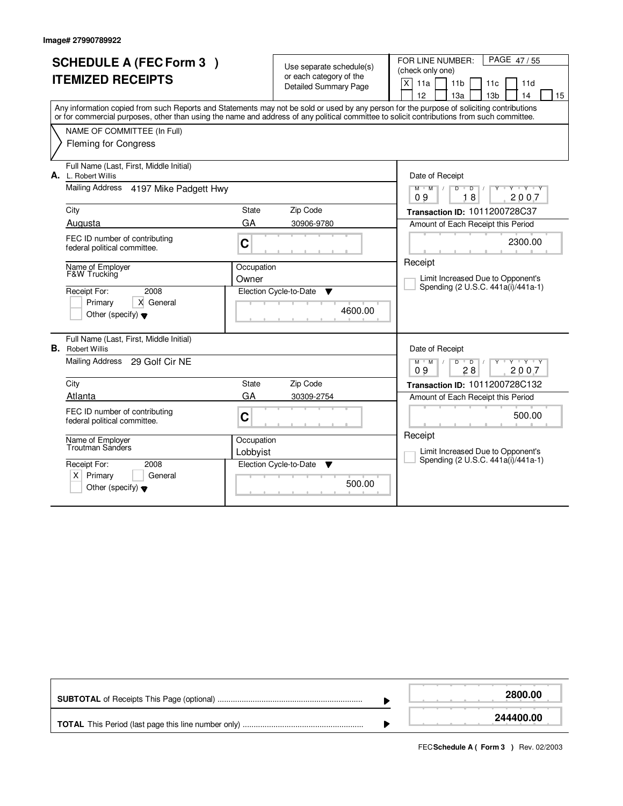|    | <b>SCHEDULE A (FEC Form 3)</b><br><b>ITEMIZED RECEIPTS</b><br>Any information copied from such Reports and Statements may not be sold or used by any person for the purpose of soliciting contributions<br>or for commercial purposes, other than using the name and address of any political committee to solicit contributions from such committee.<br>NAME OF COMMITTEE (In Full)<br><b>Fleming for Congress</b> |                        | Use separate schedule(s)<br>or each category of the<br><b>Detailed Summary Page</b> | FOR LINE NUMBER:<br>PAGE 47/55<br>(check only one)<br>X<br>11a<br>11 <sub>b</sub><br>11c<br>11d<br>12<br>13a<br>13 <sub>b</sub><br>14<br>15 |
|----|---------------------------------------------------------------------------------------------------------------------------------------------------------------------------------------------------------------------------------------------------------------------------------------------------------------------------------------------------------------------------------------------------------------------|------------------------|-------------------------------------------------------------------------------------|---------------------------------------------------------------------------------------------------------------------------------------------|
|    | Full Name (Last, First, Middle Initial)<br><b>A.</b> L. Robert Willis<br>Mailing Address 4197 Mike Padgett Hwy                                                                                                                                                                                                                                                                                                      |                        |                                                                                     | Date of Receipt<br><b>TY TY TY</b><br>$M$ $M$<br>$D$ $D$<br>18<br>2007<br>09                                                                |
|    | City                                                                                                                                                                                                                                                                                                                                                                                                                | <b>State</b>           | Zip Code                                                                            | Transaction ID: 1011200728C37                                                                                                               |
|    | Augusta                                                                                                                                                                                                                                                                                                                                                                                                             | GA                     | 30906-9780                                                                          | Amount of Each Receipt this Period                                                                                                          |
|    | FEC ID number of contributing<br>federal political committee.                                                                                                                                                                                                                                                                                                                                                       | C                      |                                                                                     | 2300.00                                                                                                                                     |
|    | Name of Employer<br><b>F&amp;W Trucking</b>                                                                                                                                                                                                                                                                                                                                                                         | Occupation<br>Owner    |                                                                                     | Receipt<br>Limit Increased Due to Opponent's<br>Spending (2 U.S.C. 441a(i)/441a-1)                                                          |
|    | 2008<br>Receipt For:<br>X General<br>Primary<br>Other (specify) $\blacktriangledown$                                                                                                                                                                                                                                                                                                                                |                        | Election Cycle-to-Date<br>▼<br>4600.00                                              |                                                                                                                                             |
| В. | Full Name (Last, First, Middle Initial)<br><b>Robert Willis</b>                                                                                                                                                                                                                                                                                                                                                     |                        |                                                                                     | Date of Receipt                                                                                                                             |
|    | Mailing Address 29 Golf Cir NE                                                                                                                                                                                                                                                                                                                                                                                      |                        |                                                                                     | $M$ $M$ /<br>$D$ $D$ $/$<br>$Y+Y$<br>09<br>28<br>2007                                                                                       |
|    | City                                                                                                                                                                                                                                                                                                                                                                                                                | <b>State</b>           | Zip Code                                                                            | Transaction ID: 1011200728C132                                                                                                              |
|    | Atlanta                                                                                                                                                                                                                                                                                                                                                                                                             | GA                     | 30309-2754                                                                          | Amount of Each Receipt this Period                                                                                                          |
|    | FEC ID number of contributing<br>federal political committee.                                                                                                                                                                                                                                                                                                                                                       | C                      |                                                                                     | 500.00                                                                                                                                      |
|    | Name of Employer<br>Troutman Sanders                                                                                                                                                                                                                                                                                                                                                                                | Occupation<br>Lobbyist |                                                                                     | Receipt<br>Limit Increased Due to Opponent's                                                                                                |
|    | Receipt For:<br>2008<br>Primary<br>General<br>$X \mid$<br>Other (specify) $\blacktriangledown$                                                                                                                                                                                                                                                                                                                      |                        | Election Cycle-to-Date<br>▼<br>500.00                                               | Spending (2 U.S.C. 441a(i)/441a-1)                                                                                                          |

|  | 2800.00   |
|--|-----------|
|  | 244400.00 |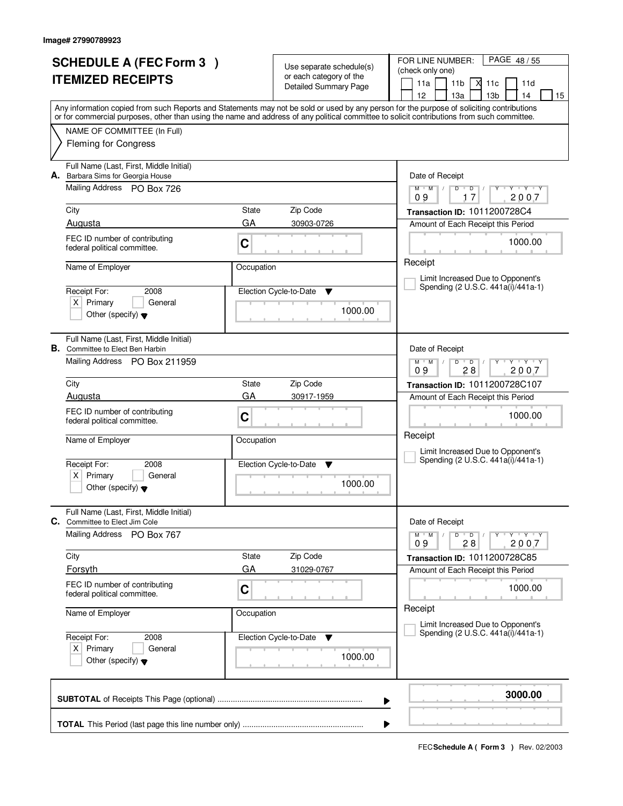|                          | <b>SCHEDULE A (FEC Form 3)</b>                                           |            |                                                     | FOR LINE NUMBER:<br>PAGE 48/55                                                                                                                                                                                                                                                          |  |
|--------------------------|--------------------------------------------------------------------------|------------|-----------------------------------------------------|-----------------------------------------------------------------------------------------------------------------------------------------------------------------------------------------------------------------------------------------------------------------------------------------|--|
| <b>ITEMIZED RECEIPTS</b> |                                                                          |            | Use separate schedule(s)<br>or each category of the | (check only one)                                                                                                                                                                                                                                                                        |  |
|                          |                                                                          |            | <b>Detailed Summary Page</b>                        | 11 <sub>b</sub><br>11a<br>X<br>11c<br>11d                                                                                                                                                                                                                                               |  |
|                          |                                                                          |            |                                                     | 12<br>13 <sub>b</sub><br>13a<br>14<br>15                                                                                                                                                                                                                                                |  |
|                          |                                                                          |            |                                                     | Any information copied from such Reports and Statements may not be sold or used by any person for the purpose of soliciting contributions<br>or for commercial purposes, other than using the name and address of any political committee to solicit contributions from such committee. |  |
|                          | NAME OF COMMITTEE (In Full)                                              |            |                                                     |                                                                                                                                                                                                                                                                                         |  |
|                          | <b>Fleming for Congress</b>                                              |            |                                                     |                                                                                                                                                                                                                                                                                         |  |
|                          |                                                                          |            |                                                     |                                                                                                                                                                                                                                                                                         |  |
|                          | Full Name (Last, First, Middle Initial)                                  |            |                                                     |                                                                                                                                                                                                                                                                                         |  |
|                          | A. Barbara Sims for Georgia House<br>Mailing Address PO Box 726          |            |                                                     | Date of Receipt<br>$Y + Y + Y$<br>$M$ $M$<br>$D^{-1}$<br>$\overline{D}$<br>Y<br>$\frac{1}{2}$                                                                                                                                                                                           |  |
|                          |                                                                          |            |                                                     | 17<br>2007<br>09                                                                                                                                                                                                                                                                        |  |
|                          | City                                                                     | State      | Zip Code                                            | Transaction ID: 1011200728C4                                                                                                                                                                                                                                                            |  |
|                          | Augusta                                                                  | GA         | 30903-0726                                          | Amount of Each Receipt this Period                                                                                                                                                                                                                                                      |  |
|                          | FEC ID number of contributing                                            | C          |                                                     | 1000.00                                                                                                                                                                                                                                                                                 |  |
|                          | federal political committee.                                             |            |                                                     |                                                                                                                                                                                                                                                                                         |  |
|                          | Name of Employer                                                         | Occupation |                                                     | Receipt                                                                                                                                                                                                                                                                                 |  |
|                          |                                                                          |            |                                                     | Limit Increased Due to Opponent's                                                                                                                                                                                                                                                       |  |
|                          | Receipt For:<br>2008                                                     |            | Election Cycle-to-Date<br>v                         | Spending (2 U.S.C. 441a(i)/441a-1)                                                                                                                                                                                                                                                      |  |
|                          | $X$ Primary<br>General                                                   |            | 1000.00                                             |                                                                                                                                                                                                                                                                                         |  |
|                          | Other (specify) $\blacktriangledown$                                     |            |                                                     |                                                                                                                                                                                                                                                                                         |  |
|                          |                                                                          |            |                                                     |                                                                                                                                                                                                                                                                                         |  |
| В.                       | Full Name (Last, First, Middle Initial)<br>Committee to Elect Ben Harbin |            |                                                     | Date of Receipt                                                                                                                                                                                                                                                                         |  |
|                          | Mailing Address PO Box 211959                                            |            |                                                     | $\mathsf{L} \mathsf{Y} \mathsf{L} \mathsf{Y} \mathsf{Y} \mathsf{Y}$<br>$M^+M^-$ /<br>D<br>$\overline{D}$                                                                                                                                                                                |  |
|                          |                                                                          |            |                                                     | 28<br>09<br>2007                                                                                                                                                                                                                                                                        |  |
|                          | City                                                                     | State      | Zip Code                                            | Transaction ID: 1011200728C107                                                                                                                                                                                                                                                          |  |
|                          | Augusta                                                                  | GA         | 30917-1959                                          | Amount of Each Receipt this Period                                                                                                                                                                                                                                                      |  |
|                          | FEC ID number of contributing                                            | C          |                                                     | 1000.00                                                                                                                                                                                                                                                                                 |  |
|                          | federal political committee.                                             |            |                                                     |                                                                                                                                                                                                                                                                                         |  |
|                          | Name of Employer                                                         | Occupation |                                                     | Receipt                                                                                                                                                                                                                                                                                 |  |
|                          |                                                                          |            |                                                     | Limit Increased Due to Opponent's<br>Spending (2 U.S.C. 441a(i)/441a-1)                                                                                                                                                                                                                 |  |
|                          | Receipt For:<br>2008                                                     |            | Election Cycle-to-Date<br>v                         |                                                                                                                                                                                                                                                                                         |  |
|                          | Primary<br>$X \mid$<br>General<br>Other (specify) $\blacktriangledown$   |            | 1000.00                                             |                                                                                                                                                                                                                                                                                         |  |
|                          |                                                                          |            |                                                     |                                                                                                                                                                                                                                                                                         |  |
|                          | Full Name (Last, First, Middle Initial)                                  |            |                                                     |                                                                                                                                                                                                                                                                                         |  |
|                          | C. Committee to Elect Jim Cole                                           |            |                                                     | Date of Receipt                                                                                                                                                                                                                                                                         |  |
|                          | <b>Mailing Address</b><br>PO Box 767                                     |            |                                                     | D<br>$Y^ Y^ Y^ Y^-$<br>$M$ $M$ /<br>$\overline{D}$<br>2007<br>09<br>28                                                                                                                                                                                                                  |  |
|                          | City                                                                     | State      | Zip Code                                            |                                                                                                                                                                                                                                                                                         |  |
|                          | Forsyth                                                                  | GA         | 31029-0767                                          | Transaction ID: 1011200728C85<br>Amount of Each Receipt this Period                                                                                                                                                                                                                     |  |
|                          | FEC ID number of contributing                                            |            |                                                     |                                                                                                                                                                                                                                                                                         |  |
|                          | federal political committee.                                             | C          |                                                     | 1000.00                                                                                                                                                                                                                                                                                 |  |
|                          |                                                                          |            |                                                     | Receipt                                                                                                                                                                                                                                                                                 |  |
|                          | Name of Employer                                                         | Occupation |                                                     | Limit Increased Due to Opponent's                                                                                                                                                                                                                                                       |  |
|                          | Receipt For:<br>2008                                                     |            | Election Cycle-to-Date<br>v                         | Spending (2 U.S.C. 441a(i)/441a-1)                                                                                                                                                                                                                                                      |  |
|                          | $X$ Primary<br>General                                                   |            |                                                     |                                                                                                                                                                                                                                                                                         |  |
|                          | Other (specify) $\blacktriangledown$                                     |            | 1000.00                                             |                                                                                                                                                                                                                                                                                         |  |
|                          |                                                                          |            |                                                     |                                                                                                                                                                                                                                                                                         |  |
|                          |                                                                          |            |                                                     |                                                                                                                                                                                                                                                                                         |  |
|                          |                                                                          |            |                                                     | 3000.00<br>▶                                                                                                                                                                                                                                                                            |  |
|                          |                                                                          |            |                                                     |                                                                                                                                                                                                                                                                                         |  |
|                          |                                                                          |            |                                                     |                                                                                                                                                                                                                                                                                         |  |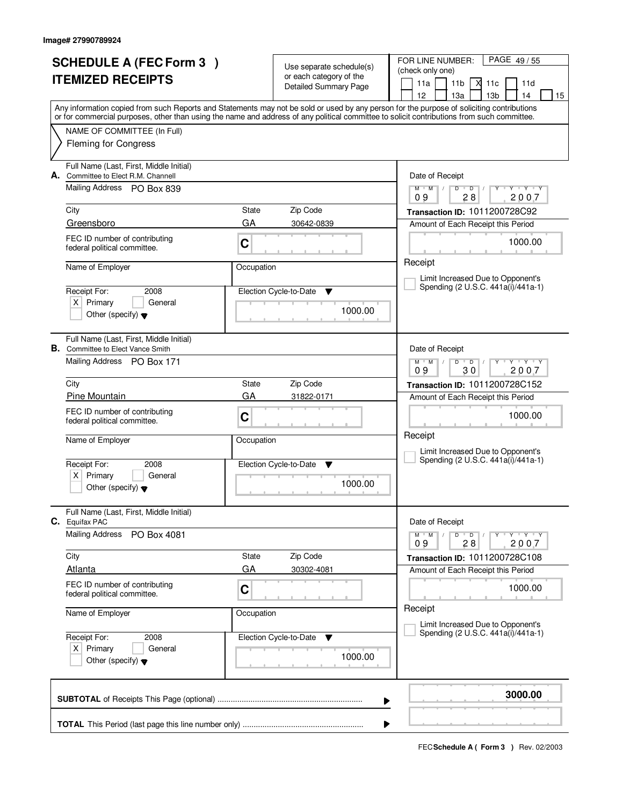|  | <b>SCHEDULE A (FEC Form 3)</b>                                |             |                                                     | PAGE 49/55<br>FOR LINE NUMBER:                                                                                                             |
|--|---------------------------------------------------------------|-------------|-----------------------------------------------------|--------------------------------------------------------------------------------------------------------------------------------------------|
|  |                                                               |             | Use separate schedule(s)<br>or each category of the | (check only one)                                                                                                                           |
|  | <b>ITEMIZED RECEIPTS</b>                                      |             | Detailed Summary Page                               | 11a<br>11 <sub>b</sub><br>М<br>11d<br>11c                                                                                                  |
|  |                                                               |             |                                                     | 13 <sub>b</sub><br>12<br>13a<br>14<br>15                                                                                                   |
|  |                                                               |             |                                                     | Any information copied from such Reports and Statements may not be sold or used by any person for the purpose of soliciting contributions  |
|  |                                                               |             |                                                     | or for commercial purposes, other than using the name and address of any political committee to solicit contributions from such committee. |
|  | NAME OF COMMITTEE (In Full)                                   |             |                                                     |                                                                                                                                            |
|  | <b>Fleming for Congress</b>                                   |             |                                                     |                                                                                                                                            |
|  | Full Name (Last, First, Middle Initial)                       |             |                                                     |                                                                                                                                            |
|  | A. Committee to Elect R.M. Channell                           |             |                                                     | Date of Receipt                                                                                                                            |
|  | Mailing Address PO Box 839                                    |             |                                                     | $Y$ $Y$ $Y$<br>$M$ $M$ /<br>D<br>$\overline{D}$ /<br>Y<br>09<br>28<br>2007                                                                 |
|  | City                                                          | State       | Zip Code                                            |                                                                                                                                            |
|  | Greensboro                                                    | GA          | 30642-0839                                          | Transaction ID: 1011200728C92                                                                                                              |
|  |                                                               |             |                                                     | Amount of Each Receipt this Period                                                                                                         |
|  | FEC ID number of contributing<br>federal political committee. | $\mathbf C$ |                                                     | 1000.00                                                                                                                                    |
|  |                                                               |             |                                                     | Receipt                                                                                                                                    |
|  | Name of Employer                                              | Occupation  |                                                     |                                                                                                                                            |
|  |                                                               |             |                                                     | Limit Increased Due to Opponent's<br>Spending (2 U.S.C. 441a(i)/441a-1)                                                                    |
|  | Receipt For:<br>2008<br>$X$ Primary<br>General                |             | Election Cycle-to-Date<br>▼                         |                                                                                                                                            |
|  | Other (specify) $\blacktriangledown$                          |             | 1000.00                                             |                                                                                                                                            |
|  |                                                               |             |                                                     |                                                                                                                                            |
|  | Full Name (Last, First, Middle Initial)                       |             |                                                     |                                                                                                                                            |
|  | <b>B.</b> Committee to Elect Vance Smith                      |             |                                                     | Date of Receipt                                                                                                                            |
|  | Mailing Address PO Box 171                                    |             |                                                     | $M$ $M$ /<br>$Y - Y - Y$<br>D<br>$\overline{D}$                                                                                            |
|  |                                                               |             |                                                     | 30<br>2007<br>09                                                                                                                           |
|  | City                                                          | State       | Zip Code                                            | Transaction ID: 1011200728C152                                                                                                             |
|  | Pine Mountain                                                 | GA          | 31822-0171                                          | Amount of Each Receipt this Period                                                                                                         |
|  | FEC ID number of contributing<br>federal political committee. | C           |                                                     | 1000.00                                                                                                                                    |
|  |                                                               |             |                                                     | Receipt                                                                                                                                    |
|  | Name of Employer                                              | Occupation  |                                                     |                                                                                                                                            |
|  |                                                               |             |                                                     | Limit Increased Due to Opponent's<br>Spending (2 U.S.C. 441a(i)/441a-1)                                                                    |
|  | Receipt For:<br>2008<br>Primary<br>$X \mid$<br>General        |             | Election Cycle-to-Date<br>v                         |                                                                                                                                            |
|  | Other (specify) $\blacktriangledown$                          |             | 1000.00                                             |                                                                                                                                            |
|  |                                                               |             |                                                     |                                                                                                                                            |
|  | Full Name (Last, First, Middle Initial)                       |             |                                                     |                                                                                                                                            |
|  | C. Equifax PAC                                                |             |                                                     | Date of Receipt                                                                                                                            |
|  | <b>Mailing Address</b><br>PO Box 4081                         |             |                                                     | $D$ $D$<br>$Y - Y - Y - Y$<br>$M$ $M$ /<br>09<br>28<br>2007                                                                                |
|  | City                                                          | State       | Zip Code                                            | Transaction ID: 1011200728C108                                                                                                             |
|  | <b>Atlanta</b>                                                | GA          | 30302-4081                                          | Amount of Each Receipt this Period                                                                                                         |
|  | FEC ID number of contributing                                 |             |                                                     |                                                                                                                                            |
|  | federal political committee.                                  | $\mathbf C$ |                                                     | 1000.00                                                                                                                                    |
|  |                                                               |             |                                                     | Receipt                                                                                                                                    |
|  | Name of Employer                                              | Occupation  |                                                     | Limit Increased Due to Opponent's                                                                                                          |
|  | Receipt For:<br>2008                                          |             | Election Cycle-to-Date<br>v                         | Spending (2 U.S.C. 441a(i)/441a-1)                                                                                                         |
|  | $X$ Primary<br>General                                        |             |                                                     |                                                                                                                                            |
|  | Other (specify) $\blacktriangledown$                          |             | 1000.00                                             |                                                                                                                                            |
|  |                                                               |             |                                                     |                                                                                                                                            |
|  |                                                               |             |                                                     | 3000.00                                                                                                                                    |
|  |                                                               |             | ▶                                                   |                                                                                                                                            |
|  |                                                               |             |                                                     |                                                                                                                                            |
|  |                                                               |             | ▶                                                   |                                                                                                                                            |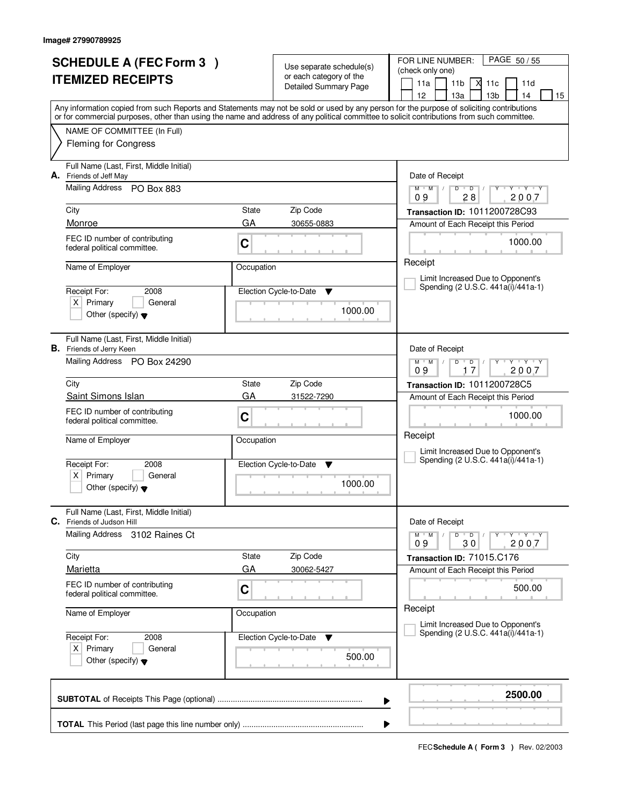|                          | <b>SCHEDULE A (FEC Form 3)</b>                                             |                    | Use separate schedule(s)    | PAGE 50/55<br>FOR LINE NUMBER:                                                                                                             |
|--------------------------|----------------------------------------------------------------------------|--------------------|-----------------------------|--------------------------------------------------------------------------------------------------------------------------------------------|
| <b>ITEMIZED RECEIPTS</b> |                                                                            |                    | or each category of the     | (check only one)                                                                                                                           |
|                          |                                                                            |                    | Detailed Summary Page       | М<br>11a<br>11 <sub>b</sub><br>11c<br>11d<br>12<br>13a<br>13 <sub>b</sub><br>14<br>15                                                      |
|                          |                                                                            |                    |                             | Any information copied from such Reports and Statements may not be sold or used by any person for the purpose of soliciting contributions  |
|                          |                                                                            |                    |                             | or for commercial purposes, other than using the name and address of any political committee to solicit contributions from such committee. |
|                          | NAME OF COMMITTEE (In Full)<br><b>Fleming for Congress</b>                 |                    |                             |                                                                                                                                            |
|                          |                                                                            |                    |                             |                                                                                                                                            |
| А.                       | Full Name (Last, First, Middle Initial)<br>Friends of Jeff May             |                    |                             | Date of Receipt                                                                                                                            |
|                          | Mailing Address PO Box 883                                                 |                    |                             | $Y$ $Y$ $Y$<br>$M$ $M$<br>$D$ $D$ $I$<br>$Y$ <sup>U</sup>                                                                                  |
|                          | City                                                                       | State              | Zip Code                    | 28<br>2007<br>09<br>Transaction ID: 1011200728C93                                                                                          |
|                          | Monroe                                                                     | GA                 | 30655-0883                  | Amount of Each Receipt this Period                                                                                                         |
|                          | FEC ID number of contributing                                              |                    |                             | 1000.00                                                                                                                                    |
|                          | federal political committee.                                               | C                  |                             |                                                                                                                                            |
|                          | Name of Employer                                                           | Occupation         |                             | Receipt                                                                                                                                    |
|                          |                                                                            |                    |                             | Limit Increased Due to Opponent's<br>Spending (2 U.S.C. 441a(i)/441a-1)                                                                    |
|                          | Receipt For:<br>2008<br>$X$ Primary<br>General                             |                    | Election Cycle-to-Date<br>▼ |                                                                                                                                            |
|                          | Other (specify) $\blacktriangledown$                                       |                    | 1000.00                     |                                                                                                                                            |
|                          |                                                                            |                    |                             |                                                                                                                                            |
|                          | Full Name (Last, First, Middle Initial)<br><b>B.</b> Friends of Jerry Keen |                    |                             | Date of Receipt                                                                                                                            |
|                          | Mailing Address PO Box 24290                                               |                    |                             | $M$ $M$ /<br>$Y - Y - Y$<br>D<br>$\overline{D}$                                                                                            |
|                          |                                                                            |                    |                             | 17<br>2007<br>09                                                                                                                           |
|                          | City<br>Saint Simons Islan                                                 | <b>State</b><br>GA | Zip Code<br>31522-7290      | Transaction ID: 1011200728C5<br>Amount of Each Receipt this Period                                                                         |
|                          | FEC ID number of contributing                                              |                    |                             |                                                                                                                                            |
|                          | federal political committee.                                               | C                  |                             | 1000.00                                                                                                                                    |
|                          | Name of Employer                                                           | Occupation         |                             | Receipt                                                                                                                                    |
|                          |                                                                            |                    |                             | Limit Increased Due to Opponent's<br>Spending (2 U.S.C. 441a(i)/441a-1)                                                                    |
|                          | Receipt For:<br>2008<br>Primary<br>General                                 |                    | Election Cycle-to-Date<br>v |                                                                                                                                            |
|                          | ΧI<br>Other (specify) $\blacktriangledown$                                 |                    | 1000.00                     |                                                                                                                                            |
|                          |                                                                            |                    |                             |                                                                                                                                            |
| C.                       | Full Name (Last, First, Middle Initial)<br>Friends of Judson Hill          |                    |                             | Date of Receipt                                                                                                                            |
|                          | <b>Mailing Address</b><br>3102 Raines Ct                                   |                    |                             | $D$ $D$ $/$<br>$M$ $M$ $/$<br>$Y - Y - Y$<br>Y                                                                                             |
|                          |                                                                            |                    |                             | 2007<br>09<br>30                                                                                                                           |
|                          | City<br>Marietta                                                           | State<br>GA        | Zip Code<br>30062-5427      | Transaction ID: 71015.C176<br>Amount of Each Receipt this Period                                                                           |
|                          | FEC ID number of contributing                                              |                    |                             |                                                                                                                                            |
|                          | federal political committee.                                               | C                  |                             | 500.00                                                                                                                                     |
|                          | Name of Employer                                                           | Occupation         |                             | Receipt                                                                                                                                    |
|                          |                                                                            |                    |                             | Limit Increased Due to Opponent's<br>Spending (2 U.S.C. 441a(i)/441a-1)                                                                    |
|                          | Receipt For:<br>2008<br>$X$ Primary<br>General                             |                    | Election Cycle-to-Date<br>v |                                                                                                                                            |
|                          | Other (specify) $\blacktriangledown$                                       |                    | 500.00                      |                                                                                                                                            |
|                          |                                                                            |                    |                             |                                                                                                                                            |
|                          |                                                                            |                    |                             | 2500.00                                                                                                                                    |
|                          |                                                                            |                    |                             | ▶                                                                                                                                          |
|                          |                                                                            |                    |                             |                                                                                                                                            |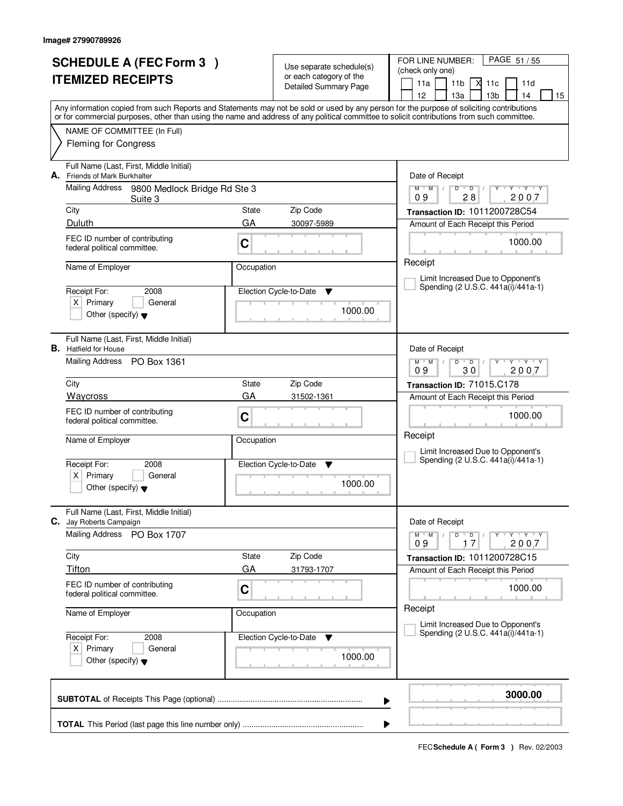| <b>SCHEDULE A (FEC Form 3)</b> |                                                                                                                                            |             | Use separate schedule(s)                                | PAGE 51 / 55<br>FOR LINE NUMBER:<br>(check only one)                                                                                      |
|--------------------------------|--------------------------------------------------------------------------------------------------------------------------------------------|-------------|---------------------------------------------------------|-------------------------------------------------------------------------------------------------------------------------------------------|
|                                | <b>ITEMIZED RECEIPTS</b>                                                                                                                   |             | or each category of the<br><b>Detailed Summary Page</b> | 11a<br>11 <sub>b</sub><br>X<br>11c<br>11d<br>13 <sub>b</sub><br>12 <sup>2</sup><br>13a<br>14<br>15                                        |
|                                | or for commercial purposes, other than using the name and address of any political committee to solicit contributions from such committee. |             |                                                         | Any information copied from such Reports and Statements may not be sold or used by any person for the purpose of soliciting contributions |
|                                | NAME OF COMMITTEE (In Full)<br><b>Fleming for Congress</b>                                                                                 |             |                                                         |                                                                                                                                           |
| А.                             | Full Name (Last, First, Middle Initial)<br>Friends of Mark Burkhalter                                                                      |             |                                                         | Date of Receipt                                                                                                                           |
|                                | Mailing Address 9800 Medlock Bridge Rd Ste 3<br>Suite 3                                                                                    |             |                                                         | $Y - Y - Y$<br>$M$ $M$ /<br>$D$ $D$ $1$<br>$Y$ <sup>U</sup><br>09<br>28<br>2007                                                           |
|                                | City<br>Duluth                                                                                                                             | State<br>GA | Zip Code<br>30097-5989                                  | Transaction ID: 1011200728C54<br>Amount of Each Receipt this Period                                                                       |
|                                | FEC ID number of contributing<br>federal political committee.                                                                              | C           |                                                         | 1000.00                                                                                                                                   |
|                                | Name of Employer                                                                                                                           | Occupation  |                                                         | Receipt<br>Limit Increased Due to Opponent's                                                                                              |
|                                | Receipt For:<br>2008<br>$X$ Primary<br>General<br>Other (specify) $\blacktriangledown$                                                     |             | Election Cycle-to-Date<br>▼<br>1000.00                  | Spending (2 U.S.C. 441a(i)/441a-1)                                                                                                        |
|                                | Full Name (Last, First, Middle Initial)<br><b>B.</b> Hatfield for House                                                                    |             |                                                         | Date of Receipt                                                                                                                           |
|                                | Mailing Address PO Box 1361                                                                                                                |             |                                                         | $M$ $M$ /<br>$Y \vdash Y \vdash Y$<br>D<br>$\overline{D}$<br>09<br>30<br>2007                                                             |
|                                | City<br>Waycross                                                                                                                           | State<br>GA | Zip Code<br>31502-1361                                  | Transaction ID: 71015.C178<br>Amount of Each Receipt this Period                                                                          |
|                                | FEC ID number of contributing<br>federal political committee.                                                                              | C           |                                                         | 1000.00                                                                                                                                   |
|                                | Name of Employer                                                                                                                           | Occupation  |                                                         | Receipt<br>Limit Increased Due to Opponent's                                                                                              |
|                                | Receipt For:<br>2008<br>Primary<br>General<br>ΧI<br>Other (specify) $\blacktriangledown$                                                   |             | Election Cycle-to-Date<br>v<br>1000.00                  | Spending (2 U.S.C. 441a(i)/441a-1)                                                                                                        |
| С.                             | Full Name (Last, First, Middle Initial)<br>Jay Roberts Campaign                                                                            |             |                                                         | Date of Receipt                                                                                                                           |
|                                | Mailing Address<br>PO Box 1707                                                                                                             |             |                                                         | $D$ $D$<br>$M$ $M$ $/$<br>Y Y Y Y<br>09<br>2007<br>17                                                                                     |
|                                | City<br>Tifton                                                                                                                             | State<br>GA | Zip Code<br>31793-1707                                  | Transaction ID: 1011200728C15<br>Amount of Each Receipt this Period                                                                       |
|                                | FEC ID number of contributing<br>federal political committee.                                                                              | C           |                                                         | 1000.00                                                                                                                                   |
|                                | Name of Employer                                                                                                                           | Occupation  |                                                         | Receipt<br>Limit Increased Due to Opponent's                                                                                              |
|                                | Receipt For:<br>2008<br>$X$ Primary<br>General<br>Other (specify) $\blacktriangledown$                                                     |             | Election Cycle-to-Date<br>v<br>1000.00                  | Spending (2 U.S.C. 441a(i)/441a-1)                                                                                                        |
|                                |                                                                                                                                            |             | ▶                                                       | 3000.00                                                                                                                                   |
|                                |                                                                                                                                            |             | ▶                                                       |                                                                                                                                           |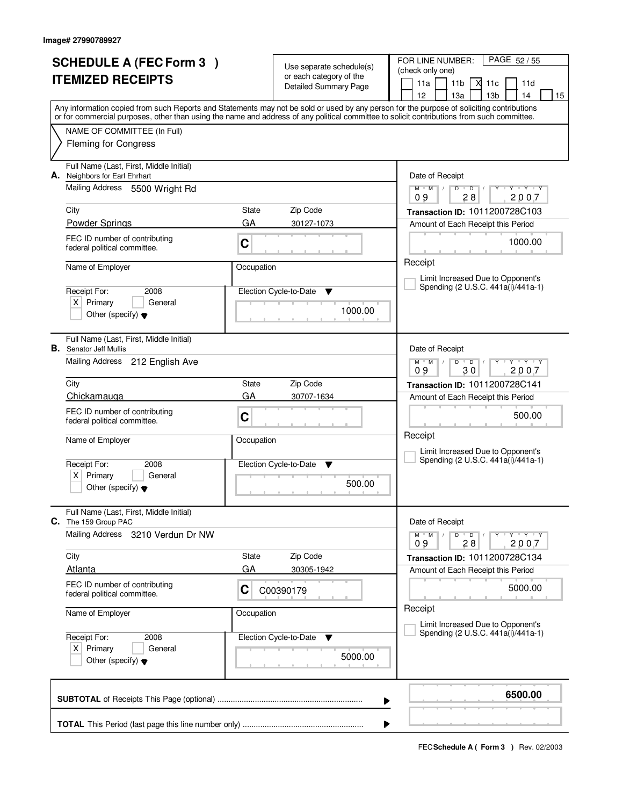|    | <b>SCHEDULE A (FEC Form 3)</b>          |            |                                                     | PAGE 52/55<br>FOR LINE NUMBER:                                                                                                                                                                                                                                                          |
|----|-----------------------------------------|------------|-----------------------------------------------------|-----------------------------------------------------------------------------------------------------------------------------------------------------------------------------------------------------------------------------------------------------------------------------------------|
|    |                                         |            | Use separate schedule(s)<br>or each category of the | (check only one)                                                                                                                                                                                                                                                                        |
|    | <b>ITEMIZED RECEIPTS</b>                |            | <b>Detailed Summary Page</b>                        | 11a<br>11 <sub>b</sub><br>М<br>11c<br>11d                                                                                                                                                                                                                                               |
|    |                                         |            |                                                     | 12<br>13a<br>13 <sub>b</sub><br>14<br>15                                                                                                                                                                                                                                                |
|    |                                         |            |                                                     | Any information copied from such Reports and Statements may not be sold or used by any person for the purpose of soliciting contributions<br>or for commercial purposes, other than using the name and address of any political committee to solicit contributions from such committee. |
|    | NAME OF COMMITTEE (In Full)             |            |                                                     |                                                                                                                                                                                                                                                                                         |
|    | <b>Fleming for Congress</b>             |            |                                                     |                                                                                                                                                                                                                                                                                         |
|    |                                         |            |                                                     |                                                                                                                                                                                                                                                                                         |
|    | Full Name (Last, First, Middle Initial) |            |                                                     |                                                                                                                                                                                                                                                                                         |
| А. | Neighbors for Earl Ehrhart              |            |                                                     | Date of Receipt                                                                                                                                                                                                                                                                         |
|    | Mailing Address 5500 Wright Rd          |            |                                                     | $Y$ $Y$ $Y$<br>$M$ $M$ /<br>$D$ $D$<br>Ÿ<br>28<br>2007<br>09                                                                                                                                                                                                                            |
|    | City                                    | State      | Zip Code                                            | Transaction ID: 1011200728C103                                                                                                                                                                                                                                                          |
|    | <b>Powder Springs</b>                   | GA         | 30127-1073                                          | Amount of Each Receipt this Period                                                                                                                                                                                                                                                      |
|    | FEC ID number of contributing           |            |                                                     |                                                                                                                                                                                                                                                                                         |
|    | federal political committee.            | C          |                                                     | 1000.00                                                                                                                                                                                                                                                                                 |
|    |                                         |            |                                                     | Receipt                                                                                                                                                                                                                                                                                 |
|    | Name of Employer                        | Occupation |                                                     | Limit Increased Due to Opponent's                                                                                                                                                                                                                                                       |
|    | Receipt For:<br>2008                    |            | Election Cycle-to-Date<br>▼                         | Spending (2 U.S.C. 441a(i)/441a-1)                                                                                                                                                                                                                                                      |
|    | $X$ Primary<br>General                  |            |                                                     |                                                                                                                                                                                                                                                                                         |
|    | Other (specify) $\blacktriangledown$    |            | 1000.00                                             |                                                                                                                                                                                                                                                                                         |
|    |                                         |            |                                                     |                                                                                                                                                                                                                                                                                         |
|    | Full Name (Last, First, Middle Initial) |            |                                                     |                                                                                                                                                                                                                                                                                         |
|    | <b>B.</b> Senator Jeff Mullis           |            |                                                     | Date of Receipt                                                                                                                                                                                                                                                                         |
|    | Mailing Address 212 English Ave         |            |                                                     | $M$ $M$ $/$<br>$Y - Y - Y$<br>D<br>$\overline{D}$<br>30<br>2007<br>09                                                                                                                                                                                                                   |
|    | City                                    | State      | Zip Code                                            | Transaction ID: 1011200728C141                                                                                                                                                                                                                                                          |
|    | Chickamauga                             | GA         | 30707-1634                                          | Amount of Each Receipt this Period                                                                                                                                                                                                                                                      |
|    | FEC ID number of contributing           |            |                                                     |                                                                                                                                                                                                                                                                                         |
|    | federal political committee.            | C          |                                                     | 500.00                                                                                                                                                                                                                                                                                  |
|    |                                         |            |                                                     | Receipt                                                                                                                                                                                                                                                                                 |
|    | Name of Employer                        | Occupation |                                                     | Limit Increased Due to Opponent's                                                                                                                                                                                                                                                       |
|    | Receipt For:<br>2008                    |            | Election Cycle-to-Date<br>▼                         | Spending (2 U.S.C. 441a(i)/441a-1)                                                                                                                                                                                                                                                      |
|    | Primary<br>$\times$<br>General          |            |                                                     |                                                                                                                                                                                                                                                                                         |
|    | Other (specify) $\blacktriangledown$    |            | 500.00                                              |                                                                                                                                                                                                                                                                                         |
|    |                                         |            |                                                     |                                                                                                                                                                                                                                                                                         |
|    | Full Name (Last, First, Middle Initial) |            |                                                     |                                                                                                                                                                                                                                                                                         |
| C. | The 159 Group PAC                       |            |                                                     | Date of Receipt                                                                                                                                                                                                                                                                         |
|    | Mailing Address<br>3210 Verdun Dr NW    |            |                                                     | $D$ $D$ $I$<br>$M$ $M$ /<br>$Y - Y - Y$<br>2007<br>09<br>28                                                                                                                                                                                                                             |
|    | City                                    | State      | Zip Code                                            | Transaction ID: 1011200728C134                                                                                                                                                                                                                                                          |
|    | <b>Atlanta</b>                          | GA         | 30305-1942                                          | Amount of Each Receipt this Period                                                                                                                                                                                                                                                      |
|    | FEC ID number of contributing           |            |                                                     | 5000.00                                                                                                                                                                                                                                                                                 |
|    | federal political committee.            | C          | C00390179                                           |                                                                                                                                                                                                                                                                                         |
|    | Name of Employer                        | Occupation |                                                     | Receipt                                                                                                                                                                                                                                                                                 |
|    |                                         |            |                                                     | Limit Increased Due to Opponent's                                                                                                                                                                                                                                                       |
|    | Receipt For:<br>2008                    |            | Election Cycle-to-Date<br>v                         | Spending (2 U.S.C. 441a(i)/441a-1)                                                                                                                                                                                                                                                      |
|    | $X$ Primary<br>General                  |            |                                                     |                                                                                                                                                                                                                                                                                         |
|    | Other (specify) $\blacktriangledown$    |            | 5000.00                                             |                                                                                                                                                                                                                                                                                         |
|    |                                         |            |                                                     |                                                                                                                                                                                                                                                                                         |
|    |                                         |            |                                                     | 6500.00                                                                                                                                                                                                                                                                                 |
|    |                                         |            |                                                     | ▶                                                                                                                                                                                                                                                                                       |
|    |                                         |            |                                                     |                                                                                                                                                                                                                                                                                         |
|    |                                         |            |                                                     |                                                                                                                                                                                                                                                                                         |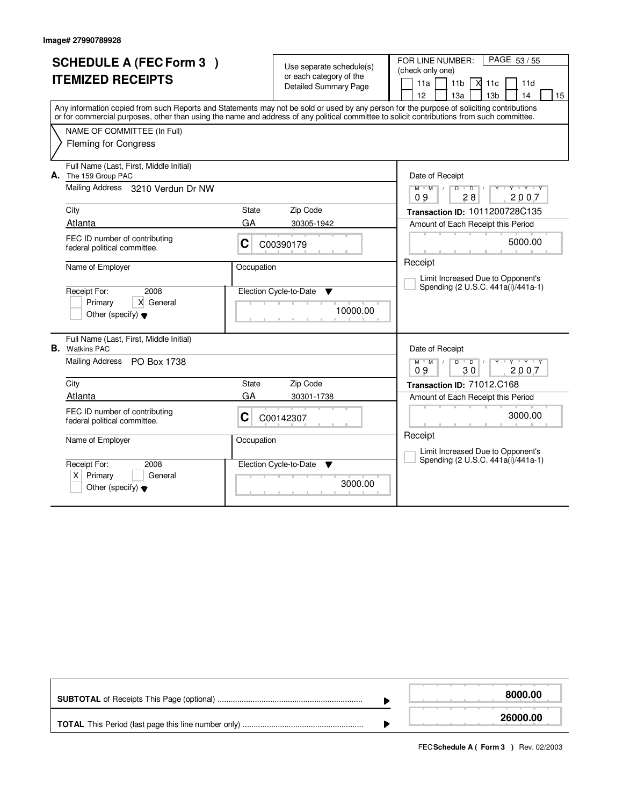|    | <b>SCHEDULE A (FEC Form 3)</b><br><b>ITEMIZED RECEIPTS</b><br>Any information copied from such Reports and Statements may not be sold or used by any person for the purpose of soliciting contributions |              | Use separate schedule(s)<br>or each category of the<br><b>Detailed Summary Page</b> | FOR LINE NUMBER:<br>PAGE 53/55<br>(check only one)<br>$\times$ 11c<br>11a<br>11 <sub>b</sub><br>11d<br>12<br>13 <sub>b</sub><br>13a<br>14<br>15 |
|----|---------------------------------------------------------------------------------------------------------------------------------------------------------------------------------------------------------|--------------|-------------------------------------------------------------------------------------|-------------------------------------------------------------------------------------------------------------------------------------------------|
|    | or for commercial purposes, other than using the name and address of any political committee to solicit contributions from such committee.                                                              |              |                                                                                     |                                                                                                                                                 |
|    | NAME OF COMMITTEE (In Full)<br><b>Fleming for Congress</b>                                                                                                                                              |              |                                                                                     |                                                                                                                                                 |
|    | Full Name (Last, First, Middle Initial)<br>A. The 159 Group PAC                                                                                                                                         |              |                                                                                     | Date of Receipt                                                                                                                                 |
|    | Mailing Address 3210 Verdun Dr NW                                                                                                                                                                       |              |                                                                                     | Y Y Y Y Y<br>$D$ $D$<br>$M$ $M$<br>09<br>28<br>2007                                                                                             |
|    | City                                                                                                                                                                                                    | State        | Zip Code                                                                            | Transaction ID: 1011200728C135                                                                                                                  |
|    | Atlanta                                                                                                                                                                                                 | GA           | 30305-1942                                                                          | Amount of Each Receipt this Period                                                                                                              |
|    | FEC ID number of contributing<br>federal political committee.                                                                                                                                           | C            | C00390179                                                                           | 5000.00                                                                                                                                         |
|    | Name of Employer                                                                                                                                                                                        | Occupation   |                                                                                     | Receipt                                                                                                                                         |
|    | Receipt For:<br>2008<br>X General<br>Primary<br>Other (specify) $\blacktriangledown$                                                                                                                    |              | Election Cycle-to-Date<br>▼<br>10000.00                                             | Limit Increased Due to Opponent's<br>Spending (2 U.S.C. 441a(i)/441a-1)                                                                         |
| В. | Full Name (Last, First, Middle Initial)<br><b>Watkins PAC</b>                                                                                                                                           |              |                                                                                     | Date of Receipt                                                                                                                                 |
|    | Mailing Address PO Box 1738                                                                                                                                                                             |              |                                                                                     | $M$ $M$ $M$<br>$D$ $D$ $/$<br><b>TY TY TY</b><br>09<br>2007<br>30                                                                               |
|    | City                                                                                                                                                                                                    | <b>State</b> | Zip Code                                                                            | Transaction ID: 71012.C168                                                                                                                      |
|    | Atlanta                                                                                                                                                                                                 | GA           | 30301-1738                                                                          | Amount of Each Receipt this Period                                                                                                              |
|    | FEC ID number of contributing<br>federal political committee.                                                                                                                                           | C            | C00142307                                                                           | 3000.00                                                                                                                                         |
|    | Name of Employer                                                                                                                                                                                        | Occupation   |                                                                                     | Receipt                                                                                                                                         |
|    | Receipt For:<br>2008<br>$X$ Primary<br>General<br>Other (specify) $\blacktriangledown$                                                                                                                  |              | Election Cycle-to-Date<br>▼<br>3000.00                                              | Limit Increased Due to Opponent's<br>Spending (2 U.S.C. 441a(i)/441a-1)                                                                         |

|  | 8000.00  |
|--|----------|
|  | 26000.00 |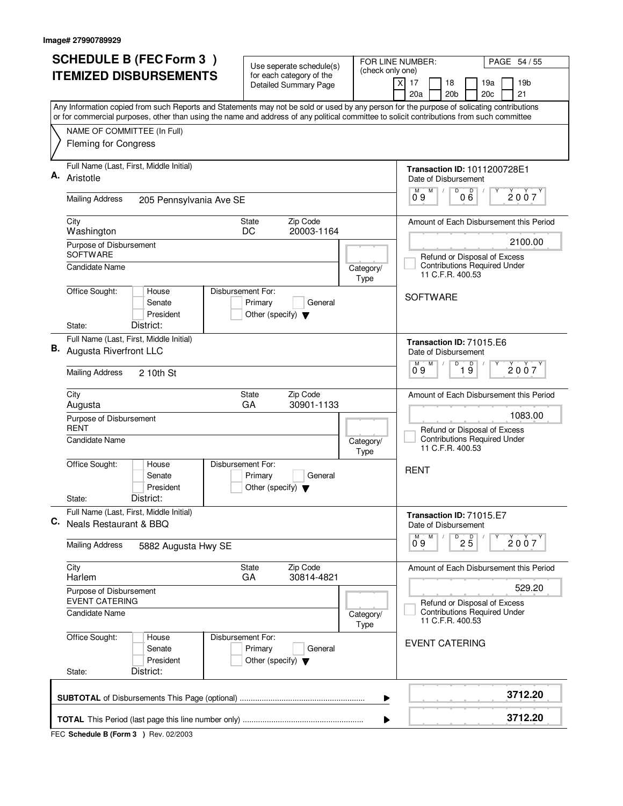| <b>SCHEDULE B (FEC Form 3)</b>                                                                                                                                                                                                                                                         | Use seperate schedule(s)<br>for each category of the       | (check only one)  | FOR LINE NUMBER:<br>PAGE 54 / 55                                                                   |
|----------------------------------------------------------------------------------------------------------------------------------------------------------------------------------------------------------------------------------------------------------------------------------------|------------------------------------------------------------|-------------------|----------------------------------------------------------------------------------------------------|
| <b>ITEMIZED DISBURSEMENTS</b>                                                                                                                                                                                                                                                          | <b>Detailed Summary Page</b>                               |                   | 17<br>19 <sub>b</sub><br>X<br>18<br>19a<br>20a<br>20 <sub>b</sub><br>20 <sub>c</sub><br>21         |
| Any Information copied from such Reports and Statements may not be sold or used by any person for the purpose of solicating contributions<br>or for commercial purposes, other than using the name and address of any political committee to solicit contributions from such committee |                                                            |                   |                                                                                                    |
| NAME OF COMMITTEE (In Full)<br><b>Fleming for Congress</b>                                                                                                                                                                                                                             |                                                            |                   |                                                                                                    |
| Full Name (Last, First, Middle Initial)<br>Α.<br>Aristotle                                                                                                                                                                                                                             |                                                            |                   | <b>Transaction ID: 1011200728E1</b><br>Date of Disbursement<br>M<br>D                              |
| <b>Mailing Address</b><br>205 Pennsylvania Ave SE                                                                                                                                                                                                                                      |                                                            |                   | $0^{M}$ 9<br>000<br>2007                                                                           |
| City<br>Washington                                                                                                                                                                                                                                                                     | State<br>Zip Code<br>20003-1164<br>DC                      |                   | Amount of Each Disbursement this Period                                                            |
| Purpose of Disbursement<br>SOFTWARE<br><b>Candidate Name</b>                                                                                                                                                                                                                           |                                                            | Category/         | 2100.00<br>Refund or Disposal of Excess<br><b>Contributions Required Under</b><br>11 C.F.R. 400.53 |
| Office Sought:<br>House<br>Disbursement For:<br>Senate<br>President<br>District:<br>State:                                                                                                                                                                                             | Primary<br>General<br>Other (specify) $\blacktriangledown$ | Type              | <b>SOFTWARE</b>                                                                                    |
| Full Name (Last, First, Middle Initial)<br><b>B.</b> Augusta Riverfront LLC                                                                                                                                                                                                            |                                                            |                   | Transaction ID: 71015.E6<br>Date of Disbursement<br>D<br>D<br>M                                    |
| <b>Mailing Address</b><br>2 10th St                                                                                                                                                                                                                                                    | 2007<br>09<br>19                                           |                   |                                                                                                    |
| City<br>Augusta                                                                                                                                                                                                                                                                        | Zip Code<br><b>State</b><br>30901-1133<br>GA               |                   | Amount of Each Disbursement this Period<br>1083.00                                                 |
| Purpose of Disbursement<br><b>RENT</b><br>Candidate Name                                                                                                                                                                                                                               |                                                            | Category/<br>Type | Refund or Disposal of Excess<br><b>Contributions Required Under</b><br>11 C.F.R. 400.53            |
| Office Sought:<br>Disbursement For:<br>House<br>Senate<br>President<br>District:<br>State:                                                                                                                                                                                             | Primary<br>General<br>Other (specify) $\blacktriangledown$ |                   | <b>RENT</b>                                                                                        |
| Full Name (Last, First, Middle Initial)<br>C. Neals Restaurant & BBQ                                                                                                                                                                                                                   |                                                            |                   | Transaction ID: 71015.E7<br>Date of Disbursement                                                   |
| <b>Mailing Address</b><br>5882 Augusta Hwy SE                                                                                                                                                                                                                                          |                                                            |                   | $\overline{P}$ 2 $\overline{5}$<br>M<br>2007<br>09                                                 |
| City<br>Harlem                                                                                                                                                                                                                                                                         | Zip Code<br>State<br>GA<br>30814-4821                      |                   | Amount of Each Disbursement this Period                                                            |
| Purpose of Disbursement<br><b>EVENT CATERING</b>                                                                                                                                                                                                                                       |                                                            |                   | 529.20<br>Refund or Disposal of Excess                                                             |
| Candidate Name<br>Category/<br>Type                                                                                                                                                                                                                                                    |                                                            |                   | <b>Contributions Required Under</b><br>11 C.F.R. 400.53                                            |
| Office Sought:<br>Disbursement For:<br>House<br>Senate<br>President<br>District:<br>State:                                                                                                                                                                                             | Primary<br>General<br>Other (specify) $\blacktriangledown$ |                   | <b>EVENT CATERING</b>                                                                              |
|                                                                                                                                                                                                                                                                                        |                                                            | ▶                 | 3712.20                                                                                            |
|                                                                                                                                                                                                                                                                                        |                                                            | ▶                 | 3712.20                                                                                            |